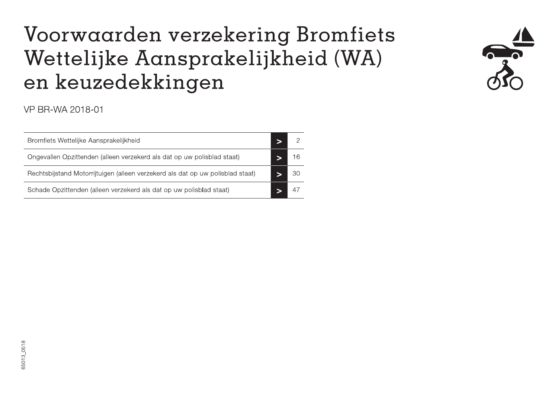### Voorwaarden verzekering Bromfiets Wettelijke Aansprakelijkheid (WA) en keuzedekkingen



### VP BR-WA 2018-01

| Bromfiets Wettelijke Aansprakelijkheid                                         |  |
|--------------------------------------------------------------------------------|--|
| Ongevallen Opzittenden (alleen verzekerd als dat op uw polisblad staat)        |  |
| Rechtsbijstand Motorrijtuigen (alleen verzekerd als dat op uw polisblad staat) |  |
| Schade Opzittenden (alleen verzekerd als dat op uw polisblad staat)            |  |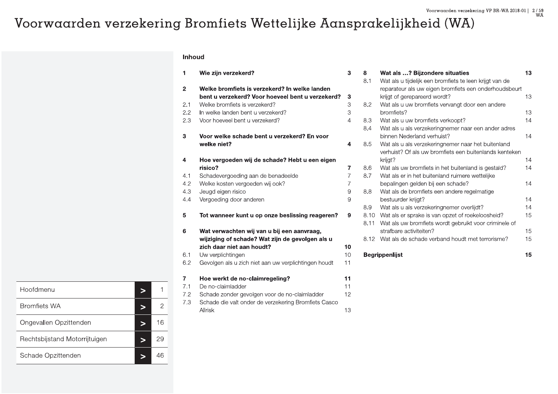### Voorwaarden verzekering Bromfiets Wettelijke Aansprakelijkheid (WA)

### Inhoud

| 1              | Wie zijn verzekerd?                                  | 3              |
|----------------|------------------------------------------------------|----------------|
| $\overline{2}$ | Welke bromfiets is verzekerd? In welke landen        |                |
|                | bent u verzekerd? Voor hoeveel bent u verzekerd?     | 3              |
| 2.1            | Welke bromfiets is verzekerd?                        | 3              |
| 2.2            | In welke landen bent u verzekerd?                    | 3              |
| 2.3            | Voor hoeveel bent u verzekerd?                       | $\overline{4}$ |
| 3              | Voor welke schade bent u verzekerd? En voor          |                |
|                | welke niet?                                          | 4              |
| 4              | Hoe vergoeden wij de schade? Hebt u een eigen        |                |
|                | risico?                                              | 7              |
| 4.1            | Schadevergoeding aan de benadeelde                   | $\overline{7}$ |
| 4.2            | Welke kosten vergoeden wij ook?                      | 7              |
| 4.3            | Jeugd eigen risico                                   | 9              |
| 4.4            | Vergoeding door anderen                              | 9              |
| 5              | Tot wanneer kunt u op onze beslissing reageren?      | 9              |
| 6              | Wat verwachten wij van u bij een aanvraag,           |                |
|                | wijziging of schade? Wat zijn de gevolgen als u      |                |
|                | zich daar niet aan houdt?                            | 10             |
| 6.1            | Uw verplichtingen                                    | 10             |
| 6.2            | Gevolgen als u zich niet aan uw verplichtingen houdt | 11             |
| $\overline{7}$ | Hoe werkt de no-claimregeling?                       | 11             |
| 7.1            | De no-claimladder                                    | 11             |
| 7.2            | Schade zonder gevolgen voor de no-claimladder        | 12             |
| 7.3            | Schade die valt onder de verzekering Bromfiets Casco |                |
|                | Allrisk                                              | 1.3            |

| 8    | Wat als ? Bijzondere situaties                          | 13 |
|------|---------------------------------------------------------|----|
| 8.1  | Wat als u tijdelijk een bromfiets te leen krijgt van de |    |
|      | reparateur als uw eigen bromfiets een onderhoudsbeurt   |    |
|      | krijgt of gerepareerd wordt?                            | 13 |
| 8.2  | Wat als u uw bromfiets vervangt door een andere         |    |
|      | bromfiets?                                              | 13 |
| 8.3  | Wat als u uw bromfiets verkoopt?                        | 14 |
| 8.4  | Wat als u als verzekeringnemer naar een ander adres     |    |
|      | binnen Nederland verhuist?                              | 14 |
| 8.5  | Wat als u als verzekeringnemer naar het buitenland      |    |
|      | verhuist? Of als uw bromfiets een buitenlands kenteken  |    |
|      | krijgt?                                                 | 14 |
| 8.6  | Wat als uw bromfiets in het buitenland is gestald?      | 14 |
| 8.7  | Wat als er in het buitenland ruimere wettelijke         |    |
|      | bepalingen gelden bij een schade?                       | 14 |
| 8.8  | Wat als de bromfiets een andere regelmatige             |    |
|      | bestuurder krijgt?                                      | 14 |
| 8.9  | Wat als u als verzekeringnemer overlijdt?               | 14 |
| 8.10 | Wat als er sprake is van opzet of roekeloosheid?        | 15 |
| 8.11 | Wat als uw bromfiets wordt gebruikt voor criminele of   |    |
|      | strafbare activiteiten?                                 | 15 |
| 8.12 | Wat als de schade verband houdt met terrorisme?         | 15 |
|      |                                                         |    |
|      | <b>Begrippenlijst</b>                                   | 15 |

| Hoofdmenu                     |  |    |
|-------------------------------|--|----|
| <b>Bromfiets WA</b>           |  | 2  |
| Ongevallen Opzittenden        |  | 16 |
| Rechtsbijstand Motorrijtuigen |  | 29 |
| Schade Opzittenden            |  | 46 |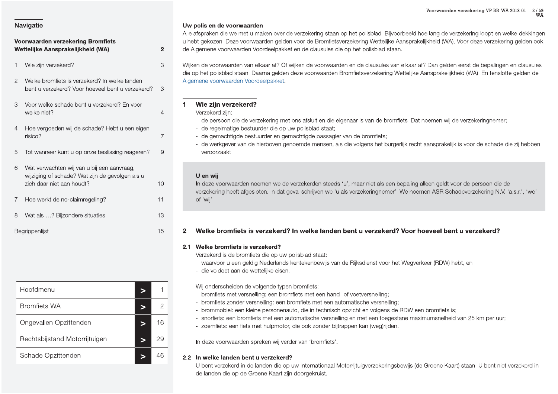### Voorwaarden verzekering Bromfiets Wettelijke Aansprakelijkheid (WA)  $\overline{2}$ 3 Wie zijn verzekerd? 2 Welke bromfiets is verzekerd? In welke landen bent u verzekerd? Voor hoeveel bent u verzekerd?  $\mathcal{R}$  $\mathcal{L}$ Voor welke schade bent u verzekerd? En voor welke niet?  $\overline{4}$  $\overline{4}$ Hoe vergoeden wij de schade? Hebt u een eigen risico?  $\overline{7}$ Tot wanneer kunt u op onze beslissing reageren? 9 5 6 Wat verwachten wij van u bij een aanvraag, wijziging of schade? Wat zijn de gevolgen als u zich daar niet aan houdt?  $10$ Hoe werkt de no-claimregeling?  $11$  $\overline{7}$ 8 Wat als ...? Bijzondere situaties 13  $15$ Begrippenlijst

| Hoofdmenu                     |  |    |
|-------------------------------|--|----|
| <b>Bromfiets WA</b>           |  |    |
| Ongevallen Opzittenden        |  | 16 |
| Rechtsbijstand Motorrijtuigen |  | 26 |
| Schade Opzittenden            |  |    |

### Uw polis en de voorwaarden

Alle afspraken die we met u maken over de verzekering staan op het polisblad. Bijvoorbeeld hoe lang de verzekering loopt en welke dekkingen u hebt gekozen. Deze voorwaarden gelden voor de Bromfietsverzekering Wettelijke Aansprakelijkheid (WA). Voor deze verzekering gelden ook de Algemene voorwaarden Voordeelpakket en de clausules die op het polisblad staan.

Wijken de voorwaarden van elkaar af? Of wijken de voorwaarden en de clausules van elkaar af? Dan gelden eerst de bepalingen en clausules die op het polisblad staan. Daarna gelden deze voorwaarden Bromfietsverzekering Wettelijke Aansprakelijkheid (WA). En tenslotte gelden de Algemene voorwaarden Voordeelpakket.

### $\blacksquare$

### Verzekerd ziin:

- de persoon die de verzekering met ons afsluit en die eigenaar is van de bromfiets. Dat noemen wij de verzekeringnemer;
- de gemachtigde bestuurder en gemachtigde passagier van de bromfiets;
- de werkgever van de hierboven genoemde mensen, als die volgens het burgerlijk recht aansprakelijk is voor de schade die zij hebben veroorzaakt.

### U en wij

In deze voorwaarden noemen we de verzekerden steeds 'u', maar niet als een bepaling alleen geldt voor de persoon die de verzekering heeft afgesloten. In dat geval schrijven we 'u als verzekeringnemer'. We noemen ASR Schadeverzekering N.V. 'a.s.r.', 'we' of 'wij'.

### Welke bromfiets is verzekerd? In welke landen bent u verzekerd? Voor hoeveel bent u verzekerd?  $\overline{2}$

### 2.1 Welke bromfiets is verzekerd?

Verzekerd is de bromfiets die op uw polisblad staat:

- waarvoor u een geldig Nederlands kentekenbewijs van de Rijksdienst voor het Wegverkeer (RDW) hebt, en
- die voldoet aan de wettelijke eisen.

Wij onderscheiden de volgende typen bromfiets:

- bromfiets met versnelling: een bromfiets met een hand- of voetversnelling;
- bromfiets zonder versnelling: een bromfiets met een automatische versnelling;
- brommobiel: een kleine personenauto, die in technisch opzicht en volgens de RDW een bromfiets is;
- snorfiets: een bromfiets met een automatische versnelling en met een toegestane maximumsnelheid van 25 km per uur;
- zoemfiets: een fiets met hulpmotor, die ook zonder bijtrappen kan (weg)rijden.

In deze voorwaarden spreken wij verder van 'bromfiets'.

### 2.2 In welke landen bent u verzekerd?

U bent verzekerd in de landen die op uw Internationaal Motorrijtuigverzekeringsbewijs (de Groene Kaart) staan. U bent niet verzekerd in de landen die op de Groene Kaart zijn doorgekruist.

Wie zijn verzekerd? - de regelmatige bestuurder die op uw polisblad staat;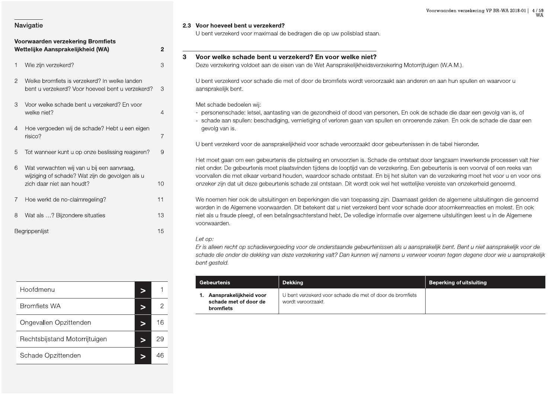### Voorwaarden verzekering VP BR-WA 2018-01 | 4/59 WĂ

### **Navigatie**

### Voorwaarden verzekering Bromfiets Wettelijke Aansprakelijkheid (WA) Wie zijn verzekerd? 2 Welke bromfiets is verzekerd? In welke landen bent u verzekerd? Voor hoeveel bent u verzekerd?  $\mathcal{L}$ Voor welke schade bent u verzekerd? En voor welke niet? 4 Hoe vergoeden wij de schade? Hebt u een eigen risico? Tot wanneer kunt u op onze beslissing reageren? 5 Wat verwachten wij van u bij een aanvraag, 6 wijziging of schade? Wat zijn de gevolgen als u zich daar niet aan houdt?  $10$  $\overline{7}$ Hoe werkt de no-claimregeling? 8 Wat als ...? Bijzondere situaties Begrippenlijst

### 2.3 Voor hoeveel bent u verzekerd?

 $\overline{2}$ 

3

 $\mathcal{S}$ 

 $\overline{4}$ 

 $\overline{7}$ 

9

 $11$ 

13

15

U bent verzekerd voor maximaal de bedragen die op uw polisblad staan.

### $\mathbf{3}$ Voor welke schade bent u verzekerd? En voor welke niet?

Deze verzekering voldoet aan de eisen van de Wet Aansprakelijkheidsverzekering Motorrijtuigen (W.A.M.).

U bent verzekerd voor schade die met of door de bromfiets wordt veroorzaakt aan anderen en aan hun spullen en waarvoor u aansprakelijk bent.

Met schade bedoelen wii:

- personenschade: letsel, aantasting van de gezondheid of dood van personen. En ook de schade die daar een gevolg van is, of
- schade aan spullen: beschadiging, vernietiging of verloren gaan van spullen en onroerende zaken. En ook de schade die daar een gevolg van is.

U bent verzekerd voor de aansprakelijkheid voor schade veroorzaakt door gebeurtenissen in de tabel hieronder.

Het moet gaan om een gebeurtenis die plotseling en onvoorzien is. Schade die ontstaat door langzaam inwerkende processen valt hier niet onder. De gebeurtenis moet plaatsvinden tijdens de looptijd van de verzekering. Een gebeurtenis is een voorval of een reeks van voorvallen die met elkaar verband houden, waardoor schade ontstaat. En bij het sluiten van de verzekering moet het voor u en voor ons onzeker zijn dat uit deze gebeurtenis schade zal ontstaan. Dit wordt ook wel het wettelijke vereiste van onzekerheid genoemd.

We noemen hier ook de uitsluitingen en beperkingen die van toepassing zijn. Daarnaast gelden de algemene uitsluitingen die genoemd worden in de Algemene voorwaarden. Dit betekent dat u niet verzekerd bent voor schade door atoomkernreacties en molest. En ook niet als u fraude pleegt, of een betalingsachterstand hebt. De volledige informatie over algemene uitsluitingen leest u in de Algemene voorwaarden.

### Let op:

Er is alleen recht op schadevergoeding voor de onderstaande gebeurtenissen als u aansprakelijk bent. Bent u niet aansprakelijk voor de schade die onder de dekking van deze verzekering valt? Dan kunnen wij namens u verweer voeren tegen degene door wie u aansprakelijk bent gesteld.

| <b>Gebeurtenis</b>                                                        | Dekking                                                                         | <b>Beperking of uitsluiting</b> |
|---------------------------------------------------------------------------|---------------------------------------------------------------------------------|---------------------------------|
| Aansprakelijkheid voor<br>1.<br>schade met of door de<br><b>bromfiets</b> | U bent verzekerd voor schade die met of door de bromfiets<br>wordt veroorzaakt. |                                 |

| Hoofdmenu                     |   |    |
|-------------------------------|---|----|
| <b>Bromfiets WA</b>           | ∍ | 2  |
| Ongevallen Opzittenden        |   | 16 |
| Rechtsbijstand Motorrijtuigen |   | 29 |
| Schade Opzittenden            |   |    |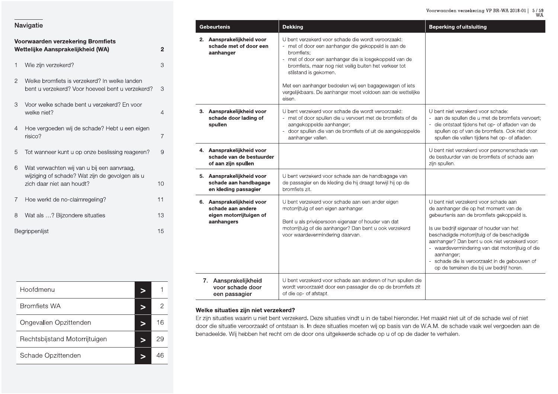| Navigatie |  |
|-----------|--|
|           |  |

| Voorwaarden verzekering Bromfiets<br>Wettelijke Aansprakelijkheid (WA)<br>2 |                                                                                                                            |    |  |
|-----------------------------------------------------------------------------|----------------------------------------------------------------------------------------------------------------------------|----|--|
| 1                                                                           | Wie zijn verzekerd?                                                                                                        | 3  |  |
| 2                                                                           | Welke bromfiets is verzekerd? In welke landen<br>bent u verzekerd? Voor hoeveel bent u verzekerd?                          | 3  |  |
| 3                                                                           | Voor welke schade bent u verzekerd? En voor<br>welke niet?                                                                 | 4  |  |
| 4                                                                           | Hoe vergoeden wij de schade? Hebt u een eigen<br>risico?                                                                   | 7  |  |
| 5                                                                           | Tot wanneer kunt u op onze beslissing reageren?                                                                            | 9  |  |
| 6                                                                           | Wat verwachten wij van u bij een aanvraag,<br>wijziging of schade? Wat zijn de gevolgen als u<br>zich daar niet aan houdt? | 10 |  |
| 7                                                                           | Hoe werkt de no-claimregeling?                                                                                             | 11 |  |
| 8                                                                           | Wat als ? Bijzondere situaties                                                                                             | 13 |  |
| 15<br>Begrippenlijst                                                        |                                                                                                                            |    |  |

| Hoofdmenu                     |  |    |
|-------------------------------|--|----|
| <b>Bromfiets WA</b>           |  | 2  |
| Ongevallen Opzittenden        |  | 16 |
| Rechtsbijstand Motorrijtuigen |  | 29 |
| Schade Opzittenden            |  | 46 |

| <b>Gebeurtenis</b>                                        |                                                                                         | <b>Dekking</b>                                                                                                                                                                                                                                                                                                                                                                                         | <b>Beperking of uitsluiting</b>                                                                                                                                                                                                                                                                                                                                                                                                          |
|-----------------------------------------------------------|-----------------------------------------------------------------------------------------|--------------------------------------------------------------------------------------------------------------------------------------------------------------------------------------------------------------------------------------------------------------------------------------------------------------------------------------------------------------------------------------------------------|------------------------------------------------------------------------------------------------------------------------------------------------------------------------------------------------------------------------------------------------------------------------------------------------------------------------------------------------------------------------------------------------------------------------------------------|
|                                                           | 2. Aansprakelijkheid voor<br>schade met of door een<br>aanhanger                        | U bent verzekerd voor schade die wordt veroorzaakt:<br>- met of door een aanhanger die gekoppeld is aan de<br>bromfiets;<br>met of door een aanhanger die is losgekoppeld van de<br>bromfiets, maar nog niet veilig buiten het verkeer tot<br>stilstand is gekomen.<br>Met een aanhanger bedoelen wij een bagagewagen of iets<br>vergelijkbaars. De aanhanger moet voldoen aan de wettelijke<br>eisen. |                                                                                                                                                                                                                                                                                                                                                                                                                                          |
|                                                           | 3. Aansprakelijkheid voor<br>schade door lading of<br>spullen                           | U bent verzekerd voor schade die wordt veroorzaakt:<br>- met of door spullen die u vervoert met de bromfiets of de<br>aangekoppelde aanhanger;<br>door spullen die van de bromfiets of uit de aangekoppelde<br>aanhanger vallen.                                                                                                                                                                       | U bent niet verzekerd voor schade:<br>aan de spullen die u met de bromfiets vervoert;<br>die ontstaat tijdens het op- of afladen van de<br>spullen op of van de bromfiets. Ook niet door<br>spullen die vallen tijdens het op- of afladen.                                                                                                                                                                                               |
|                                                           | 4. Aansprakelijkheid voor<br>schade van de bestuurder<br>of aan zijn spullen            |                                                                                                                                                                                                                                                                                                                                                                                                        | U bent niet verzekerd voor personenschade van<br>de bestuurder van de bromfiets of schade aan<br>zijn spullen.                                                                                                                                                                                                                                                                                                                           |
|                                                           | 5. Aansprakelijkheid voor<br>schade aan handbagage<br>en kleding passagier              | U bent verzekerd voor schade aan de handbagage van<br>de passagier en de kleding die hij draagt terwijl hij op de<br>bromfiets zit.                                                                                                                                                                                                                                                                    |                                                                                                                                                                                                                                                                                                                                                                                                                                          |
|                                                           | 6. Aansprakelijkheid voor<br>schade aan andere<br>eigen motorrijtuigen of<br>aanhangers | U bent verzekerd voor schade aan een ander eigen<br>motorrijtuig of een eigen aanhanger.<br>Bent u als privépersoon eigenaar of houder van dat<br>motorrijtuig of die aanhanger? Dan bent u ook verzekerd<br>voor waardevermindering daarvan.                                                                                                                                                          | U bent niet verzekerd voor schade aan<br>de aanhanger die op het moment van de<br>gebeurtenis aan de bromfiets gekoppeld is.<br>Is uw bedrijf eigenaar of houder van het<br>beschadigde motorrijtuig of de beschadigde<br>aanhanger? Dan bent u ook niet verzekerd voor:<br>- waardevermindering van dat motorrijtuig of die<br>aanhanger;<br>- schade die is veroorzaakt in de gebouwen of<br>op de terreinen die bij uw bedrijf horen. |
| 7. Aansprakelijkheid<br>voor schade door<br>een passagier |                                                                                         | U bent verzekerd voor schade aan anderen of hun spullen die<br>wordt veroorzaakt door een passagier die op de bromfiets zit<br>of die op- of afstapt.                                                                                                                                                                                                                                                  |                                                                                                                                                                                                                                                                                                                                                                                                                                          |

### Welke situaties zijn niet verzekerd?

Er zijn situaties waarin u niet bent verzekerd. Deze situaties vindt u in de tabel hieronder. Het maakt niet uit of de schade wel of niet door die situatie veroorzaakt of ontstaan is. In deze situaties moeten wij op basis van de W.A.M. de schade vaak wel vergoeden aan de benadeelde. Wij hebben het recht om de door ons uitgekeerde schade op u of op de dader te verhalen.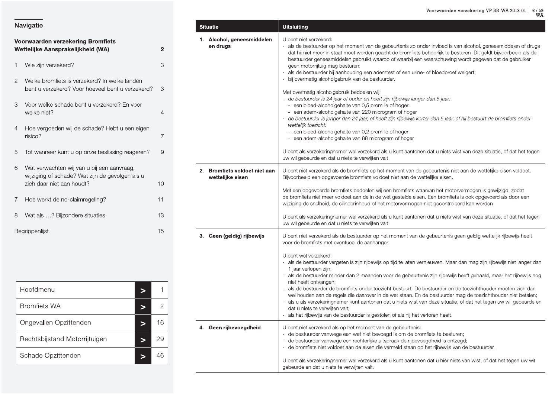Voorwaarden verzekering VP BR-WA 2018-01 |  $6/59$  WA

|  | Navigatie |
|--|-----------|
|  |           |
|  |           |

|   | Voorwaarden verzekering Bromfiets<br>Wettelijke Aansprakelijkheid (WA)                                                     | 2  |
|---|----------------------------------------------------------------------------------------------------------------------------|----|
| 1 | Wie zijn verzekerd?                                                                                                        | 3  |
| 2 | Welke bromfiets is verzekerd? In welke landen<br>bent u verzekerd? Voor hoeveel bent u verzekerd?                          | З  |
| 3 | Voor welke schade bent u verzekerd? En voor<br>welke niet?                                                                 | 4  |
| 4 | Hoe vergoeden wij de schade? Hebt u een eigen<br>risico?                                                                   | 7  |
| 5 | Tot wanneer kunt u op onze beslissing reageren?                                                                            | 9  |
| 6 | Wat verwachten wij van u bij een aanvraag,<br>wijziging of schade? Wat zijn de gevolgen als u<br>zich daar niet aan houdt? | 10 |
| 7 | Hoe werkt de no-claimregeling?                                                                                             | 11 |
| 8 | Wat als ? Bijzondere situaties                                                                                             | 13 |
|   | Begrippenlijst                                                                                                             | 15 |

| Hoofdmenu                     |   |    |
|-------------------------------|---|----|
| <b>Bromfiets WA</b>           | ∍ | 2  |
| Ongevallen Opzittenden        |   | 16 |
| Rechtsbijstand Motorrijtuigen | ⋗ | 29 |
| Schade Opzittenden            |   | 46 |

| <b>Situatie</b>                                   | <b>Uitsluiting</b>                                                                                                                                                                                                                                                                                                                                                                                                                                                                                                                                                                                                                                                                                                                                                                                                                                                                                                                                                                                                                                                                                                                                                                                                                       |
|---------------------------------------------------|------------------------------------------------------------------------------------------------------------------------------------------------------------------------------------------------------------------------------------------------------------------------------------------------------------------------------------------------------------------------------------------------------------------------------------------------------------------------------------------------------------------------------------------------------------------------------------------------------------------------------------------------------------------------------------------------------------------------------------------------------------------------------------------------------------------------------------------------------------------------------------------------------------------------------------------------------------------------------------------------------------------------------------------------------------------------------------------------------------------------------------------------------------------------------------------------------------------------------------------|
| 1. Alcohol, geneesmiddelen<br>en drugs            | U bent niet verzekerd:<br>- als de bestuurder op het moment van de gebeurtenis zo onder invloed is van alcohol, geneesmiddelen of drugs<br>dat hij niet meer in staat moet worden geacht de bromfiets behoorlijk te besturen. Dit geldt bijvoorbeeld als de<br>bestuurder geneesmiddelen gebruikt waarop of waarbij een waarschuwing wordt gegeven dat de gebruiker<br>geen motorrijtuig mag besturen;<br>als de bestuurder bij aanhouding een ademtest of een urine- of bloedproef weigert;<br>bij overmatig alcoholgebruik van de bestuurder.<br>Met overmatig alcoholgebruik bedoelen wij:<br>- de bestuurder is 24 jaar of ouder en heeft zijn rijbewijs langer dan 5 jaar:<br>- een bloed-alcoholgehalte van 0,5 promille of hoger<br>- een adem-alcoholgehalte van 220 microgram of hoger<br>- de bestuurder is jonger dan 24 jaar, of heeft zijn rijbewijs korter dan 5 jaar, of hij bestuurt de bromfiets onder<br>wettelijk toezicht:<br>- een bloed-alcoholgehalte van 0,2 promille of hoger<br>- een adem-alcoholgehalte van 88 microgram of hoger<br>U bent als verzekeringnemer wel verzekerd als u kunt aantonen dat u niets wist van deze situatie, of dat het tegen<br>uw wil gebeurde en dat u niets te verwijten valt. |
| 2. Bromfiets voldoet niet aan<br>wettelijke eisen | U bent niet verzekerd als de bromfiets op het moment van de gebeurtenis niet aan de wettelijke eisen voldoet.<br>Bijvoorbeeld een opgevoerde bromfiets voldoet niet aan de wettelijke eisen.<br>Met een opgevoerde bromfiets bedoelen wij een bromfiets waarvan het motorvermogen is gewijzigd, zodat<br>de bromfiets niet meer voldoet aan de in de wet gestelde eisen. Een bromfiets is ook opgevoerd als door een<br>wijziging de snelheid, de cilinderinhoud of het motorvermogen niet gecontroleerd kan worden.<br>U bent als verzekeringnemer wel verzekerd als u kunt aantonen dat u niets wist van deze situatie, of dat het tegen                                                                                                                                                                                                                                                                                                                                                                                                                                                                                                                                                                                               |
|                                                   | uw wil gebeurde en dat u niets te verwijten valt.                                                                                                                                                                                                                                                                                                                                                                                                                                                                                                                                                                                                                                                                                                                                                                                                                                                                                                                                                                                                                                                                                                                                                                                        |
| 3. Geen (geldig) rijbewijs                        | U bent niet verzekerd als de bestuurder op het moment van de gebeurtenis geen geldig wettelijk rijbewijs heeft<br>voor de bromfiets met eventueel de aanhanger.<br>U bent wel verzekerd:<br>- als de bestuurder vergeten is zijn rijbewijs op tijd te laten vernieuwen. Maar dan mag zijn rijbewijs niet langer dan<br>1 jaar verlopen zijn;<br>als de bestuurder minder dan 2 maanden voor de gebeurtenis zijn rijbewijs heeft gehaald, maar het rijbewijs nog<br>niet heeft ontvangen;<br>als de bestuurder de bromfiets onder toezicht bestuurt. De bestuurder en de toezichthouder moeten zich dan<br>wel houden aan de regels die daarover in de wet staan. En de bestuurder mag de toezichthouder niet betalen;<br>als u als verzekeringnemer kunt aantonen dat u niets wist van deze situatie, of dat het tegen uw wil gebeurde en<br>dat u niets te verwijten valt;<br>als het rijbewijs van de bestuurder is gestolen of als hij het verloren heeft.                                                                                                                                                                                                                                                                            |
| 4. Geen rijbevoegdheid                            | U bent niet verzekerd als op het moment van de gebeurtenis:<br>- de bestuurder vanwege een wet niet bevoegd is om de bromfiets te besturen;<br>- de bestuurder vanwege een rechterlijke uitspraak de rijbevoegdheid is ontzegd;<br>- de bromfiets niet voldoet aan de eisen die vermeld staan op het rijbewijs van de bestuurder.<br>U bent als verzekeringnemer wel verzekerd als u kunt aantonen dat u hier niets van wist, of dat het tegen uw wil                                                                                                                                                                                                                                                                                                                                                                                                                                                                                                                                                                                                                                                                                                                                                                                    |

gebeurde en dat u niets te verwijten valt.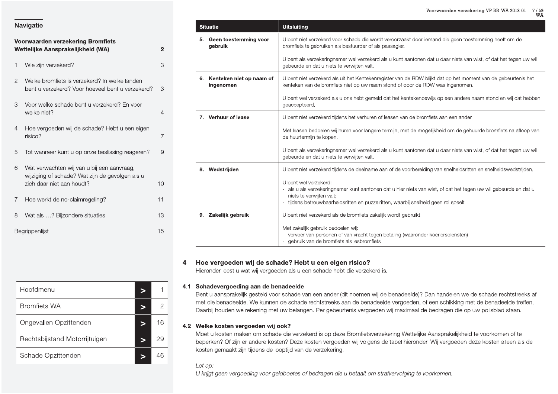|   | Voorwaarden verzekering Bromfiets<br>Wettelijke Aansprakelijkheid (WA)                                                     | ؛                       |
|---|----------------------------------------------------------------------------------------------------------------------------|-------------------------|
| 1 | Wie zijn verzekerd?                                                                                                        | Ć                       |
| 2 | Welke bromfiets is verzekerd? In welke landen<br>bent u verzekerd? Voor hoeveel bent u verzekerd?                          | Ć                       |
| 3 | Voor welke schade bent u verzekerd? En voor<br>welke niet?                                                                 | $\overline{\mathbf{r}}$ |
| 4 | Hoe vergoeden wij de schade? Hebt u een eigen<br>risico?                                                                   | $\frac{1}{l}$           |
| 5 | Tot wanneer kunt u op onze beslissing reageren?                                                                            | Ç                       |
| 6 | Wat verwachten wij van u bij een aanvraag,<br>wijziging of schade? Wat zijn de gevolgen als u<br>zich daar niet aan houdt? | 1 <sup>1</sup>          |
| 7 | Hoe werkt de no-claimregeling?                                                                                             | $1^{\circ}$             |
| 8 | Wat als ? Bijzondere situaties                                                                                             | 13                      |
|   | Begrippenlijst                                                                                                             | 15                      |

|    | <b>Situatie</b>                       | <b>Uitsluiting</b>                                                                                                                                                                                                                                          |
|----|---------------------------------------|-------------------------------------------------------------------------------------------------------------------------------------------------------------------------------------------------------------------------------------------------------------|
| 5. | Geen toestemming voor<br>gebruik      | U bent niet verzekerd voor schade die wordt veroorzaakt door iemand die geen toestemming heeft om de<br>bromfiets te gebruiken als bestuurder of als passagier.                                                                                             |
|    |                                       | U bent als verzekeringnemer wel verzekerd als u kunt aantonen dat u daar niets van wist, of dat het tegen uw wil<br>gebeurde en dat u niets te verwijten valt.                                                                                              |
|    | Kenteken niet op naam of<br>ingenomen | U bent niet verzekerd als uit het Kentekenregister van de RDW blijkt dat op het moment van de gebeurtenis het<br>kenteken van de bromfiets niet op uw naam stond of door de RDW was ingenomen.                                                              |
|    |                                       | U bent wel verzekerd als u ons hebt gemeld dat het kentekenbewijs op een andere naam stond en wij dat hebben<br>geaccepteerd.                                                                                                                               |
|    | 7. Verhuur of lease                   | U bent niet verzekerd tijdens het verhuren of leasen van de bromfiets aan een ander.                                                                                                                                                                        |
|    |                                       | Met leasen bedoelen wij huren voor langere termijn, met de mogelijkheid om de gehuurde bromfiets na afloop van<br>de huurtermijn te kopen.                                                                                                                  |
|    |                                       | U bent als verzekeringnemer wel verzekerd als u kunt aantonen dat u daar niets van wist, of dat het tegen uw wil<br>gebeurde en dat u niets te verwijten valt.                                                                                              |
| 8. | Wedstrijden                           | U bent niet verzekerd tijdens de deelname aan of de voorbereiding van snelheidsritten en snelheidswedstrijden.                                                                                                                                              |
|    |                                       | U bent wel verzekerd:<br>- als u als verzekeringnemer kunt aantonen dat u hier niets van wist, of dat het tegen uw wil gebeurde en dat u<br>niets te verwijten valt;<br>- tijdens betrouwbaarheidsritten en puzzelritten, waarbij snelheid geen rol speelt. |
| 9. | Zakelijk gebruik                      | U bent niet verzekerd als de bromfiets zakelijk wordt gebruikt.                                                                                                                                                                                             |
|    |                                       | Met zakelijk gebruik bedoelen wij:<br>- vervoer van personen of van vracht tegen betaling (waaronder koeriersdiensten)<br>- gebruik van de bromfiets als lesbromfiets                                                                                       |

### Hoe vergoeden wij de schade? Hebt u een eigen risico?  $\overline{\mathbf{4}}$

Hieronder leest u wat wij vergoeden als u een schade hebt die verzekerd is.

### 4.1 Schadevergoeding aan de benadeelde

Bent u aansprakelijk gesteld voor schade van een ander (dit noemen wij de benadeelde)? Dan handelen we de schade rechtstreeks af met die benadeelde. We kunnen de schade rechtstreeks aan de benadeelde vergoeden, of een schikking met de benadeelde treffen. Daarbij houden we rekening met uw belangen. Per gebeurtenis vergoeden wij maximaal de bedragen die op uw polisblad staan.

### 4.2 Welke kosten vergoeden wij ook?

Moet u kosten maken om schade die verzekerd is op deze Bromfietsverzekering Wettelijke Aansprakelijkheid te voorkomen of te beperken? Of zijn er andere kosten? Deze kosten vergoeden wij volgens de tabel hieronder. Wij vergoeden deze kosten alleen als de kosten gemaakt zijn tijdens de looptijd van de verzekering.

### Let op:

U krijgt geen vergoeding voor geldboetes of bedragen die u betaalt om strafvervolging te voorkomen.

| Hoofdmenu                     |   | 1  |
|-------------------------------|---|----|
| <b>Bromfiets WA</b>           |   | 2  |
| Ongevallen Opzittenden        |   | 16 |
| Rechtsbijstand Motorrijtuigen | ⋗ | 29 |
| Schade Opzittenden            |   | 46 |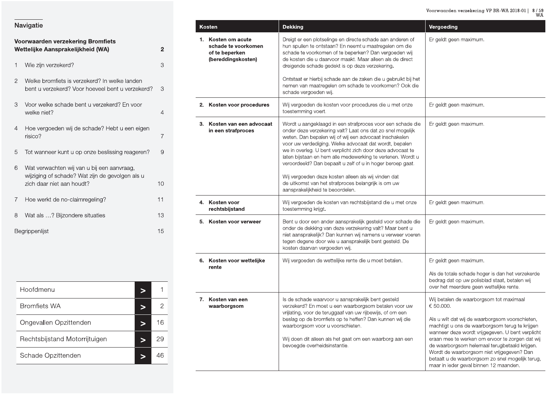### Voorwaarden verzekering VP BR-WA 2018-01 |  $\,$  8 / 59  $\,$  WA

| Navigatie |  |
|-----------|--|
|           |  |

|                | Voorwaarden verzekering Bromfiets<br>Wettelijke Aansprakelijkheid (WA)                                                     | 2  |
|----------------|----------------------------------------------------------------------------------------------------------------------------|----|
| 1              | Wie zijn verzekerd?                                                                                                        | 3  |
| $\overline{2}$ | Welke bromfiets is verzekerd? In welke landen<br>bent u verzekerd? Voor hoeveel bent u verzekerd?                          | З  |
| 3              | Voor welke schade bent u verzekerd? En voor<br>welke niet?                                                                 | 4  |
| 4              | Hoe vergoeden wij de schade? Hebt u een eigen<br>risico?                                                                   | 7  |
| 5              | Tot wanneer kunt u op onze beslissing reageren?                                                                            | 9  |
| 6              | Wat verwachten wij van u bij een aanvraag,<br>wijziging of schade? Wat zijn de gevolgen als u<br>zich daar niet aan houdt? | 10 |
| 7              | Hoe werkt de no-claimregeling?                                                                                             | 11 |
| 8              | Wat als ? Bijzondere situaties                                                                                             | 13 |
|                | Begrippenlijst                                                                                                             | 15 |

| Hoofdmenu                     |    |
|-------------------------------|----|
| <b>Bromfiets WA</b>           |    |
| Ongevallen Opzittenden        | 16 |
| Rechtsbijstand Motorrijtuigen | 29 |
| Schade Opzittenden            |    |

| <b>Kosten</b>                                                                     | <b>Dekking</b>                                                                                                                                                                                                                                                                                                                                                                                                                                                                                                                                                                            | Vergoeding                                                                                                                                                                                                                                                                                                                                                                                                                                                    |
|-----------------------------------------------------------------------------------|-------------------------------------------------------------------------------------------------------------------------------------------------------------------------------------------------------------------------------------------------------------------------------------------------------------------------------------------------------------------------------------------------------------------------------------------------------------------------------------------------------------------------------------------------------------------------------------------|---------------------------------------------------------------------------------------------------------------------------------------------------------------------------------------------------------------------------------------------------------------------------------------------------------------------------------------------------------------------------------------------------------------------------------------------------------------|
| 1. Kosten om acute<br>schade te voorkomen<br>of te beperken<br>(bereddingskosten) | Dreigt er een plotselinge en directe schade aan anderen of<br>hun spullen te ontstaan? En neemt u maatregelen om die<br>schade te voorkomen of te beperken? Dan vergoeden wij<br>de kosten die u daarvoor maakt. Maar alleen als de direct<br>dreigende schade gedekt is op deze verzekering.                                                                                                                                                                                                                                                                                             | Er geldt geen maximum.                                                                                                                                                                                                                                                                                                                                                                                                                                        |
|                                                                                   | Ontstaat er hierbij schade aan de zaken die u gebruikt bij het<br>nemen van maatregelen om schade te voorkomen? Ook die<br>schade vergoeden wij.                                                                                                                                                                                                                                                                                                                                                                                                                                          |                                                                                                                                                                                                                                                                                                                                                                                                                                                               |
| 2. Kosten voor procedures                                                         | Wij vergoeden de kosten voor procedures die u met onze<br>toestemming voert.                                                                                                                                                                                                                                                                                                                                                                                                                                                                                                              | Er geldt geen maximum.                                                                                                                                                                                                                                                                                                                                                                                                                                        |
| 3. Kosten van een advocaat<br>in een strafproces                                  | Wordt u aangeklaagd in een strafproces voor een schade die<br>onder deze verzekering valt? Laat ons dat zo snel mogelijk<br>weten. Dan bepalen wij of wij een advocaat inschakelen<br>voor uw verdediging. Welke advocaat dat wordt, bepalen<br>we in overleg. U bent verplicht zich door deze advocaat te<br>laten bijstaan en hem alle medewerking te verlenen. Wordt u<br>veroordeeld? Dan bepaalt u zelf of u in hoger beroep gaat.<br>Wij vergoeden deze kosten alleen als wij vinden dat<br>de uitkomst van het strafproces belangrijk is om uw<br>aansprakelijkheid te beoordelen. | Er geldt geen maximum.                                                                                                                                                                                                                                                                                                                                                                                                                                        |
| 4. Kosten voor<br>rechtsbijstand                                                  | Wij vergoeden de kosten van rechtsbijstand die u met onze<br>toestemming krijgt.                                                                                                                                                                                                                                                                                                                                                                                                                                                                                                          | Er geldt geen maximum.                                                                                                                                                                                                                                                                                                                                                                                                                                        |
| 5. Kosten voor verweer                                                            | Bent u door een ander aansprakelijk gesteld voor schade die<br>onder de dekking van deze verzekering valt? Maar bent u<br>niet aansprakelijk? Dan kunnen wij namens u verweer voeren<br>tegen degene door wie u aansprakelijk bent gesteld. De<br>kosten daarvan vergoeden wij.                                                                                                                                                                                                                                                                                                           | Er geldt geen maximum.                                                                                                                                                                                                                                                                                                                                                                                                                                        |
| 6. Kosten voor wettelijke                                                         | Wij vergoeden de wettelijke rente die u moet betalen.                                                                                                                                                                                                                                                                                                                                                                                                                                                                                                                                     | Er geldt geen maximum.                                                                                                                                                                                                                                                                                                                                                                                                                                        |
| rente                                                                             |                                                                                                                                                                                                                                                                                                                                                                                                                                                                                                                                                                                           | Als de totale schade hoger is dan het verzekerde<br>bedrag dat op uw polisblad staat, betalen wij<br>over het meerdere geen wettelijke rente.                                                                                                                                                                                                                                                                                                                 |
| 7. Kosten van een<br>waarborgsom                                                  | Is de schade waarvoor u aansprakelijk bent gesteld<br>verzekerd? En moet u een waarborgsom betalen voor uw<br>vrijlating, voor de teruggaaf van uw rijbewijs, of om een<br>beslag op de bromfiets op te heffen? Dan kunnen wij die<br>waarborgsom voor u voorschieten.<br>Wij doen dit alleen als het gaat om een waarborg aan een<br>bevoegde overheidsinstantie.                                                                                                                                                                                                                        | Wij betalen de waarborgsom tot maximaal<br>€ 50.000.<br>Als u wilt dat wij de waarborgsom voorschieten,<br>machtigt u ons de waarborgsom terug te krijgen<br>wanneer deze wordt vrijgegeven. U bent verplicht<br>eraan mee te werken om ervoor te zorgen dat wij<br>de waarborgsom helemaal terugbetaald krijgen.<br>Wordt de waarborgsom niet vrijgegeven? Dan<br>betaalt u de waarborgsom zo snel mogelijk terug,<br>maar in ieder geval binnen 12 maanden. |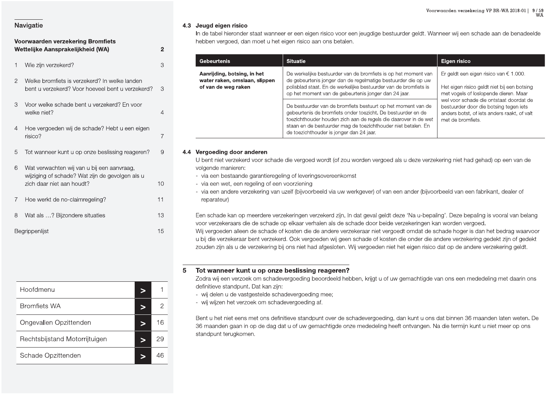### Voorwaarden **Alternative School (Alternative School Alternative School Alternative School Alternative School Alternative School and Technology and School (Alternative School and Technology and Technology and Technology and A.3 Jeugd einary and the Convention of the Convention of the Convention of the Convention of the Convention of the Convention of the Convention of the Convention of the Convention of the Convention of View Convention of V**

| n is month as no siam mogoling i          |                |   | $\sim$ paratom $\prime$                                                |
|-------------------------------------------|----------------|---|------------------------------------------------------------------------|
| Wat als ? Bijzondere situaties<br>$\,8\,$ | 13             |   | Een schade ka                                                          |
| Begrippenlijst                            | 15             |   | voor verzekera<br>Wij vergoeden<br>u bij die verzek<br>zouden zijn als |
|                                           |                | 5 | <b>Tot wanneer</b><br>Zodra wij een v                                  |
| Hoofdmenu<br>$\geq$                       | $\mathbf{1}$   |   | definitieve star<br>- wij delen u c                                    |
| <b>Bromfiets WA</b><br>$\geq$             | $\overline{c}$ |   | - wij wijzen he                                                        |
| Ongevallen Opzittenden<br>$\geq$          | 16             |   | Bent u het niet<br>36 maanden g                                        |
| Rechtsbijstand Motorrijtuigen<br>$\geq$   | 29             |   | standpunt teru                                                         |
| Schade Opzittenden<br>$\geq$              | 46             |   |                                                                        |

| Navigatie                                                                                                                                                            |                      | 4.3 Jeugd eigen risico                                                                                                                                                                                                                                                                                                                                                                                                                                                                                                                                                                                                                                                                                                                                                                                                                                                                                                                              |                                                                                                                                                                                                                                                                  |                                                                                                                                                       |  |  |  |
|----------------------------------------------------------------------------------------------------------------------------------------------------------------------|----------------------|-----------------------------------------------------------------------------------------------------------------------------------------------------------------------------------------------------------------------------------------------------------------------------------------------------------------------------------------------------------------------------------------------------------------------------------------------------------------------------------------------------------------------------------------------------------------------------------------------------------------------------------------------------------------------------------------------------------------------------------------------------------------------------------------------------------------------------------------------------------------------------------------------------------------------------------------------------|------------------------------------------------------------------------------------------------------------------------------------------------------------------------------------------------------------------------------------------------------------------|-------------------------------------------------------------------------------------------------------------------------------------------------------|--|--|--|
| Voorwaarden verzekering Bromfiets<br>Wettelijke Aansprakelijkheid (WA)                                                                                               | $\overline{2}$       | hebben vergoed, dan moet u het eigen risico aan ons betalen.                                                                                                                                                                                                                                                                                                                                                                                                                                                                                                                                                                                                                                                                                                                                                                                                                                                                                        | In de tabel hieronder staat wanneer er een eigen risico voor een jeugdige bestuurder geldt. Wanneer wij een schade aan de benadeelde                                                                                                                             |                                                                                                                                                       |  |  |  |
| Wie zijn verzekerd?                                                                                                                                                  | 3                    | <b>Gebeurtenis</b>                                                                                                                                                                                                                                                                                                                                                                                                                                                                                                                                                                                                                                                                                                                                                                                                                                                                                                                                  | <b>Situatie</b>                                                                                                                                                                                                                                                  | Eigen risico                                                                                                                                          |  |  |  |
| 2 Welke bromfiets is verzekerd? In welke landen<br>bent u verzekerd? Voor hoeveel bent u verzekerd? 3                                                                |                      | Aanrijding, botsing, in het<br>water raken, omslaan, slippen<br>of van de weg raken                                                                                                                                                                                                                                                                                                                                                                                                                                                                                                                                                                                                                                                                                                                                                                                                                                                                 | De werkelijke bestuurder van de bromfiets is op het moment van<br>de gebeurtenis jonger dan de regelmatige bestuurder die op uw<br>polisblad staat. En de werkelijke bestuurder van de bromfiets is<br>op het moment van de gebeurtenis jonger dan 24 jaar.      | Er geldt een eigen risico van $\epsilon$ 1.000.<br>Het eigen risico geldt niet bij een botsing<br>met vogels of loslopende dieren. Maar               |  |  |  |
| 3 Voor welke schade bent u verzekerd? En voor<br>welke niet?                                                                                                         |                      |                                                                                                                                                                                                                                                                                                                                                                                                                                                                                                                                                                                                                                                                                                                                                                                                                                                                                                                                                     | De bestuurder van de bromfiets bestuurt op het moment van de<br>gebeurtenis de bromfiets onder toezicht. De bestuurder en de<br>toezichthouder houden zich aan de regels die daarover in de wet<br>staan en de bestuurder mag de toezichthouder niet betalen. En | wel voor schade die ontstaat doordat de<br>bestuurder door die botsing tegen iets<br>anders botst, of iets anders raakt, of valt<br>met de bromfiets. |  |  |  |
| Hoe vergoeden wij de schade? Hebt u een eigen<br>risico?                                                                                                             |                      |                                                                                                                                                                                                                                                                                                                                                                                                                                                                                                                                                                                                                                                                                                                                                                                                                                                                                                                                                     | de toezichthouder is jonger dan 24 jaar.                                                                                                                                                                                                                         |                                                                                                                                                       |  |  |  |
| wijziging of schade? Wat zijn de gevolgen als u<br>zich daar niet aan houdt?<br>Hoe werkt de no-claimregeling?<br>8 Wat als ? Bijzondere situaties<br>Begrippenlijst | 10<br>11<br>13<br>15 | - via een bestaande garantieregeling of leveringsovereenkomst<br>- via een wet, een regeling of een voorziening<br>- via een andere verzekering van uzelf (bijvoorbeeld via uw werkgever) of van een ander (bijvoorbeeld van een fabrikant, dealer of<br>reparateur)<br>Een schade kan op meerdere verzekeringen verzekerd zijn. In dat geval geldt deze 'Na u-bepaling'. Deze bepaling is vooral van belang<br>voor verzekeraars die de schade op elkaar verhalen als de schade door beide verzekeringen kan worden vergoed.<br>Wij vergoeden alleen de schade of kosten die de andere verzekeraar niet vergoedt omdat de schade hoger is dan het bedrag waarvoor<br>u bij die verzekeraar bent verzekerd. Ook vergoeden wij geen schade of kosten die onder die andere verzekering gedekt zijn of gedekt<br>zouden zijn als u de verzekering bij ons niet had afgesloten. Wij vergoeden niet het eigen risico dat op de andere verzekering geldt. |                                                                                                                                                                                                                                                                  |                                                                                                                                                       |  |  |  |
| Hoofdmenu<br>$\,>$                                                                                                                                                   | 5                    | Tot wanneer kunt u op onze beslissing reageren?<br>Zodra wij een verzoek om schadevergoeding beoordeeld hebben, krijgt u of uw gemachtigde van ons een mededeling met daarin ons<br>definitieve standpunt. Dat kan zijn:                                                                                                                                                                                                                                                                                                                                                                                                                                                                                                                                                                                                                                                                                                                            |                                                                                                                                                                                                                                                                  |                                                                                                                                                       |  |  |  |
| <b>Bromfiets WA</b><br>$\geq$                                                                                                                                        | $\overline{2}$       | - wij delen u de vastgestelde schadevergoeding mee;<br>- wij wijzen het verzoek om schadevergoeding af.                                                                                                                                                                                                                                                                                                                                                                                                                                                                                                                                                                                                                                                                                                                                                                                                                                             |                                                                                                                                                                                                                                                                  |                                                                                                                                                       |  |  |  |
| Ongevallen Opzittenden<br>$\geq$                                                                                                                                     | 16                   | Bent u het niet eens met ons definitieve standpunt over de schadevergoeding, dan kunt u ons dat binnen 36 maanden laten weten. De<br>36 maanden gaan in op de dag dat u of uw gemachtigde onze mededeling heeft ontvangen. Na die termijn kunt u niet meer op ons                                                                                                                                                                                                                                                                                                                                                                                                                                                                                                                                                                                                                                                                                   |                                                                                                                                                                                                                                                                  |                                                                                                                                                       |  |  |  |
| Rechtsbijstand Motorrijtuigen<br>$\geq$                                                                                                                              | 29                   |                                                                                                                                                                                                                                                                                                                                                                                                                                                                                                                                                                                                                                                                                                                                                                                                                                                                                                                                                     |                                                                                                                                                                                                                                                                  |                                                                                                                                                       |  |  |  |
| Schade Opzittenden                                                                                                                                                   | 46                   |                                                                                                                                                                                                                                                                                                                                                                                                                                                                                                                                                                                                                                                                                                                                                                                                                                                                                                                                                     |                                                                                                                                                                                                                                                                  |                                                                                                                                                       |  |  |  |

- 
- 
- 

- 
-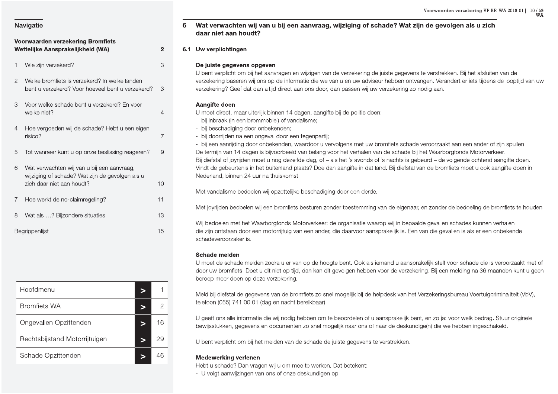|                | Voorwaarden verzekering Bromfiets<br>Wettelijke Aansprakelijkheid (WA)                                                     | 2  |
|----------------|----------------------------------------------------------------------------------------------------------------------------|----|
| 1              | Wie zijn verzekerd?                                                                                                        | 3  |
| $\overline{2}$ | Welke bromfiets is verzekerd? In welke landen<br>bent u verzekerd? Voor hoeveel bent u verzekerd?                          | З  |
| 3              | Voor welke schade bent u verzekerd? En voor<br>welke niet?                                                                 | 4  |
| 4              | Hoe vergoeden wij de schade? Hebt u een eigen<br>risico?                                                                   | 7  |
| 5              | Tot wanneer kunt u op onze beslissing reageren?                                                                            | 9  |
| 6              | Wat verwachten wij van u bij een aanvraag,<br>wijziging of schade? Wat zijn de gevolgen als u<br>zich daar niet aan houdt? | 10 |
| 7              | Hoe werkt de no-claimregeling?                                                                                             | 11 |
| 8              | Wat als ? Bijzondere situaties                                                                                             | 13 |
|                | Begrippenlijst                                                                                                             | 15 |

| Hoofdmenu                     |    |
|-------------------------------|----|
| <b>Bromfiets WA</b>           | 2  |
| Ongevallen Opzittenden        | 16 |
| Rechtsbijstand Motorrijtuigen | 29 |
| Schade Opzittenden            |    |

### Wat verwachten wij van u bij een aanvraag, wijziging of schade? Wat zijn de gevolgen als u zich 6 daar niet aan houdt?

### 6.1 Uw verplichtingen

### De juiste gegevens opgeven

U bent verplicht om bij het aanvragen en wijzigen van de verzekering de juiste gegevens te verstrekken. Bij het afsluiten van de verzekering baseren wij ons op de informatie die we van u en uw adviseur hebben ontvangen. Verandert er iets tijdens de looptijd van uw verzekering? Geef dat dan altijd direct aan ons door, dan passen wij uw verzekering zo nodig aan.

### Aangifte doen

U moet direct, maar uiterlijk binnen 14 dagen, aangifte bij de politie doen:

- bij inbraak (in een brommobiel) of vandalisme;
- bij beschadiging door onbekenden;
- bij doorrijden na een ongeval door een tegenpartij;

- bij een aanrijding door onbekenden, waardoor u vervolgens met uw bromfiets schade veroorzaakt aan een ander of zijn spullen. De termijn van 14 dagen is bijvoorbeeld van belang voor het verhalen van de schade bij het Waarborgfonds Motorverkeer. Bij diefstal of joyrijden moet u nog dezelfde dag, of - als het 's avonds of 's nachts is gebeurd - de volgende ochtend aangifte doen. Vindt de gebeurtenis in het buitenland plaats? Doe dan aangifte in dat land. Bij diefstal van de bromfiets moet u ook aangifte doen in Nederland, binnen 24 uur na thuiskomst.

Met vandalisme bedoelen wij opzettelijke beschadiging door een derde.

Met joyrijden bedoelen wij een bromfiets besturen zonder toestemming van de eigenaar, en zonder de bedoeling de bromfiets te houden.

Wij bedoelen met het Waarborgfonds Motorverkeer: de organisatie waarop wij in bepaalde gevallen schades kunnen verhalen die zijn ontstaan door een motorrijtuig van een ander, die daarvoor aansprakelijk is. Een van die gevallen is als er een onbekende schadeveroorzaker is.

### Schade melden

U moet de schade melden zodra u er van op de hoogte bent. Ook als iemand u aansprakelijk stelt voor schade die is veroorzaakt met of door uw bromfiets. Doet u dit niet op tijd, dan kan dit gevolgen hebben voor de verzekering. Bij een melding na 36 maanden kunt u geen beroep meer doen op deze verzekering.

Meld bij diefstal de gegevens van de bromfiets zo snel mogelijk bij de helpdesk van het Verzekeringsbureau Voertuigcriminaliteit (VbV), telefoon (055) 741 00 01 (dag en nacht bereikbaar).

U geeft ons alle informatie die wij nodig hebben om te beoordelen of u aansprakelijk bent, en zo ja: voor welk bedrag. Stuur originele bewijsstukken, gegevens en documenten zo snel mogelijk naar ons of naar de deskundige(n) die we hebben ingeschakeld.

U bent verplicht om bij het melden van de schade de juiste gegevens te verstrekken.

### **Medewerking verlenen**

Hebt u schade? Dan vragen wij u om mee te werken. Dat betekent:

- U volgt aanwijzingen van ons of onze deskundigen op.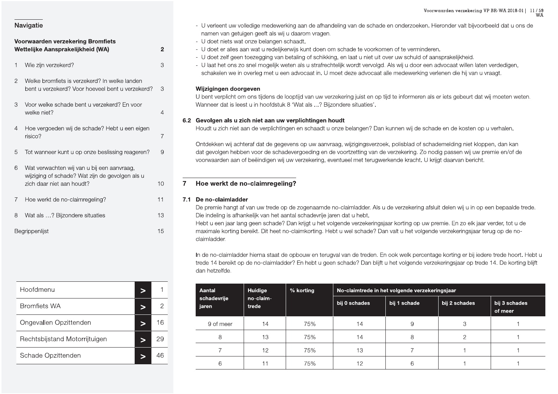|                | Navigatie                                                  |                |                | - U verlee<br>namen               |
|----------------|------------------------------------------------------------|----------------|----------------|-----------------------------------|
|                | <b>Voorwaarden verzekering Bromfiets</b>                   |                |                | - U doet                          |
|                | Wettelijke Aansprakelijkheid (WA)                          | $\overline{2}$ |                | - U doet<br>- U doet              |
| 1              | Wie zijn verzekerd?                                        | 3              |                | - U laat h<br>schake              |
| $\overline{2}$ | Welke bromfiets is verzekerd? In welke landen              |                |                |                                   |
|                | bent u verzekerd? Voor hoeveel bent u verzekerd?           | 3              |                | Wijziging<br>U bent ve            |
| 3              | Voor welke schade bent u verzekerd? En voor<br>welke niet? | $\overline{4}$ |                | Wanneer                           |
|                |                                                            |                |                | 6.2 Gevolger                      |
| $\overline{4}$ | Hoe vergoeden wij de schade? Hebt u een eigen              |                |                | Houdt u z                         |
|                | risico?                                                    | $\overline{7}$ |                |                                   |
| 5              | Tot wanneer kunt u op onze beslissing reageren?            | $\Theta$       |                | Ontdekke<br>dat gevol<br>voorwaar |
| 6              | Wat verwachten wij van u bij een aanvraag,                 |                |                |                                   |
|                | wijziging of schade? Wat zijn de gevolgen als u            |                |                |                                   |
|                | zich daar niet aan houdt?                                  | 10             | $\overline{7}$ | Hoe we                            |
| $\overline{7}$ | Hoe werkt de no-claimregeling?                             | 11             | 7.1            | De no-cl<br>De premie             |
| 8              | Wat als ? Bijzondere situaties                             | 13             |                | Die indelir<br>Hebt u ee          |
|                | Begrippenlijst                                             | 15             |                | maximale                          |
|                |                                                            |                |                |                                   |

| n is month as no siam mogoling i |                          | De premie han                                        |
|----------------------------------|--------------------------|------------------------------------------------------|
| Wat als ? Bijzondere situaties   | 13                       | Die indeling is<br>Hebt u een jaa                    |
| Begrippenlijst                   | 15                       | maximale korti<br>claimladder.                       |
|                                  |                          | In de no-claiml<br>trede 14 bereil<br>dan hetzelfde. |
| Hoofdmenu                        | 1<br>$\geq$              | <b>Aantal</b>                                        |
| <b>Bromfiets WA</b>              | $\overline{c}$<br>$\geq$ | schadevrije<br>jaren                                 |
| Ongevallen Opzittenden           | 16<br>$\geq$             | 9 of meer                                            |
| Rechtsbijstand Motorrijtuigen    | 29<br>$\geq$             | 8                                                    |
| Schade Opzittenden               | 46<br>$\geq$             | $\overline{7}$                                       |
|                                  |                          | 6                                                    |

- Voorwaarden verzekering Bromfiets<br>
Voorwaarden verzekering Bromfiets<br>
Voorwaarden verzekering Bromfiets<br>
Voorwaarden verzekering Bromfiets<br>
Voorwaarden verzekering Bromfiets<br>
Voorwaarden verzekering Bromfiets<br>
2 U doet e Voorwaarden verzeker:<br>Fieronder valt bijven<br>Then of te verminderen.<br>Then of te verminderen.<br>Then schuld of aansprakelijkheid. Voorwaarden verzekering VP BR-W<br>en onderzoeken. Hieronder valt bijvoorbeeld<br>en of te verminderen.<br>ver uw schuld of aansprakelijkheid Voorwaarden verzekering VP BR-WA 2018-01 | 11 / 59<br>WA<br>coeken. Hieronder valt bijvoorbeeld dat u ons de<br>erminderen.<br>wuld of aansprakelijkheid.
	-
	-
	-
	-

|                                                           |                |                                                                          |                      |                                                   |                                                                         |                                                                                                                  | Voorwaarden verzekering VP BR-WA 2018-01   11/59                                                                                                                                                                                                          | WA                       |
|-----------------------------------------------------------|----------------|--------------------------------------------------------------------------|----------------------|---------------------------------------------------|-------------------------------------------------------------------------|------------------------------------------------------------------------------------------------------------------|-----------------------------------------------------------------------------------------------------------------------------------------------------------------------------------------------------------------------------------------------------------|--------------------------|
| Navigatie                                                 |                |                                                                          |                      |                                                   |                                                                         |                                                                                                                  | - U verleent uw volledige medewerking aan de afhandeling van de schade en onderzoeken. Hieronder valt bijvoorbeeld dat u ons de                                                                                                                           |                          |
| <b>Voorwaarden verzekering Bromfiets</b>                  |                | - U doet niets wat onze belangen schaadt.                                |                      | namen van getuigen geeft als wij u daarom vragen. |                                                                         |                                                                                                                  |                                                                                                                                                                                                                                                           |                          |
| Wettelijke Aansprakelijkheid (WA)                         | $\overline{2}$ |                                                                          |                      |                                                   |                                                                         | - U doet er alles aan wat u redelijkerwijs kunt doen om schade te voorkomen of te verminderen.                   |                                                                                                                                                                                                                                                           |                          |
|                                                           |                |                                                                          |                      |                                                   |                                                                         | - U doet zelf geen toezegging van betaling of schikking, en laat u niet uit over uw schuld of aansprakelijkheid. |                                                                                                                                                                                                                                                           |                          |
| Wie zijn verzekerd?                                       | 3              |                                                                          |                      |                                                   |                                                                         |                                                                                                                  | - U laat het ons zo snel mogelijk weten als u strafrechtelijk wordt vervolgd. Als wij u door een advocaat willen laten verdedigen,<br>schakelen we in overleg met u een advocaat in. U moet deze advocaat alle medewerking verlenen die hij van u vraagt. |                          |
| Welke bromfiets is verzekerd? In welke landen             |                |                                                                          |                      |                                                   |                                                                         |                                                                                                                  |                                                                                                                                                                                                                                                           |                          |
| bent u verzekerd? Voor hoeveel bent u verzekerd?          | -3             | Wijzigingen doorgeven                                                    |                      |                                                   |                                                                         |                                                                                                                  |                                                                                                                                                                                                                                                           |                          |
| Voor welke schade bent u verzekerd? En voor               |                |                                                                          |                      |                                                   | Wanneer dat is leest u in hoofdstuk 8 'Wat als ? Bijzondere situaties'. |                                                                                                                  | U bent verplicht om ons tijdens de looptijd van uw verzekering juist en op tijd te informeren als er iets gebeurt dat wij moeten weten.                                                                                                                   |                          |
| welke niet?                                               |                |                                                                          |                      |                                                   |                                                                         |                                                                                                                  |                                                                                                                                                                                                                                                           |                          |
|                                                           |                | 6.2 Gevolgen als u zich niet aan uw verplichtingen houdt                 |                      |                                                   |                                                                         |                                                                                                                  | Houdt u zich niet aan de verplichtingen en schaadt u onze belangen? Dan kunnen wij de schade en de kosten op u verhalen.                                                                                                                                  |                          |
| Hoe vergoeden wij de schade? Hebt u een eigen<br>risico?  |                |                                                                          |                      |                                                   |                                                                         |                                                                                                                  |                                                                                                                                                                                                                                                           |                          |
|                                                           |                |                                                                          |                      |                                                   |                                                                         |                                                                                                                  | Ontdekken wij achteraf dat de gegevens op uw aanvraag, wijzigingsverzoek, polisblad of schademelding niet kloppen, dan kan                                                                                                                                |                          |
| Tot wanneer kunt u op onze beslissing reageren?<br>5      | 9              |                                                                          |                      |                                                   |                                                                         |                                                                                                                  | dat gevolgen hebben voor de schadevergoeding en de voortzetting van de verzekering. Zo nodig passen wij uw premie en/of de<br>voorwaarden aan of beëindigen wij uw verzekering, eventueel met terugwerkende kracht. U krijgt daarvan bericht.             |                          |
| 6 Wat verwachten wij van u bij een aanvraag,              |                |                                                                          |                      |                                                   |                                                                         |                                                                                                                  |                                                                                                                                                                                                                                                           |                          |
| wijziging of schade? Wat zijn de gevolgen als u           |                |                                                                          |                      |                                                   |                                                                         |                                                                                                                  |                                                                                                                                                                                                                                                           |                          |
| zich daar niet aan houdt?                                 | 10             | Hoe werkt de no-claimregeling?                                           |                      |                                                   |                                                                         |                                                                                                                  |                                                                                                                                                                                                                                                           |                          |
| Hoe werkt de no-claimregeling?                            | 11             | 7.1 De no-claimladder                                                    |                      |                                                   |                                                                         |                                                                                                                  |                                                                                                                                                                                                                                                           |                          |
| 8 Wat als ? Bijzondere situaties                          | 13             | Die indeling is afhankelijk van het aantal schadevrije jaren dat u hebt. |                      |                                                   |                                                                         |                                                                                                                  | De premie hangt af van uw trede op de zogenaamde no-claimladder. Als u de verzekering afsluit delen wij u in op een bepaalde trede.                                                                                                                       |                          |
|                                                           |                |                                                                          |                      |                                                   |                                                                         |                                                                                                                  | Hebt u een jaar lang geen schade? Dan krijgt u het volgende verzekeringsjaar korting op uw premie. En zo elk jaar verder, tot u de                                                                                                                        |                          |
| Begrippenlijst                                            | 15             | claimladder.                                                             |                      |                                                   |                                                                         |                                                                                                                  | maximale korting bereikt. Dit heet no-claimkorting. Hebt u wel schade? Dan valt u het volgende verzekeringsjaar terug op de no-                                                                                                                           |                          |
|                                                           |                |                                                                          |                      |                                                   |                                                                         |                                                                                                                  | In de no-claimladder hierna staat de opbouw en terugval van de treden. En ook welk percentage korting er bij iedere trede hoort. Hebt u                                                                                                                   |                          |
|                                                           |                | dan hetzelfde.                                                           |                      |                                                   |                                                                         |                                                                                                                  | trede 14 bereikt op de no-claimladder? En hebt u geen schade? Dan blijft u het volgende verzekeringsjaar op trede 14. De korting blijft                                                                                                                   |                          |
|                                                           |                |                                                                          |                      |                                                   |                                                                         |                                                                                                                  |                                                                                                                                                                                                                                                           |                          |
| Hoofdmenu<br>$\, >$                                       |                | Aantal<br>schadevrije                                                    | Huidige<br>no-claim- | % korting                                         |                                                                         | No-claimtrede in het volgende verzekeringsjaar                                                                   |                                                                                                                                                                                                                                                           |                          |
| <b>Bromfiets WA</b><br>⋗                                  | $\mathbf{2}$   | jaren                                                                    | trede                |                                                   | bij 0 schades                                                           | bij 1 schade                                                                                                     | bij 2 schades                                                                                                                                                                                                                                             | bij 3 schades<br>of meer |
|                                                           | 16             | 9 of meer                                                                | 14                   | 75%                                               | 14                                                                      | 9                                                                                                                | 3                                                                                                                                                                                                                                                         | $\mathbf{1}$             |
| Ongevallen Opzittenden<br>$\geq$                          | 29             | 8                                                                        | 13                   | 75%                                               | 14                                                                      | 8                                                                                                                | $\overline{2}$                                                                                                                                                                                                                                            | $\overline{1}$           |
| Rechtsbijstand Motorrijtuigen<br>$\geq$                   |                |                                                                          | 12                   | 75%                                               | 13                                                                      | $\overline{7}$                                                                                                   |                                                                                                                                                                                                                                                           | -1                       |
| Schade Opzittenden<br>$\qquad \qquad \blacktriangleright$ | 46             | 7                                                                        |                      |                                                   |                                                                         |                                                                                                                  |                                                                                                                                                                                                                                                           |                          |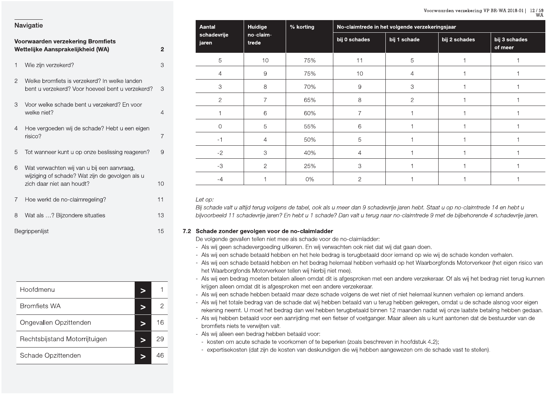|                | Voorwaarden verzekering Bromfiets<br>Wettelijke Aansprakelijkheid (WA)                                                     | $\overline{a}$ |
|----------------|----------------------------------------------------------------------------------------------------------------------------|----------------|
| $\mathbf{1}$   | Wie zijn verzekerd?                                                                                                        | 3              |
| $\overline{2}$ | Welke bromfiets is verzekerd? In welke landen<br>bent u verzekerd? Voor hoeveel bent u verzekerd?                          | 3              |
| 3              | Voor welke schade bent u verzekerd? En voor<br>welke niet?                                                                 | $\overline{4}$ |
| 4              | Hoe vergoeden wij de schade? Hebt u een eigen<br>risico?                                                                   | 7              |
| 5              | Tot wanneer kunt u op onze beslissing reageren?                                                                            | 9              |
| 6              | Wat verwachten wij van u bij een aanvraag,<br>wijziging of schade? Wat zijn de gevolgen als u<br>zich daar niet aan houdt? | 10             |
| 7              | Hoe werkt de no-claimregeling?                                                                                             | 11             |
| 8              | Wat als ? Bijzondere situaties                                                                                             | 13             |
|                | Begrippenlijst                                                                                                             | 15             |

| Hoofdmenu                     |   |    |
|-------------------------------|---|----|
| <b>Bromfiets WA</b>           |   |    |
| Ongevallen Opzittenden        |   | 16 |
| Rechtsbijstand Motorrijtuigen | ⋗ | 29 |
| Schade Opzittenden            |   |    |

| Aantal               | Huidige            | % korting | No-claimtrede in het volgende verzekeringsjaar |              |               |                          |  |  |
|----------------------|--------------------|-----------|------------------------------------------------|--------------|---------------|--------------------------|--|--|
| schadevrije<br>jaren | no-claim-<br>trede |           | bij 0 schades                                  | bij 1 schade | bij 2 schades | bij 3 schades<br>of meer |  |  |
| 5                    | 10                 | 75%       | 11                                             | 5            |               |                          |  |  |
| 4                    | 9                  | 75%       | 10                                             | 4            |               |                          |  |  |
| 3                    | 8                  | 70%       | $\overline{9}$                                 | 3            |               |                          |  |  |
| $\overline{2}$       | 7                  | 65%       | 8                                              | $\mathbf{2}$ |               |                          |  |  |
|                      | 6                  | 60%       | 7                                              |              |               |                          |  |  |
| Ω                    | 5                  | 55%       | 6                                              |              |               |                          |  |  |
| -1                   | 4                  | 50%       | 5                                              |              |               |                          |  |  |
| $-2$                 | 3                  | 40%       | 4                                              |              |               |                          |  |  |
| $-3$                 | $\overline{2}$     | 25%       | $\,3$                                          |              |               |                          |  |  |
| $-4$                 |                    | 0%        | 2                                              |              |               |                          |  |  |

### Let op:

Bij schade valt u altijd terug volgens de tabel, ook als u meer dan 9 schadevrije jaren hebt. Staat u op no-claimtrede 14 en hebt u bijvoorbeeld 11 schadevrije jaren? En hebt u 1 schade? Dan valt u terug naar no-claimtrede 9 met de bijbehorende 4 schadevrije jaren.

### 7.2 Schade zonder gevolgen voor de no-claimladder

De volgende gevallen tellen niet mee als schade voor de no-claimladder:

- Als wij geen schadevergoeding uitkeren. En wij verwachten ook niet dat wij dat gaan doen.
- Als wij een schade betaald hebben en het hele bedrag is terugbetaald door iemand op wie wij de schade konden verhalen.
- Als wij een schade betaald hebben en het bedrag helemaal hebben verhaald op het Waarborgfonds Motorverkeer (het eigen risico van het Waarborgfonds Motorverkeer tellen wij hierbij niet mee).
- Als wij een bedrag moeten betalen alleen omdat dit is afgesproken met een andere verzekeraar. Of als wij het bedrag niet terug kunnen krijgen alleen omdat dit is afgesproken met een andere verzekeraar.
- Als wij een schade hebben betaald maar deze schade volgens de wet niet of niet helemaal kunnen verhalen op iemand anders.
- Als wij het totale bedrag van de schade dat wij hebben betaald van u terug hebben gekregen, omdat u de schade alsnog voor eigen rekening neemt. U moet het bedrag dan wel hebben terugbetaald binnen 12 maanden nadat wij onze laatste betaling hebben gedaan.
- Als wij hebben betaald voor een aanrijding met een fietser of voetganger. Maar alleen als u kunt aantonen dat de bestuurder van de bromfiets niets te verwijten valt.
- Als wij alleen een bedrag hebben betaald voor:
- kosten om acute schade te voorkomen of te beperken (zoals beschreven in hoofdstuk 4.2);
- expertisekosten (dat zijn de kosten van deskundigen die wij hebben aangewezen om de schade vast te stellen).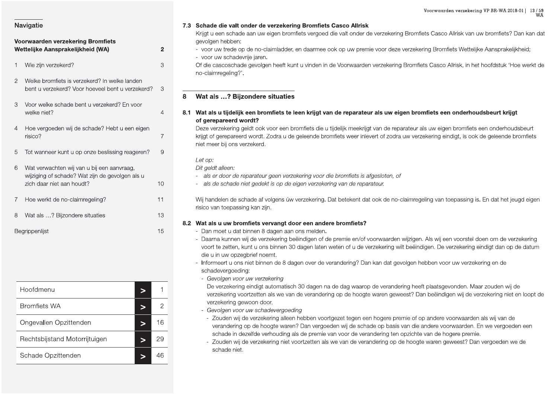### Voorwaarden verzekering Bromfiets Wettelijke Aansprakelijkheid (WA) Wie zijn verzekerd?

- 2 Welke bromfiets is verzekerd? In welke landen bent u verzekerd? Voor hoeveel bent u verzekerd?  $\mathcal{S}$
- $\mathcal{S}$ Voor welke schade bent u verzekerd? En voor welke niet?
- 4 Hoe vergoeden wij de schade? Hebt u een eigen risico?
- Tot wanneer kunt u op onze beslissing reageren? 9 5
- 6 Wat verwachten wij van u bij een aanvraag, wijziging of schade? Wat zijn de gevolgen als u zich daar niet aan houdt?  $10$ Hoe werkt de no-claimregeling?  $\overline{7}$  $11$ 8 Wat als ...? Bijzondere situaties 13 15 Begrippenlijst

| Hoofdmenu                     |    |
|-------------------------------|----|
| <b>Bromfiets WA</b>           |    |
| Ongevallen Opzittenden        | 16 |
| Rechtsbijstand Motorrijtuigen | 29 |
| Schade Opzittenden            |    |

### 7.3 Schade die valt onder de verzekering Bromfiets Casco Allrisk

Krijgt u een schade aan uw eigen bromfiets vergoed die valt onder de verzekering Bromfiets Casco Allrisk van uw bromfiets? Dan kan dat aevolaen hebben:

- voor uw trede op de no-claimladder, en daarmee ook op uw premie voor deze verzekering Bromfiets Wettelijke Aansprakelijkheid: - voor uw schadevrije jaren.
- Of die cascoschade gevolgen heeft kunt u vinden in de Voorwaarden verzekering Bromfiets Casco Allrisk, in het hoofdstuk 'Hoe werkt de no-claimregeling?'.

### Wat als ...? Bijzondere situaties 8

8.1 Wat als u tijdelijk een bromfiets te leen krijgt van de reparateur als uw eigen bromfiets een onderhoudsbeurt krijgt of gerepareerd wordt?

Deze verzekering geldt ook voor een bromfiets die u tijdelijk meekrijgt van de reparateur als uw eigen bromfiets een onderhoudsbeurt krijgt of gerepareerd wordt. Zodra u de geleende bromfiets weer inlevert of zodra uw verzekering eindigt, is ook de geleende bromfiets niet meer bij ons verzekerd.

Let op:

 $\overline{2}$ 

 $\mathcal{S}$ 

 $\overline{4}$ 

 $\overline{7}$ 

Dit geldt alleen:

- als er door de reparateur geen verzekering voor die bromfiets is afgesloten, of
- als de schade niet gedekt is op de eigen verzekering van de reparateur.

Wij handelen de schade af volgens úw verzekering. Dat betekent dat ook de no-claimregeling van toepassing is. En dat het jeugd eigen risico van toepassing kan zijn.

### 8.2 Wat als u uw bromfiets vervangt door een andere bromfiets?

- Dan moet u dat binnen 8 dagen aan ons melden.
- Daarna kunnen wij de verzekering beëindigen of de premie en/of voorwaarden wijzigen. Als wij een voorstel doen om de verzekering voort te zetten, kunt u ons binnen 30 dagen laten weten of u de verzekering wilt beëindigen. De verzekering eindigt dan op de datum die u in uw opzegbrief noemt.
- Informeert u ons niet binnen de 8 dagen over de verandering? Dan kan dat gevolgen hebben voor uw verzekering en de schadevergoeding:
- Gevolgen voor uw verzekering

De verzekering eindigt automatisch 30 dagen na de dag waarop de verandering heeft plaatsgevonden. Maar zouden wij de verzekering voortzetten als we van de verandering op de hoogte waren geweest? Dan beëindigen wij de verzekering niet en loopt de verzekering gewoon door.

- Gevolgen voor uw schadevergoeding
- Zouden wij de verzekering alleen hebben voortgezet tegen een hogere premie of op andere voorwaarden als wij van de verandering op de hoogte waren? Dan vergoeden wij de schade op basis van die andere voorwaarden. En we vergoeden een schade in dezelfde verhouding als de premie van voor de verandering ten opzichte van de hogere premie.
- Zouden wij de verzekering niet voortzetten als we van de verandering op de hoogte waren geweest? Dan vergoeden we de schade niet.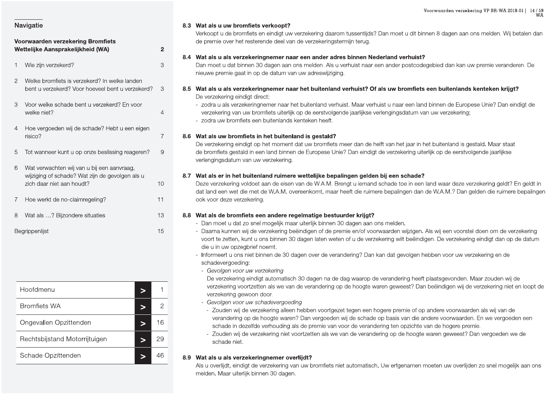### Voorwaarden verzekering Bromfiets Wettelijke Aansprakelijkheid (WA) Wie zijn verzekerd? 2 Welke bromfiets is verzekerd? In welke landen bent u verzekerd? Voor hoeveel bent u verzekerd?  $\mathcal{L}$ Voor welke schade bent u verzekerd? En voor welke niet?  $\overline{4}$ Hoe vergoeden wij de schade? Hebt u een eigen risico? Tot wanneer kunt u op onze beslissing reageren? 5 6 Wat verwachten wij van u bij een aanvraag, wijziging of schade? Wat zijn de gevolgen als u zich daar niet aan houdt?  $\overline{7}$ Hoe werkt de no-claimregeling?

8 Wat als ...? Bijzondere situaties Begrippenlijst

| Hoofdmenu                     |    |
|-------------------------------|----|
| <b>Bromfiets WA</b>           | 2  |
| Ongevallen Opzittenden        | 16 |
| Rechtsbijstand Motorrijtuigen | 29 |
| Schade Opzittenden            |    |

### 8.3 Wat als u uw bromfiets verkoopt?

 $\overline{2}$ 

3

 $\mathcal{S}$ 

 $\overline{4}$ 

 $\overline{7}$ 

9

 $10$ 

 $11$ 

13

15

Verkoopt u de bromfiets en eindigt uw verzekering daarom tussentijds? Dan moet u dit binnen 8 dagen aan ons melden. Wij betalen dan de premie over het resterende deel van de verzekeringstermijn terug.

### 8.4 Wat als u als verzekeringnemer naar een ander adres binnen Nederland verhuist?

Dan moet u dat binnen 30 dagen aan ons melden. Als u verhuist naar een ander postcodegebied dan kan uw premie veranderen. De nieuwe premie gaat in op de datum van uw adreswijziging.

### 8.5 Wat als u als verzekeringnemer naar het buitenland verhuist? Of als uw bromfiets een buitenlands kenteken krijgt? De verzekering eindigt direct:

- zodra u als verzekeringnemer naar het buitenland verhuist. Maar verhuist u naar een land binnen de Europese Unie? Dan eindigt de verzekering van uw bromfiets uiterlijk op de eerstvolgende jaarlijkse verlengingsdatum van uw verzekering; - zodra uw bromfiets een buitenlands kenteken heeft.

### 8.6 Wat als uw bromfiets in het buitenland is gestald?

De verzekering eindigt op het moment dat uw bromfiets meer dan de helft van het jaar in het buitenland is gestald. Maar staat de bromfiets gestald in een land binnen de Europese Unie? Dan eindigt de verzekering uiterlijk op de eerstvolgende jaarlijkse verlengingsdatum van uw verzekering.

### 8.7 Wat als er in het buitenland ruimere wettelijke bepalingen gelden bij een schade?

Deze verzekering voldoet aan de eisen van de W.A.M. Brengt u iemand schade toe in een land waar deze verzekering geldt? En geldt in dat land een wet die met de W.A.M. overeenkomt, maar heeft die ruimere bepalingen dan de W.A.M.? Dan gelden die ruimere bepalingen ook voor deze verzekering.

### 8.8 Wat als de bromfiets een andere regelmatige bestuurder krijgt?

- Dan moet u dat zo snel mogelijk maar uiterlijk binnen 30 dagen aan ons melden.
- Daarna kunnen wij de verzekering beëindigen of de premie en/of voorwaarden wijzigen. Als wij een voorstel doen om de verzekering voort te zetten, kunt u ons binnen 30 dagen laten weten of u de verzekering wilt beëindigen. De verzekering eindigt dan op de datum die u in uw opzegbrief noemt.
	- Informeert u ons niet binnen de 30 dagen over de verandering? Dan kan dat gevolgen hebben voor uw verzekering en de schadevergoeding:
	- Gevolgen voor uw verzekering

De verzekering eindigt automatisch 30 dagen na de dag waarop de verandering heeft plaatsgevonden. Maar zouden wij de verzekering voortzetten als we van de verandering op de hoogte waren geweest? Dan beëindigen wij de verzekering niet en loopt de verzekering gewoon door.

- Gevolgen voor uw schadevergoeding
- Zouden wij de verzekering alleen hebben voortgezet tegen een hogere premie of op andere voorwaarden als wij van de verandering op de hoogte waren? Dan vergoeden wij de schade op basis van die andere voorwaarden. En we vergoeden een schade in dezelfde verhouding als de premie van voor de verandering ten opzichte van de hogere premie.
- Zouden wij de verzekering niet voortzetten als we van de verandering op de hoogte waren geweest? Dan vergoeden we de schade niet.

### 8.9 Wat als u als verzekeringnemer overlijdt?

Als u overlijdt, eindigt de verzekering van uw bromfiets niet automatisch. Uw erfgenamen moeten uw overlijden zo snel mogelijk aan ons melden. Maar uiterlijk binnen 30 dagen.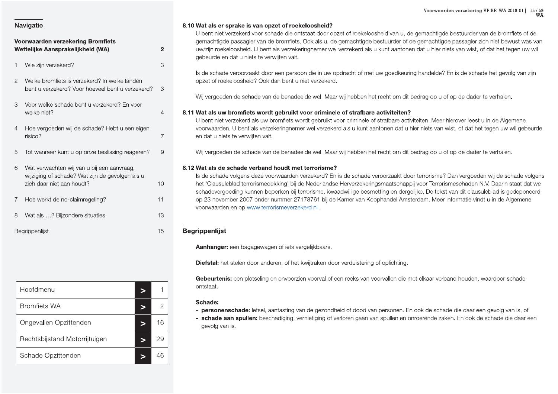## **Navigatie**<br> **S.10 Wat als definition of the U bent nine of the U bent nine of the U bent nine of the U bent nine of the U bent nine of the Zijn verzekerd?<br>
1 Wie zijn verzekerd?<br>
1 Wie zijn verzekerd?<br>
2 Welke bromfiets i**

- 
- 
- 

| i ioo worke ao no olalimogolling i        |                          |                                  |
|-------------------------------------------|--------------------------|----------------------------------|
| $\,8\,$<br>Wat als ? Bijzondere situaties | 13                       | voorwaarden e                    |
| Begrippenlijst                            | 15                       | <b>Begrippenlijst</b>            |
|                                           |                          | Aanhanger: e                     |
|                                           |                          | Diefstal: het s                  |
|                                           |                          | <b>Gebeurtenis:</b><br>ontstaat. |
| Hoofdmenu                                 | 1<br>$\geq$              |                                  |
| <b>Bromfiets WA</b>                       | $\overline{c}$<br>$\geq$ | Schade:<br>- personenso          |
| Ongevallen Opzittenden                    | 16<br>$\geq$             | - schade aar<br>gevolg van is    |
| Rechtsbijstand Motorrijtuigen             | 29<br>$\geq$             |                                  |
| Schade Opzittenden                        | 46<br>$\geq$             |                                  |
|                                           |                          |                                  |

Voorwaarden **Sand Water School and School School School School School School School School School School School School School School School School School School School School School School School School School School Schoo** Voorwaarden verzeker:<br>id van u, de gemachtigde bestuurde<br>tuurder of de gemachtigde passagie<br>unt aantonen dat u hier niets van wis Voorwaarden verzekering VP BR-W<br>d van u, de gemachtigde bestuurder van de b<br>uurder of de gemachtigde passagier zich niet<br>nt aantonen dat u hier niets van wist, of dat he Voorwaarden verzekering VP BR-WA 2018-01 | 15 / 59<br>WA<br>9 gemachtigde bestuurder van de bromfiets of de<br>9 gemachtigde passagier zich niet bewust was van<br>9 n dat u hier niets van wist, of dat het tegen uw wil

 $\begin{tabular}{|c||c|} \hline & & \multicolumn{3}{|c||c|} \hline & \multicolumn{3}{|c||c|} \hline & \multicolumn{3}{|c||c|} \hline & \multicolumn{3}{|c||c|} \hline & \multicolumn{3}{|c||c|} \hline & \multicolumn{3}{|c||c|} \hline & \multicolumn{3}{|c||c|} \hline & \multicolumn{3}{|c||c|} \hline & \multicolumn{3}{|c||c|} \hline & \multicolumn{3}{|c||c|} \hline & \multicolumn{3}{|c||c|} \hline & \multicolumn{3}{|c||c|} \hline$ 

- 
-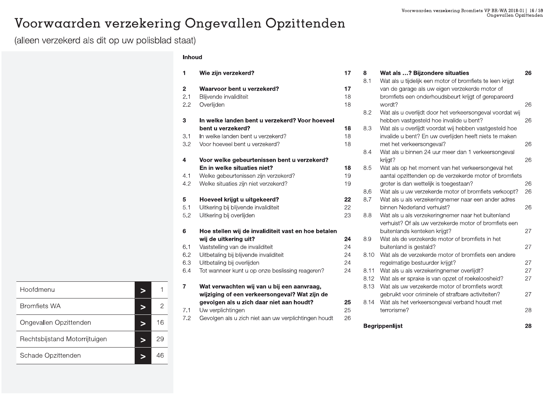### Voorwaarden verzekering Ongevallen Opzittenden

(alleen verzekerd als dit op uw polisblad staat)

### Inhoud

| 1                            | Wie zijn verzekerd?                                                                         | 17             |
|------------------------------|---------------------------------------------------------------------------------------------|----------------|
| $\overline{2}$<br>2.1<br>2.2 | Waarvoor bent u verzekerd?<br>Blijvende invaliditeit<br>Overlijden                          | 17<br>18<br>18 |
| 3                            | In welke landen bent u verzekerd? Voor hoeveel                                              |                |
|                              | bent u verzekerd?                                                                           | 18             |
| 3.1                          | In welke landen bent u verzekerd?                                                           | 18             |
| 3.2                          | Voor hoeveel bent u verzekerd?                                                              | 18             |
| 4                            | Voor welke gebeurtenissen bent u verzekerd?                                                 |                |
|                              | En in welke situaties niet?                                                                 | 18             |
| 4.1                          | Welke gebeurtenissen zijn verzekerd?                                                        | 19             |
| 4.2                          | Welke situaties zijn niet verzekerd?                                                        | 19             |
| 5                            | Hoeveel krijgt u uitgekeerd?                                                                | 22             |
| 5.1                          | Uitkering bij blijvende invaliditeit                                                        | 22             |
| 5.2                          | Uitkering bij overlijden                                                                    | 23             |
| 6                            | Hoe stellen wij de invaliditeit vast en hoe betalen                                         |                |
|                              | wij de uitkering uit?                                                                       | 24             |
| 6.1                          | Vaststelling van de invaliditeit                                                            | 24             |
| 6.2                          | Uitbetaling bij blijvende invaliditeit                                                      | 24             |
| 6.3                          | Uitbetaling bij overlijden                                                                  | 24             |
| 6.4                          | Tot wanneer kunt u op onze beslissing reageren?                                             | 24             |
| 7                            | Wat verwachten wij van u bij een aanvraag,<br>wijziging of een verkeersongeval? Wat zijn de |                |
|                              | gevolgen als u zich daar niet aan houdt?                                                    | 25             |
| 7.1                          | Uw verplichtingen                                                                           | 25             |
| 7.2                          | Gevolgen als u zich niet aan uw verplichtingen houdt                                        | 26             |
|                              |                                                                                             |                |

| 8    | Wat als ? Bijzondere situaties                            | 26 |
|------|-----------------------------------------------------------|----|
| 8.1  | Wat als u tijdelijk een motor of bromfiets te leen krijgt |    |
|      | van de garage als uw eigen verzekerde motor of            |    |
|      | bromfiets een onderhoudsbeurt krijgt of gerepareerd       |    |
|      | wordt?                                                    | 26 |
| 8.2  | Wat als u overlijdt door het verkeersongeval voordat wij  |    |
|      | hebben vastgesteld hoe invalide u bent?                   | 26 |
| 8.3  | Wat als u overlijdt voordat wij hebben vastgesteld hoe    |    |
|      | invalide u bent? En uw overlijden heeft niets te maken    |    |
|      | met het verkeersongeval?                                  | 26 |
| 8.4  | Wat als u binnen 24 uur meer dan 1 verkeersongeval        |    |
|      | krijgt?                                                   | 26 |
| 8.5  | Wat als op het moment van het verkeersongeval het         |    |
|      | aantal opzittenden op de verzekerde motor of bromfiets    |    |
|      | groter is dan wettelijk is toegestaan?                    | 26 |
| 8.6  | Wat als u uw verzekerde motor of bromfiets verkoopt?      | 26 |
| 8.7  | Wat als u als verzekeringnemer naar een ander adres       |    |
|      | binnen Nederland verhuist?                                | 26 |
| 8.8  | Wat als u als verzekeringnemer naar het buitenland        |    |
|      | verhuist? Of als uw verzekerde motor of bromfiets een     |    |
|      | buitenlands kenteken krijgt?                              | 27 |
| 8.9  | Wat als de verzekerde motor of bromfiets in het           |    |
|      | buitenland is gestald?                                    | 27 |
| 8.10 | Wat als de verzekerde motor of bromfiets een andere       |    |
|      | regelmatige bestuurder krijgt?                            | 27 |
| 8.11 | Wat als u als verzekeringnemer overlijdt?                 | 27 |
| 8.12 | Wat als er sprake is van opzet of roekeloosheid?          | 27 |
| 8.13 | Wat als uw verzekerde motor of bromfiets wordt            |    |
|      | gebruikt voor criminele of strafbare activiteiten?        | 27 |
| 8.14 | Wat als het verkeersongeval verband houdt met             |    |
|      | terrorisme?                                               | 28 |
|      |                                                           | 28 |
|      | <b>Begrippenlijst</b>                                     |    |

| Hoofdmenu                     |    |
|-------------------------------|----|
| <b>Bromfiets WA</b>           | 2  |
| Ongevallen Opzittenden        | 16 |
| Rechtsbijstand Motorrijtuigen | 29 |
| Schade Opzittenden            |    |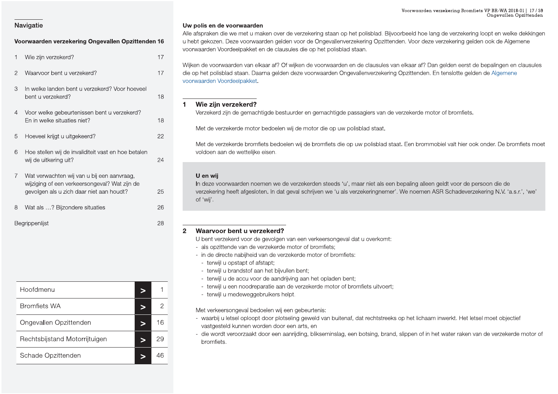### Voorwaarden verzekering Ongevallen Opzittenden 16

| 1              | Wie zijn verzekerd?                                                                                                                     | 17 |
|----------------|-----------------------------------------------------------------------------------------------------------------------------------------|----|
| 2              | Waarvoor bent u verzekerd?                                                                                                              | 17 |
| 3              | In welke landen bent u verzekerd? Voor hoeveel<br>bent u verzekerd?                                                                     | 18 |
| 4              | Voor welke gebeurtenissen bent u verzekerd?<br>En in welke situaties niet?                                                              | 18 |
| 5              | Hoeveel krijgt u uitgekeerd?                                                                                                            | 22 |
| 6              | Hoe stellen wij de invaliditeit vast en hoe betalen<br>wij de uitkering uit?                                                            | 24 |
| $\overline{7}$ | Wat verwachten wij van u bij een aanvraag,<br>wijziging of een verkeersongeval? Wat zijn de<br>gevolgen als u zich daar niet aan houdt? | 25 |
| 8              | Wat als ? Bijzondere situaties                                                                                                          | 26 |
|                | Begrippenlijst                                                                                                                          | 28 |

| Hoofdmenu                     |    |
|-------------------------------|----|
| <b>Bromfiets WA</b>           |    |
| Ongevallen Opzittenden        | 16 |
| Rechtsbijstand Motorrijtuigen | УY |
| Schade Opzittenden            |    |

### Uw polis en de voorwaarden

Alle afspraken die we met u maken over de verzekering staan op het polisblad. Bijvoorbeeld hoe lang de verzekering loopt en welke dekkingen u hebt gekozen. Deze voorwaarden gelden voor de Ongevallenverzekering Opzittenden. Voor deze verzekering gelden ook de Algemene voorwaarden Voordeelpakket en de clausules die op het polisblad staan.

Wijken de voorwaarden van elkaar af? Of wijken de voorwaarden en de clausules van elkaar af? Dan gelden eerst de bepalingen en clausules die op het polisblad staan. Daarna gelden deze voorwaarden Ongevallenverzekering Opzittenden. En tenslotte gelden de Algemene voorwaarden Voordeelpakket.

### Wie zijn verzekerd?  $\blacktriangleleft$

Verzekerd zijn de gemachtigde bestuurder en gemachtigde passagiers van de verzekerde motor of bromfiets.

Met de verzekerde motor bedoelen wij de motor die op uw polisblad staat.

Met de verzekerde bromfiets bedoelen wij de bromfiets die op uw polisblad staat. Een brommobiel valt hier ook onder. De bromfiets moet voldoen aan de wettelijke eisen.

### U en wij

In deze voorwaarden noemen we de verzekerden steeds 'u', maar niet als een bepaling alleen geldt voor de persoon die de verzekering heeft afgesloten. In dat geval schrijven we 'u als verzekeringnemer'. We noemen ASR Schadeverzekering N.V. 'a.s.r.', 'we' of 'wij'.

### Waarvoor bent u verzekerd?  $\overline{2}$

U bent verzekerd voor de gevolgen van een verkeersongeval dat u overkomt:

- als opzittende van de verzekerde motor of bromfiets;
- in de directe nabijheid van de verzekerde motor of bromfiets:
- terwijl u opstapt of afstapt;
- terwijl u brandstof aan het bijvullen bent;
- terwijl u de accu voor de aandrijving aan het opladen bent;
- terwijl u een noodreparatie aan de verzekerde motor of bromfiets uitvoert;
- terwijl u medeweggebruikers helpt.

Met verkeersongeval bedoelen wij een gebeurtenis:

- waarbij u letsel oploopt door plotseling geweld van buitenaf, dat rechtstreeks op het lichaam inwerkt. Het letsel moet objectief vastgesteld kunnen worden door een arts, en
- die wordt veroorzaakt door een aanrijding, blikseminslag, een botsing, brand, slippen of in het water raken van de verzekerde motor of bromfiets.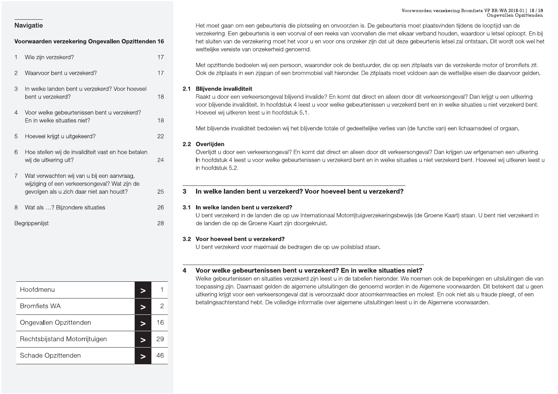|                                                               |        | Voorwaarden verzekering Bromfiets VP BR-WA 2018-01   18/59<br>Ongevallen Opzittenden                                                                                                                                                                                                 |
|---------------------------------------------------------------|--------|--------------------------------------------------------------------------------------------------------------------------------------------------------------------------------------------------------------------------------------------------------------------------------------|
| Navigatie                                                     |        | Het moet gaan om een gebeurtenis die plotseling en onvoorzien is. De gebeurtenis moet plaatsvinden tijdens de looptijd van de<br>verzekering. Een gebeurtenis is een voorval of een reeks van voorvallen die met elkaar verband houden, waardoor u letsel oploopt. En bij            |
| Voorwaarden verzekering Ongevallen Opzittenden 16             |        | het sluiten van de verzekering moet het voor u en voor ons onzeker zijn dat uit deze gebeurtenis letsel zal ontstaan. Dit wordt ook wel het<br>wettelijke vereiste van onzekerheid genoemd.                                                                                          |
| Wie zijn verzekerd?                                           | 17     |                                                                                                                                                                                                                                                                                      |
| Waarvoor bent u verzekerd?<br>2                               | 17     | Met opzittende bedoelen wij een persoon, waaronder ook de bestuurder, die op een zitplaats van de verzekerde motor of bromfiets zit.<br>Ook de zitplaats in een zijspan of een brommobiel valt hieronder. De zitplaats moet voldoen aan de wettelijke eisen die daarvoor gelden.     |
| In welke landen bent u verzekerd? Voor hoeveel<br>3           |        | 2.1 Blijvende invaliditeit                                                                                                                                                                                                                                                           |
| bent u verzekerd?                                             | 18     | Raakt u door een verkeersongeval blijvend invalide? En komt dat direct en alleen door dit verkeersongeval? Dan krijgt u een uitkering<br>voor blijvende invaliditeit. In hoofdstuk 4 leest u voor welke gebeurtenissen u verzekerd bent en in welke situaties u niet verzekerd bent. |
| Voor welke gebeurtenissen bent u verzekerd?<br>$\overline{4}$ |        | Hoeveel wij uitkeren leest u in hoofdstuk 5.1.                                                                                                                                                                                                                                       |
| En in welke situaties niet?                                   | 18     |                                                                                                                                                                                                                                                                                      |
|                                                               |        | Met blijvende invaliditeit bedoelen wij het blijvende totale of gedeeltelijke verlies van (de functie van) een lichaamsdeel of orgaan.                                                                                                                                               |
| Hoeveel krijgt u uitgekeerd?<br>5                             | 22     |                                                                                                                                                                                                                                                                                      |
| 6<br>Hoe stellen wij de invaliditeit vast en hoe betalen      |        | 2.2 Overlijden<br>Overlijdt u door een verkeersongeval? En komt dat direct en alleen door dit verkeersongeval? Dan krijgen uw erfgenamen een uitkering.                                                                                                                              |
| wij de uitkering uit?                                         | 24     | In hoofdstuk 4 leest u voor welke gebeurtenissen u verzekerd bent en in welke situaties u niet verzekerd bent. Hoeveel wij uitkeren leest u<br>in hoofdstuk 5.2.                                                                                                                     |
| Wat verwachten wij van u bij een aanvraag,                    |        |                                                                                                                                                                                                                                                                                      |
| wijziging of een verkeersongeval? Wat zijn de                 |        |                                                                                                                                                                                                                                                                                      |
| gevolgen als u zich daar niet aan houdt?                      | 25     | In welke landen bent u verzekerd? Voor hoeveel bent u verzekerd?<br>3                                                                                                                                                                                                                |
| Wat als ? Bijzondere situaties<br>8                           | 26     | 3.1 In welke landen bent u verzekerd?                                                                                                                                                                                                                                                |
|                                                               |        | U bent verzekerd in de landen die op uw Internationaal Motorrijtuigverzekeringsbewijs (de Groene Kaart) staan. U bent niet verzekerd in                                                                                                                                              |
| Begrippenlijst                                                | 28     | de landen die op de Groene Kaart zijn doorgekruist.                                                                                                                                                                                                                                  |
|                                                               |        | 3.2 Voor hoeveel bent u verzekerd?                                                                                                                                                                                                                                                   |
|                                                               |        | U bent verzekerd voor maximaal de bedragen die op uw polisblad staan.                                                                                                                                                                                                                |
|                                                               |        |                                                                                                                                                                                                                                                                                      |
|                                                               |        | Voor welke gebeurtenissen bent u verzekerd? En in welke situaties niet?                                                                                                                                                                                                              |
|                                                               |        | Welke gebeurtenissen en situaties verzekerd zijn leest u in de tabellen hieronder. We noemen ook de beperkingen en uitsluitingen die van                                                                                                                                             |
| Hoofdmenu                                                     |        | toepassing zijn. Daarnaast gelden de algemene uitsluitingen die genoemd worden in de Algemene voorwaarden. Dit betekent dat u geen                                                                                                                                                   |
|                                                               | $\geq$ | uitkering krijgt voor een verkeersongeval dat is veroorzaakt door atoomkernreacties en molest. En ook niet als u fraude pleegt, of een                                                                                                                                               |
| <b>Bromfiets WA</b>                                           |        | betalingsachterstand hebt. De volledige informatie over algemene uitsluitingen leest u in de Algemene voorwaarden.                                                                                                                                                                   |

Voorwaarden verzekering Ongevallen Opzittenden 16<br>
17 Wie zijn verzekering Ongevallen Opzittenden 16 verzekering. Een gebeurtenis is een voorval of een reeks van voorvallen die met elkaar verband houd<br>
27 Wie zijn verzeker Voorwaarden verzekeri<br>
S. De gebeurtenis moet plaatsvinder<br>
Frallen die met elkaar verband houde<br>
Ker zijn dat uit deze gebeurtenis letse Voorwaarden verzekering Bromfie<br>Constantine School (September 1997).<br>Vallen die met elkaar verband houden, waardoor zijn dat uit deze gebeurtenis letsel zal ontsta Voorwaarden verzekering Bromfiets VP BR-WA 20<br>Undevaller Congevaller<br>Under Schooptijd van Met elkaar verband houden, waardoor u letsel op<br>Unit deze gebeurtenis letsel zal ontstaan. Dit word rden verzekering Bromfiets VP BR-WA 2018-01 | 18 / 59<br>Ongevallen Opzittenden<br>plaatsvinden tijdens de looptijd van de<br>band houden, waardoor u letsel oploopt. En bij<br>urtenis letsel zal ontstaan. Dit wordt ook wel het ng Bromfiets VP BR-WA 2018-01 | 18 / 59<br>Ongevallen Opzittenden<br>tijdens de looptijd van de<br>n, waardoor u letsel oploopt. En bij<br>zal ontstaan. Dit wordt ook wel het

35.1 In wellte landen bent tu verzekerd?<br>
28 U bont verzekerd in de landen die op uw Internationaal Motoritytigverzekeringsbewijs (de Groene Kaart) staan. U bent inst verzekerd in<br>
32 Voor hoeweel bent u verzekerd?<br>
32 Voo

| 8 | Wat als ? Bijzondere situaties          | 26             |    | 3.1                     | In welke land<br>U bent verzeke     |
|---|-----------------------------------------|----------------|----|-------------------------|-------------------------------------|
|   | Begrippenlijst                          | 28             |    |                         | de landen die                       |
|   |                                         |                |    |                         | 3.2 Voor hoeveel<br>U bent verzeke  |
|   |                                         |                |    | $\overline{\mathbf{4}}$ | Voor welke<br>Welke gebeurt         |
|   | Hoofdmenu<br>$\geq$                     | $\mathbf{1}$   |    |                         | toepassing zijr<br>uitkering krijgt |
|   | <b>Bromfiets WA</b><br>$\geq$           | $\overline{c}$ |    |                         | betalingsachte                      |
|   | Ongevallen Opzittenden<br>$\geq$        | 16             |    |                         |                                     |
|   | Rechtsbijstand Motorrijtuigen<br>$\geq$ | 29             |    |                         |                                     |
|   |                                         |                | 46 |                         |                                     |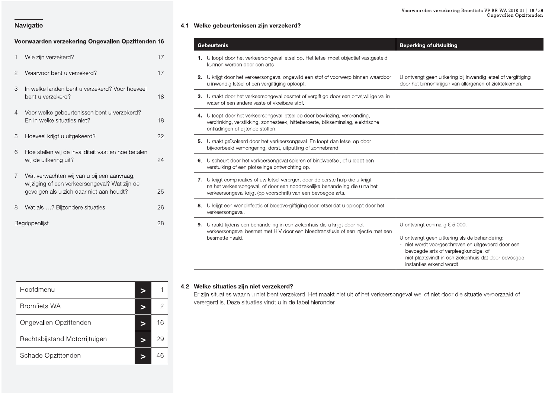### Voorwaarden verzekering Ongevallen Opzittenden 16

| 1              | Wie zijn verzekerd?                                                                                                                     | 17 |
|----------------|-----------------------------------------------------------------------------------------------------------------------------------------|----|
| $\overline{2}$ | Waarvoor bent u verzekerd?                                                                                                              | 17 |
| 3              | In welke landen bent u verzekerd? Voor hoeveel<br>bent u verzekerd?                                                                     | 18 |
| 4              | Voor welke gebeurtenissen bent u verzekerd?<br>En in welke situaties niet?                                                              | 18 |
| 5              | Hoeveel krijgt u uitgekeerd?                                                                                                            | 22 |
| 6              | Hoe stellen wij de invaliditeit vast en hoe betalen<br>wij de uitkering uit?                                                            | 24 |
| $\overline{7}$ | Wat verwachten wij van u bij een aanvraag,<br>wijziging of een verkeersongeval? Wat zijn de<br>gevolgen als u zich daar niet aan houdt? | 25 |
| 8              | Wat als ? Bijzondere situaties                                                                                                          | 26 |
|                | Begrippenlijst                                                                                                                          | 28 |

### 4.1 Welke gebeurtenissen zijn verzekerd?

| <b>Gebeurtenis</b>                                                                                                                                                                                                               | <b>Beperking of uitsluiting</b>                                                                                                                                                                                                                                            |
|----------------------------------------------------------------------------------------------------------------------------------------------------------------------------------------------------------------------------------|----------------------------------------------------------------------------------------------------------------------------------------------------------------------------------------------------------------------------------------------------------------------------|
| 1. U loopt door het verkeersongeval letsel op. Het letsel moet objectief vastgesteld<br>kunnen worden door een arts.                                                                                                             |                                                                                                                                                                                                                                                                            |
| 2. U krijgt door het verkeersongeval ongewild een stof of voorwerp binnen waardoor<br>u inwendig letsel of een vergiftiging oploopt.                                                                                             | U ontvangt geen uitkering bij inwendig letsel of vergiftiging<br>door het binnenkrijgen van allergenen of ziektekiemen.                                                                                                                                                    |
| 3. U raakt door het verkeersongeval besmet of vergiftigd door een onvrijwillige val in<br>water of een andere vaste of vloeibare stof.                                                                                           |                                                                                                                                                                                                                                                                            |
| 4. U loopt door het verkeersongeval letsel op door bevriezing, verbranding,<br>verdrinking, verstikking, zonnesteek, hitteberoerte, blikseminslag, elektrische<br>ontladingen of bijtende stoffen.                               |                                                                                                                                                                                                                                                                            |
| 5. U raakt geïsoleerd door het verkeersongeval. En loopt dan letsel op door<br>bijvoorbeeld verhongering, dorst, uitputting of zonnebrand.                                                                                       |                                                                                                                                                                                                                                                                            |
| 6. U scheurt door het verkeersongeval spieren of bindweefsel, of u loopt een<br>verstuiking of een plotselinge ontwrichting op.                                                                                                  |                                                                                                                                                                                                                                                                            |
| 7. U krijgt complicaties of uw letsel verergert door de eerste hulp die u krijgt<br>na het verkeersongeval, of door een noodzakelijke behandeling die u na het<br>verkeersongeval krijgt (op voorschrift) van een bevoegde arts. |                                                                                                                                                                                                                                                                            |
| 8. U krijgt een wondinfectie of bloedvergiftiging door letsel dat u oploopt door het<br>verkeersongeval.                                                                                                                         |                                                                                                                                                                                                                                                                            |
| 9. U raakt tijdens een behandeling in een ziekenhuis die u krijgt door het<br>verkeersongeval besmet met HIV door een bloedtransfusie of een injectie met een<br>besmette naald.                                                 | U ontvangt eenmalig $\epsilon$ 5.000.<br>U ontvangt geen uitkering als de behandeling:<br>- niet wordt voorgeschreven en uitgevoerd door een<br>bevoegde arts of verpleegkundige, of<br>- niet plaatsvindt in een ziekenhuis dat door bevoegde<br>instanties erkend wordt. |

| Hoofdmenu                     |   |    |
|-------------------------------|---|----|
| <b>Bromfiets WA</b>           | ⋗ |    |
| Ongevallen Opzittenden        |   | 16 |
| Rechtsbijstand Motorrijtuigen | È | 29 |
| Schade Opzittenden            |   | ΔF |

### 4.2 Welke situaties zijn niet verzekerd?

Er zijn situaties waarin u niet bent verzekerd. Het maakt niet uit of het verkeersongeval wel of niet door die situatie veroorzaakt of verergerd is. Deze situaties vindt u in de tabel hieronder.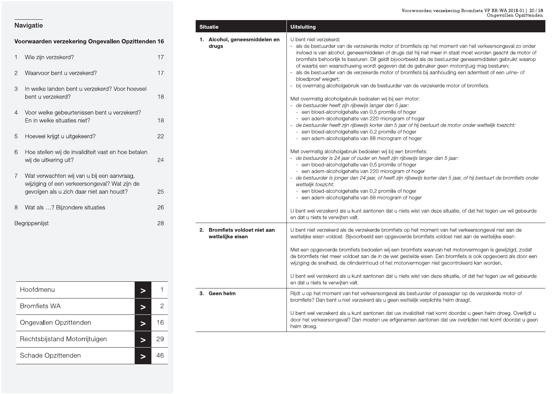|                | Voorwaarden verzekering Ongevallen Opzittenden 1                                                                                        |                |
|----------------|-----------------------------------------------------------------------------------------------------------------------------------------|----------------|
| 1              | Wie zijn verzekerd?                                                                                                                     | $\mathbf 1$    |
| $\overline{2}$ | Waarvoor bent u verzekerd?                                                                                                              | $\mathbf{1}$   |
| 3              | In welke landen bent u verzekerd? Voor hoeveel<br>bent u verzekerd?                                                                     | 1              |
| 4              | Voor welke gebeurtenissen bent u verzekerd?<br>En in welke situaties niet?                                                              | $\mathbf 1$    |
| 5              | Hoeveel krijgt u uitgekeerd?                                                                                                            | $\overline{c}$ |
| 6              | Hoe stellen wij de invaliditeit vast en hoe betalen<br>wij de uitkering uit?                                                            | $\overline{c}$ |
| $\overline{7}$ | Wat verwachten wij van u bij een aanvraag,<br>wijziging of een verkeersongeval? Wat zijn de<br>gevolgen als u zich daar niet aan houdt? | $\overline{c}$ |
| 8              | Wat als ? Bijzondere situaties                                                                                                          | $\overline{c}$ |
|                | Begrippenlijst                                                                                                                          | $\overline{c}$ |

| 8 | Wat als ? Bijzondere situaties |                 | 26           |    |                                |
|---|--------------------------------|-----------------|--------------|----|--------------------------------|
|   | Begrippenlijst                 |                 | 28           | 2. | <b>Bromfiets</b><br>wettelijke |
|   | Hoofdmenu                      | $\geq$          | $\mathbf{1}$ | 3. | Geen helr                      |
|   | <b>Bromfiets WA</b>            | $\geq$          | $\mathbf{2}$ |    |                                |
|   | Ongevallen Opzittenden         | $\geq$          | 16           |    |                                |
|   | Rechtsbijstand Motorrijtuigen  | $\qquad \qquad$ | 29           |    |                                |
|   | Schade Opzittenden             | $\geq$          | 46           |    |                                |

| Navigatie                                                 |                          | <b>Situatie</b>                                   | Voorwaarden verzekering Bromfiets VP BR-WA 2018-01   20 / 59<br>Ongevallen Opzittenden<br><b>Uitsluiting</b>                                                                                                                                                                                                         |
|-----------------------------------------------------------|--------------------------|---------------------------------------------------|----------------------------------------------------------------------------------------------------------------------------------------------------------------------------------------------------------------------------------------------------------------------------------------------------------------------|
| Voorwaarden verzekering Ongevallen Opzittenden 16         |                          | 1. Alcohol, geneesmiddelen en<br>drugs            | U bent niet verzekerd:<br>- als de bestuurder van de verzekerde motor of bromfiets op het moment van het verkeersongeval zo onder                                                                                                                                                                                    |
| Wie zijn verzekerd?                                       | 17                       |                                                   | invloed is van alcohol, geneesmiddelen of drugs dat hij niet meer in staat moet worden geacht de motor of<br>bromfiets behoorlijk te besturen. Dit geldt bijvoorbeeld als de bestuurder geneesmiddelen gebruikt waarop                                                                                               |
| Waarvoor bent u verzekerd?                                | 17                       |                                                   | of waarbij een waarschuwing wordt gegeven dat de gebruiker geen motorrijtuig mag besturen;<br>als de bestuurder van de verzekerde motor of bromfiets bij aanhouding een ademtest of een urine- of<br>bloedproef weigert;                                                                                             |
| In welke landen bent u verzekerd? Voor hoeveel<br>3       |                          |                                                   | bij overmatig alcoholgebruik van de bestuurder van de verzekerde motor of bromfiets.                                                                                                                                                                                                                                 |
| bent u verzekerd?                                         | 18                       |                                                   | Met overmatig alcoholgebruik bedoelen wij bij een motor:<br>- de bestuurder heeft zijn rijbewijs langer dan 5 jaar:                                                                                                                                                                                                  |
| Voor welke gebeurtenissen bent u verzekerd?<br>4          |                          |                                                   | - een bloed-alcoholgehalte van 0,5 promille of hoger                                                                                                                                                                                                                                                                 |
| En in welke situaties niet?                               | 18                       |                                                   | - een adem-alcoholgehalte van 220 microgram of hoger<br>de bestuurder heeft zijn rijbewijs korter dan 5 jaar of hij bestuurt de motor onder wettelijk toezicht:<br>- een bloed-alcoholgehalte van 0,2 promille of hoger                                                                                              |
| Hoeveel krijgt u uitgekeerd?<br>5                         | 22                       |                                                   | - een adem-alcoholgehalte van 88 microgram of hoger                                                                                                                                                                                                                                                                  |
| Hoe stellen wij de invaliditeit vast en hoe betalen<br>6. |                          |                                                   | Met overmatig alcoholgebruik bedoelen wij bij een bromfiets:                                                                                                                                                                                                                                                         |
| wij de uitkering uit?                                     | 24                       |                                                   | - de bestuurder is 24 jaar of ouder en heeft zijn rijbewijs langer dan 5 jaar:<br>- een bloed-alcoholgehalte van 0,5 promille of hoger<br>- een adem-alcoholgehalte van 220 microgram of hoger                                                                                                                       |
| Wat verwachten wij van u bij een aanvraag,                |                          |                                                   | - de bestuurder is jonger dan 24 jaar, of heeft zijn rijbewijs korter dan 5 jaar, of hij bestuurt de bromfiets onder                                                                                                                                                                                                 |
| wijziging of een verkeersongeval? Wat zijn de             |                          |                                                   | wettelijk toezicht:<br>- een bloed-alcoholgehalte van 0,2 promille of hoger                                                                                                                                                                                                                                          |
| gevolgen als u zich daar niet aan houdt?                  | 25                       |                                                   | - een adem-alcoholgehalte van 88 microgram of hoger                                                                                                                                                                                                                                                                  |
| Wat als ? Bijzondere situaties<br>8                       | 26                       |                                                   | U bent wel verzekerd als u kunt aantonen dat u niets wist van deze situatie, of dat het tegen uw wil gebeurde<br>en dat u niets te verwijten valt.                                                                                                                                                                   |
| Begrippenlijst                                            | 28                       | 2. Bromfiets voldoet niet aan<br>wettelijke eisen | U bent niet verzekerd als de verzekerde bromfiets op het moment van het verkeersongeval niet aan de<br>wettelijke eisen voldoet. Bijvoorbeeld een opgevoerde bromfiets voldoet niet aan de wettelijke eisen.                                                                                                         |
|                                                           |                          |                                                   | Met een opgevoerde bromfiets bedoelen wij een bromfiets waarvan het motorvermogen is gewijzigd, zodat<br>de bromfiets niet meer voldoet aan de in de wet gestelde eisen. Een bromfiets is ook opgevoerd als door een<br>wijziging de snelheid, de cilinderinhoud of het motorvermogen niet gecontroleerd kan worden. |
|                                                           |                          |                                                   | U bent wel verzekerd als u kunt aantonen dat u niets wist van deze situatie, of dat het tegen uw wil gebeurde<br>en dat u niets te verwijten valt.                                                                                                                                                                   |
| Hoofdmenu                                                 | $\, >$                   | 3. Geen helm                                      | Rijdt u op het moment van het verkeersongeval als bestuurder of passagier op de verzekerde motor of<br>bromfiets? Dan bent u niet verzekerd als u geen wettelijk verplichte helm draagt.                                                                                                                             |
| <b>Bromfiets WA</b>                                       | $\overline{2}$<br>$\geq$ |                                                   | U bent wel verzekerd als u kunt aantonen dat uw invaliditeit niet komt doordat u geen helm droeg. Overlijdt u                                                                                                                                                                                                        |
| Ongevallen Opzittenden                                    | 16<br>$\, >$             |                                                   | door het verkeersongeval? Dan moeten uw erfgenamen aantonen dat uw overlijden niet komt doordat u geen<br>helm droeg.                                                                                                                                                                                                |
| Rechtsbijstand Motorrijtuigen                             | 29<br>$\geq$             |                                                   |                                                                                                                                                                                                                                                                                                                      |
| Schade Opzittenden                                        | 46<br>$\, >$             |                                                   |                                                                                                                                                                                                                                                                                                                      |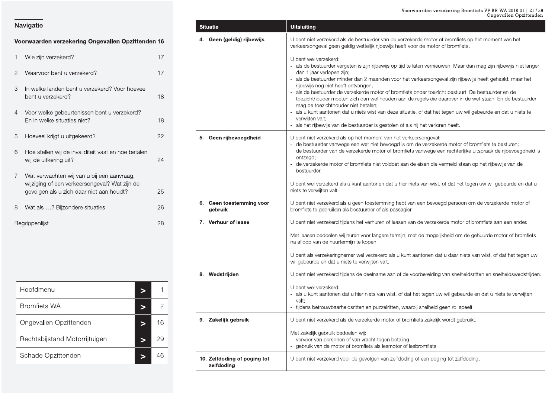|                | Voorwaarden verzekering Ongevallen Opzittenden 16                                                                                       |    |
|----------------|-----------------------------------------------------------------------------------------------------------------------------------------|----|
| 1              | Wie zijn verzekerd?                                                                                                                     | 17 |
| $\overline{2}$ | Waarvoor bent u verzekerd?                                                                                                              | 17 |
| 3              | In welke landen bent u verzekerd? Voor hoeveel<br>bent u verzekerd?                                                                     | 18 |
| 4              | Voor welke gebeurtenissen bent u verzekerd?<br>En in welke situaties niet?                                                              | 18 |
| 5              | Hoeveel krijgt u uitgekeerd?                                                                                                            | 22 |
| 6              | Hoe stellen wij de invaliditeit vast en hoe betalen<br>wij de uitkering uit?                                                            | 24 |
| $\overline{7}$ | Wat verwachten wij van u bij een aanvraag,<br>wijziging of een verkeersongeval? Wat zijn de<br>gevolgen als u zich daar niet aan houdt? | 25 |
| 8              | Wat als ? Bijzondere situaties                                                                                                          | 26 |
|                | Rearinnenlijst                                                                                                                          | 28 |

| 8 | Wat als ? Bijzondere situaties |        | 26           | 6. | Geen toes<br>gebruik |
|---|--------------------------------|--------|--------------|----|----------------------|
|   | Begrippenlijst                 |        | 28           |    | 7. Verhuur o         |
|   |                                |        |              | 8. | Wedstrijd            |
|   | Hoofdmenu                      | $\geq$ | $\mathbf{1}$ |    |                      |
|   | <b>Bromfiets WA</b>            | $\geq$ | $\mathbf{2}$ |    |                      |
|   | Ongevallen Opzittenden         | $\geq$ | 16           |    | 9. Zakelijk g        |
|   | Rechtsbijstand Motorrijtuigen  | $\geq$ | 29           |    |                      |
|   | Schade Opzittenden             | $\geq$ | 46           |    | 10. Zelfdodin        |

| Navigatie                                                                                                                               | <b>Situatie</b>                           | Voorwaarden verzekering Bromfiets VP BR-WA 2018-01   21 / 59<br>Ongevallen Opzittenden<br><b>Uitsluiting</b>                                                                                                                                                                            |
|-----------------------------------------------------------------------------------------------------------------------------------------|-------------------------------------------|-----------------------------------------------------------------------------------------------------------------------------------------------------------------------------------------------------------------------------------------------------------------------------------------|
| Voorwaarden verzekering Ongevallen Opzittenden 16                                                                                       | 4. Geen (geldig) rijbewijs                | U bent niet verzekerd als de bestuurder van de verzekerde motor of bromfiets op het moment van het<br>verkeersongeval geen geldig wettelijk rijbewijs heeft voor de motor of bromfiets.                                                                                                 |
| Wie zijn verzekerd?                                                                                                                     | 17                                        | U bent wel verzekerd:<br>als de bestuurder vergeten is zijn rijbewijs op tijd te laten vernieuwen. Maar dan mag zijn rijbewijs niet langer                                                                                                                                              |
| Waarvoor bent u verzekerd?                                                                                                              | 17                                        | dan 1 jaar verlopen zijn;<br>als de bestuurder minder dan 2 maanden voor het verkeersongeval zijn rijbewijs heeft gehaald, maar het                                                                                                                                                     |
| In welke landen bent u verzekerd? Voor hoeveel<br>bent u verzekerd?                                                                     | 18                                        | rijbewijs nog niet heeft ontvangen;<br>als de bestuurder de verzekerde motor of bromfiets onder toezicht bestuurt. De bestuurder en de<br>toezichthouder moeten zich dan wel houden aan de regels die daarover in de wet staan. En de bestuurder<br>mag de toezichthouder niet betalen; |
| Voor welke gebeurtenissen bent u verzekerd?<br>En in welke situaties niet?                                                              | 18                                        | als u kunt aantonen dat u niets wist van deze situatie, of dat het tegen uw wil gebeurde en dat u niets te<br>verwiiten valt:<br>- als het rijbewijs van de bestuurder is gestolen of als hij het verloren heeft.                                                                       |
| Hoeveel krijgt u uitgekeerd?                                                                                                            | 22<br>5. Geen rijbevoegdheid              | U bent niet verzekerd als op het moment van het verkeersongeval:<br>- de bestuurder vanwege een wet niet bevoegd is om de verzekerde motor of bromfiets te besturen;                                                                                                                    |
| Hoe stellen wij de invaliditeit vast en hoe betalen<br>6<br>wij de uitkering uit?                                                       | 24                                        | - de bestuurder van de verzekerde motor of bromfiets vanwege een rechterlijke uitspraak de rijbevoegdheid is<br>ontzegd;<br>de verzekerde motor of bromfiets niet voldoet aan de eisen die vermeld staan op het rijbewijs van de                                                        |
| Wat verwachten wij van u bij een aanvraag,<br>wijziging of een verkeersongeval? Wat zijn de<br>gevolgen als u zich daar niet aan houdt? | 25                                        | bestuurder.<br>U bent wel verzekerd als u kunt aantonen dat u hier niets van wist, of dat het tegen uw wil gebeurde en dat u<br>niets te verwijten valt.                                                                                                                                |
| Wat als ? Bijzondere situaties                                                                                                          | 6. Geen toestemming voor<br>26<br>gebruik | U bent niet verzekerd als u geen toestemming hebt van een bevoegd persoon om de verzekerde motor of<br>bromfiets te gebruiken als bestuurder of als passagier.                                                                                                                          |
| Begrippenlijst                                                                                                                          | 7. Verhuur of lease<br>28                 | U bent niet verzekerd tijdens het verhuren of leasen van de verzekerde motor of bromfiets aan een ander.                                                                                                                                                                                |
|                                                                                                                                         |                                           | Met leasen bedoelen wij huren voor langere termijn, met de mogelijkheid om de gehuurde motor of bromfiets<br>na afloop van de huurtermijn te kopen.                                                                                                                                     |
|                                                                                                                                         |                                           | U bent als verzekeringnemer wel verzekerd als u kunt aantonen dat u daar niets van wist, of dat het tegen uw<br>wil gebeurde en dat u niets te verwijten valt.                                                                                                                          |
|                                                                                                                                         | 8. Wedstrijden                            | U bent niet verzekerd tijdens de deelname aan of de voorbereiding van snelheidsritten en snelheidswedstrijden.                                                                                                                                                                          |
| Hoofdmenu<br>$\,>$                                                                                                                      |                                           | U bent wel verzekerd:<br>- als u kunt aantonen dat u hier niets van wist, of dat het tegen uw wil gebeurde en dat u niets te verwijten                                                                                                                                                  |
| <b>Bromfiets WA</b><br>⋗                                                                                                                | $\overline{2}$                            | valt;<br>- tijdens betrouwbaarheidsritten en puzzelritten, waarbij snelheid geen rol speelt.                                                                                                                                                                                            |
| Ongevallen Opzittenden<br>⋗                                                                                                             | 9. Zakelijk gebruik<br>16                 | U bent niet verzekerd als de verzekerde motor of bromfiets zakelijk wordt gebruikt.                                                                                                                                                                                                     |
| Rechtsbijstand Motorrijtuigen<br>$\geq$                                                                                                 | 29                                        | Met zakelijk gebruik bedoelen wij:<br>- vervoer van personen of van vracht tegen betaling<br>- gebruik van de motor of bromfiets als lesmotor of lesbromfiets                                                                                                                           |
| Schade Opzittenden<br>$\geq$                                                                                                            | 46<br>10. Zelfdoding of poging tot        | U bent niet verzekerd voor de gevolgen van zelfdoding of een poging tot zelfdoding.                                                                                                                                                                                                     |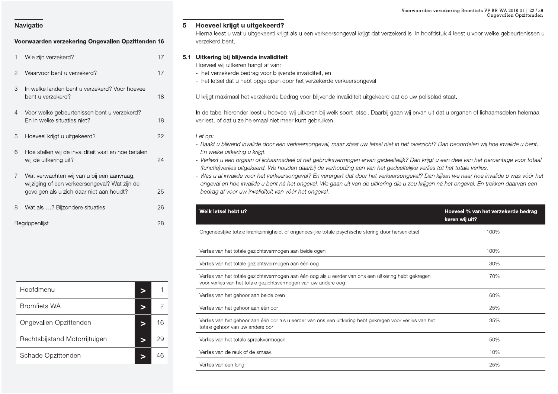|                | <b>VVIC ZIIII VEIZENCIU!</b>                                                                                                            | $\mathsf{L}$ |
|----------------|-----------------------------------------------------------------------------------------------------------------------------------------|--------------|
| $\overline{2}$ | Waarvoor bent u verzekerd?                                                                                                              | 17           |
| 3              | In welke landen bent u verzekerd? Voor hoeveel<br>bent u verzekerd?                                                                     | 18           |
| $\overline{4}$ | Voor welke gebeurtenissen bent u verzekerd?<br>En in welke situaties niet?                                                              | 18           |
| 5              | Hoeveel krijgt u uitgekeerd?                                                                                                            | 22           |
| 6              | Hoe stellen wij de invaliditeit vast en hoe betalen<br>wij de uitkering uit?                                                            | 24           |
| 7              | Wat verwachten wij van u bij een aanvraag,<br>wijziging of een verkeersongeval? Wat zijn de<br>gevolgen als u zich daar niet aan houdt? | 25           |
| 8              | Wat als ? Bijzondere situaties                                                                                                          | 26           |
|                | Poorinnonlijot                                                                                                                          | $\cap$ C     |

| 8 | Wat als ? Bijzondere situaties |           | 26           |  | Welk letsel he                      |
|---|--------------------------------|-----------|--------------|--|-------------------------------------|
|   | Begrippenlijst                 |           | 28           |  | Ongeneeslijke                       |
|   |                                |           |              |  | Verlies van het                     |
|   |                                |           |              |  | Verlies van het                     |
|   |                                |           |              |  | Verlies van het<br>voor verlies var |
|   | Hoofdmenu                      | $\geq$    | 1            |  | Verlies van het                     |
|   | <b>Bromfiets WA</b>            | $\, > \,$ | $\mathbf{2}$ |  | Verlies van het                     |
|   | Ongevallen Opzittenden         | $\geq$    | 16           |  | Verlies van het<br>totale gehoor v  |
|   | Rechtsbijstand Motorrijtuigen  | $\geq$    | 29           |  | Verlies van het                     |
|   | Schade Opzittenden             | $\geq$    | 46           |  | Verlies van de                      |
|   |                                |           |              |  | Verlies van eer                     |

Voorwaarden verzekering Ongevallen Opzittenden 16<br>
1 Wie zijn verzekering Ongevallen Opzittenden 16<br>
1 Wie zijn verzekerd?<br>
1 Wie zijn verzekerd?<br>
17 5.1 Uitkering bij blijvende invaliditeit Voorwaarden verzeker:<br>Fijgt dat verzekerd is. In hoofdstuk 4<br>Fijgt dat verzekerd is. In hoofdstuk 4 Voorwaarden verzekering Bromfie<br>jgt dat verzekerd is. In hoofdstuk 4 leest u voor<br>Moofdstuk 4 leest u voor voor dat verzekerd is. In hoofdstuk 4 leest u voor dat verzekerd is. In hoofdstuk 4 leest u voor dat verzekerd is. Voorwaarden verzekering Bromfiets VP BR-WA 2018-01 | 22 / 59<br>Ongevallen Opzittenden<br>Hierna leest u wat u uitgekeerd krijgt als u een verkeersongeval krijgt dat verzekerd is. In hoofdstuk 4 leest u voor welke gebeurtenissen rden verzekering Bromfiets VP BR-WA 2018-01 | 22 / 59<br>Ongevallen Opzittenden<br>Noofdstuk 4 leest u voor welke gebeurtenissen u ng Bromfiets VP BR-WA 2018-01 | 22 / 59<br>Ongevallen Opzittenden<br>Dest u voor welke gebeurtenissen u

- 
- 

- 
- 
- 

|                                                                                 |                |                                                                                                                                                                                                                                                                    | Voorwaarden verzekering Bromfiets VP BR-WA 2018-01   22 / 59<br>Ongevallen Opzittenden |
|---------------------------------------------------------------------------------|----------------|--------------------------------------------------------------------------------------------------------------------------------------------------------------------------------------------------------------------------------------------------------------------|----------------------------------------------------------------------------------------|
| Navigatie                                                                       |                | Hoeveel krijgt u uitgekeerd?<br>5                                                                                                                                                                                                                                  |                                                                                        |
| Voorwaarden verzekering Ongevallen Opzittenden 16                               |                | Hierna leest u wat u uitgekeerd krijgt als u een verkeersongeval krijgt dat verzekerd is. In hoofdstuk 4 leest u voor welke gebeurtenissen u<br>verzekerd bent.                                                                                                    |                                                                                        |
| Wie zijn verzekerd?                                                             | 17             | 5.1 Uitkering bij blijvende invaliditeit                                                                                                                                                                                                                           |                                                                                        |
| Waarvoor bent u verzekerd?<br>2                                                 | 17             | Hoeveel wij uitkeren hangt af van:<br>- het verzekerde bedrag voor blijvende invaliditeit, en                                                                                                                                                                      |                                                                                        |
| In welke landen bent u verzekerd? Voor hoeveel<br>3                             |                | - het letsel dat u hebt opgelopen door het verzekerde verkeersongeval.                                                                                                                                                                                             |                                                                                        |
| bent u verzekerd?                                                               | 18             | U krijgt maximaal het verzekerde bedrag voor blijvende invaliditeit uitgekeerd dat op uw polisblad staat.                                                                                                                                                          |                                                                                        |
| Voor welke gebeurtenissen bent u verzekerd?<br>4<br>En in welke situaties niet? | 18             | In de tabel hieronder leest u hoeveel wij uitkeren bij welk soort letsel. Daarbij gaan wij ervan uit dat u organen of lichaamsdelen helemaal<br>verliest, of dat u ze helemaal niet meer kunt gebruiken.                                                           |                                                                                        |
| Hoeveel krijgt u uitgekeerd?<br>5                                               | 22             | Let op:<br>- Raakt u blijvend invalide door een verkeersongeval, maar staat uw letsel niet in het overzicht? Dan beoordelen wij hoe invalide u bent.                                                                                                               |                                                                                        |
| 6<br>Hoe stellen wij de invaliditeit vast en hoe betalen                        |                | En welke uitkering u krijgt.                                                                                                                                                                                                                                       |                                                                                        |
| wij de uitkering uit?                                                           | 24             | - Verliest u een orgaan of lichaamsdeel of het gebruiksvermogen ervan gedeeltelijk? Dan krijgt u een deel van het percentage voor totaal<br>(functie)verlies uitgekeerd. We houden daarbij de verhouding aan van het gedeeltelijke verlies tot het totale verlies. |                                                                                        |
| Wat verwachten wij van u bij een aanvraag,                                      |                | - Was u al invalide voor het verkeersongeval? En verergert dat door het verkeersongeval? Dan kijken we naar hoe invalide u was vóór het                                                                                                                            |                                                                                        |
| wijziging of een verkeersongeval? Wat zijn de                                   |                | ongeval en hoe invalide u bent ná het ongeval. We gaan uit van de uitkering die u zou krijgen ná het ongeval. En trekken daarvan een                                                                                                                               |                                                                                        |
|                                                                                 |                |                                                                                                                                                                                                                                                                    |                                                                                        |
| gevolgen als u zich daar niet aan houdt?                                        | 25             | bedrag af voor uw invaliditeit van vóór het ongeval.                                                                                                                                                                                                               |                                                                                        |
| Wat als ? Bijzondere situaties<br>8                                             | 26             | Welk letsel hebt u?                                                                                                                                                                                                                                                | Hoeveel % van het verzekerde bedrag                                                    |
|                                                                                 | 28             | Ongeneeslijke totale krankzinnigheid, of ongeneeslijke totale psychische storing door hersenletsel                                                                                                                                                                 | keren wij uit?<br>100%                                                                 |
| Begrippenlijst                                                                  |                | Verlies van het totale gezichtsvermogen aan beide ogen                                                                                                                                                                                                             | 100%                                                                                   |
|                                                                                 |                | Verlies van het totale gezichtsvermogen aan één oog                                                                                                                                                                                                                | 30%                                                                                    |
|                                                                                 |                | Verlies van het totale gezichtsvermogen aan één oog als u eerder van ons een uitkering hebt gekregen<br>voor verlies van het totale gezichtsvermogen van uw andere oog                                                                                             | 70%                                                                                    |
| Hoofdmenu<br>Þ                                                                  |                | Verlies van het gehoor aan beide oren                                                                                                                                                                                                                              | 60%                                                                                    |
| <b>Bromfiets WA</b><br>⋗                                                        | $\overline{2}$ | Verlies van het gehoor aan één oor                                                                                                                                                                                                                                 | 25%                                                                                    |
| Ongevallen Opzittenden<br>>                                                     | 16             | Verlies van het gehoor aan één oor als u eerder van ons een uitkering hebt gekregen voor verlies van het<br>totale gehoor van uw andere oor                                                                                                                        | 35%                                                                                    |
| Rechtsbijstand Motorrijtuigen<br>$\geq$                                         | 29             | Verlies van het totale spraakvermogen                                                                                                                                                                                                                              | 50%                                                                                    |
| Schade Opzittenden<br>$\,>$                                                     | 46             | Verlies van de reuk of de smaak                                                                                                                                                                                                                                    | 10%                                                                                    |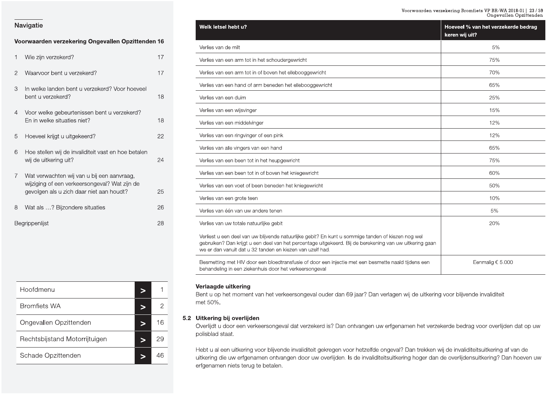### ${\small \texttt{Voorwaarden}~verzekering~Bromfiets~VP~BH-WA~2018-01~|~23/59} \\ \texttt{Ongevallen Opzittenden}$

### Navigatie

### Voorwaarden verzekering Ongevallen Opzittenden 16

| 1              | Wie zijn verzekerd?                                                                                                                     | 17 |
|----------------|-----------------------------------------------------------------------------------------------------------------------------------------|----|
| $\overline{2}$ | Waarvoor bent u verzekerd?                                                                                                              | 17 |
| 3              | In welke landen bent u verzekerd? Voor hoeveel<br>bent u verzekerd?                                                                     | 18 |
| 4              | Voor welke gebeurtenissen bent u verzekerd?<br>En in welke situaties niet?                                                              | 18 |
| 5              | Hoeveel krijgt u uitgekeerd?                                                                                                            | 22 |
| 6              | Hoe stellen wij de invaliditeit vast en hoe betalen<br>wij de uitkering uit?                                                            | 24 |
| $\overline{7}$ | Wat verwachten wij van u bij een aanvraag,<br>wijziging of een verkeersongeval? Wat zijn de<br>gevolgen als u zich daar niet aan houdt? | 25 |
| 8              | Wat als ? Bijzondere situaties                                                                                                          | 26 |
|                | Begrippenlijst                                                                                                                          | 28 |

| Hoofdmenu                     |    |
|-------------------------------|----|
| <b>Bromfiets WA</b>           |    |
| Ongevallen Opzittenden        | 16 |
| Rechtsbijstand Motorrijtuigen |    |
| Schade Opzittenden            |    |

| Welk letsel hebt u?                                                                                                                                                                                                                                                        | Hoeveel % van het verzekerde bedrag<br>keren wij uit? |
|----------------------------------------------------------------------------------------------------------------------------------------------------------------------------------------------------------------------------------------------------------------------------|-------------------------------------------------------|
| Verlies van de milt                                                                                                                                                                                                                                                        | 5%                                                    |
| Verlies van een arm tot in het schoudergewricht                                                                                                                                                                                                                            | 75%                                                   |
| Verlies van een arm tot in of boven het ellebooggewricht                                                                                                                                                                                                                   | 70%                                                   |
| Verlies van een hand of arm beneden het ellebooggewricht                                                                                                                                                                                                                   | 65%                                                   |
| Verlies van een duim                                                                                                                                                                                                                                                       | 25%                                                   |
| Verlies van een wijsvinger                                                                                                                                                                                                                                                 | 15%                                                   |
| Verlies van een middelvinger                                                                                                                                                                                                                                               | 12%                                                   |
| Verlies van een ringvinger of een pink                                                                                                                                                                                                                                     | 12%                                                   |
| Verlies van alle vingers van een hand                                                                                                                                                                                                                                      | 65%                                                   |
| Verlies van een been tot in het heupgewricht                                                                                                                                                                                                                               | 75%                                                   |
| Verlies van een been tot in of boven het kniegewricht                                                                                                                                                                                                                      | 60%                                                   |
| Verlies van een voet of been beneden het kniegewricht                                                                                                                                                                                                                      | 50%                                                   |
| Verlies van een grote teen                                                                                                                                                                                                                                                 | 10%                                                   |
| Verlies van één van uw andere tenen                                                                                                                                                                                                                                        | 5%                                                    |
| Verlies van uw totale natuurlijke gebit                                                                                                                                                                                                                                    | 20%                                                   |
| Verliest u een deel van uw blijvende natuurlijke gebit? En kunt u sommige tanden of kiezen nog wel<br>gebruiken? Dan krijgt u een deel van het percentage uitgekeerd. Bij de berekening van uw uitkering gaan<br>we er dan vanuit dat u 32 tanden en kiezen van uzelf had. |                                                       |
| Besmetting met HIV door een bloedtransfusie of door een injectie met een besmette naald tijdens een<br>behandeling in een ziekenhuis door het verkeersongeval                                                                                                              | Eenmalig $\epsilon$ 5.000                             |

### Verlaagde uitkering

Bent u op het moment van het verkeersongeval ouder dan 69 jaar? Dan verlagen wij de uitkering voor blijvende invaliditeit met 50%.

### 5.2 Uitkering bij overlijden

Overlijdt u door een verkeersongeval dat verzekerd is? Dan ontvangen uw erfgenamen het verzekerde bedrag voor overlijden dat op uw polisblad staat.

Hebt u al een uitkering voor blijvende invaliditeit gekregen voor hetzelfde ongeval? Dan trekken wij de invaliditeitsuitkering af van de uitkering die uw erfgenamen ontvangen door uw overlijden. Is de invaliditeitsuitkering hoger dan de overlijdensuitkering? Dan hoeven uw erfgenamen niets terug te betalen.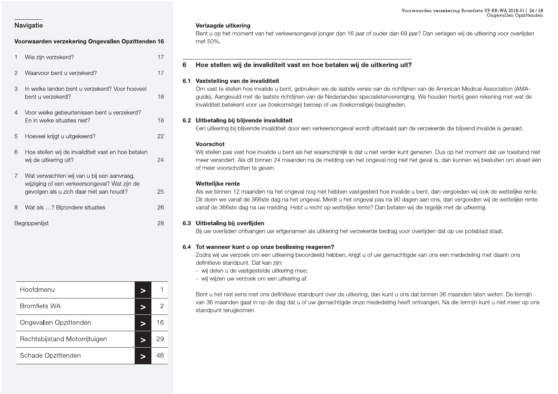### Voorwaarden verzekering Ongevallen Opzittenden 16

| 1              | Wie zijn verzekerd?                                                                                                                     | 17 |
|----------------|-----------------------------------------------------------------------------------------------------------------------------------------|----|
| $\overline{2}$ | Waarvoor bent u verzekerd?                                                                                                              | 17 |
| 3              | In welke landen bent u verzekerd? Voor hoeveel<br>bent u verzekerd?                                                                     | 18 |
| 4              | Voor welke gebeurtenissen bent u verzekerd?<br>En in welke situaties niet?                                                              | 18 |
| 5              | Hoeveel krijgt u uitgekeerd?                                                                                                            | 22 |
| 6              | Hoe stellen wij de invaliditeit vast en hoe betalen<br>wij de uitkering uit?                                                            | 24 |
| $\overline{7}$ | Wat verwachten wij van u bij een aanvraag,<br>wijziging of een verkeersongeval? Wat zijn de<br>gevolgen als u zich daar niet aan houdt? | 25 |
| 8              | Wat als ? Bijzondere situaties                                                                                                          | 26 |
|                | Begrippenlijst                                                                                                                          | 28 |

| Hoofdmenu                     |    |
|-------------------------------|----|
| <b>Bromfiets WA</b>           | 2  |
| Ongevallen Opzittenden        | 16 |
| Rechtsbijstand Motorrijtuigen | 29 |
| Schade Opzittenden            | 46 |

### Verlaagde uitkering

Bent u op het moment van het verkeersongeval jonger dan 16 jaar of ouder dan 69 jaar? Dan verlagen wij de uitkering voor overlijden met 50%.

### Hoe stellen wij de invaliditeit vast en hoe betalen wij de uitkering uit? 6

### 6.1 Vaststelling van de invaliditeit

Om vast te stellen hoe invalide u bent, gebruiken we de laatste versie van de richtlijnen van de American Medical Association (AMAguide). Aangevuld met de laatste richtlijnen van de Nederlandse specialistenvereniging. We houden hierbij geen rekening met wat de invaliditeit betekent voor uw (toekomstige) beroep of uw (toekomstige) bezigheden.

### 6.2 Uitbetaling bij blijvende invaliditeit

Een uitkering bij blijvende invaliditeit door een verkeersongeval wordt uitbetaald aan de verzekerde die blijvend invalide is geraakt.

### Voorschot

Wij stellen pas vast hoe invalide u bent als het waarschijnlijk is dat u niet verder kunt genezen. Dus op het moment dat uw toestand niet meer verandert. Als dit binnen 24 maanden na de melding van het ongeval nog niet het geval is, dan kunnen wij besluiten om alvast één of meer voorschotten te geven.

### Wettelijke rente

Als we binnen 12 maanden na het ongeval nog niet hebben vastgesteld hoe invalide u bent, dan vergoeden wij ook de wettelijke rente. Dit doen we vanaf de 366ste dag na het ongeval. Meldt u het ongeval pas na 90 dagen aan ons, dan vergoeden wij de wettelijke rente vanaf de 366ste dag na uw melding. Hebt u recht op wettelijke rente? Dan betalen wij die tegelijk met de uitkering.

### 6.3 Uitbetaling bij overlijden

Bij uw overlijden ontvangen uw erfgenamen als uitkering het verzekerde bedrag voor overlijden dat op uw polisblad staat.

### 6.4 Tot wanneer kunt u op onze beslissing reageren?

Zodra wij uw verzoek om een uitkering beoordeeld hebben, krijgt u of uw gemachtigde van ons een mededeling met daarin ons definitieve standpunt. Dat kan zijn:

- wij delen u de vastgestelde uitkering mee;
- wij wijzen uw verzoek om een uitkering af.

Bent u het niet eens met ons definitieve standpunt over de uitkering, dan kunt u ons dat binnen 36 maanden laten weten. De termijn van 36 maanden gaat in op de dag dat u of uw gemachtigde onze mededeling heeft ontvangen. Na die termijn kunt u niet meer op ons standpunt terugkomen.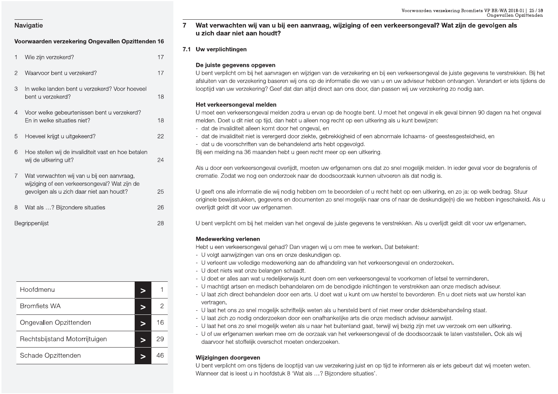| Navigatie                                                                                 |    | Voorwaarden verzekering Bromfiets VP BR-WA 2018-01   25 / 59<br>Ongevallen Opzittenden<br>Wat verwachten wij van u bij een aanvraag, wijziging of een verkeersongeval? Wat zijn de gevolgen als                                                                                        |
|-------------------------------------------------------------------------------------------|----|----------------------------------------------------------------------------------------------------------------------------------------------------------------------------------------------------------------------------------------------------------------------------------------|
| Voorwaarden verzekering Ongevallen Opzittenden 16                                         |    | u zich daar niet aan houdt?                                                                                                                                                                                                                                                            |
|                                                                                           |    | 7.1 Uw verplichtingen                                                                                                                                                                                                                                                                  |
| Wie zijn verzekerd?                                                                       | 17 |                                                                                                                                                                                                                                                                                        |
|                                                                                           |    | De juiste gegevens opgeven                                                                                                                                                                                                                                                             |
| Waarvoor bent u verzekerd?<br>2                                                           | 17 | U bent verplicht om bij het aanvragen en wijzigen van de verzekering en bij een verkeersongeval de juiste gegevens te verstrekken. Bij het<br>afsluiten van de verzekering baseren wij ons op de informatie die we van u en uw adviseur hebben ontvangen. Verandert er iets tijdens de |
| In welke landen bent u verzekerd? Voor hoeveel<br>3                                       |    | looptijd van uw verzekering? Geef dat dan altijd direct aan ons door, dan passen wij uw verzekering zo nodig aan.                                                                                                                                                                      |
| bent u verzekerd?                                                                         | 18 |                                                                                                                                                                                                                                                                                        |
|                                                                                           |    | Het verkeersongeval melden                                                                                                                                                                                                                                                             |
| Voor welke gebeurtenissen bent u verzekerd?<br>4<br>En in welke situaties niet?           | 18 | U moet een verkeersongeval melden zodra u ervan op de hoogte bent. U moet het ongeval in elk geval binnen 90 dagen na het ongeval<br>melden. Doet u dit niet op tijd, dan hebt u alleen nog recht op een uitkering als u kunt bewijzen:                                                |
|                                                                                           |    | - dat de invaliditeit alleen komt door het ongeval, en                                                                                                                                                                                                                                 |
| Hoeveel krijgt u uitgekeerd?<br>5                                                         | 22 | - dat de invaliditeit niet is verergerd door ziekte, gebrekkigheid of een abnormale lichaams- of geestesgesteldheid, en                                                                                                                                                                |
|                                                                                           |    | - dat u de voorschriften van de behandelend arts hebt opgevolgd.<br>Bij een melding na 36 maanden hebt u geen recht meer op een uitkering.                                                                                                                                             |
| 6<br>Hoe stellen wij de invaliditeit vast en hoe betalen<br>wij de uitkering uit?         | 24 |                                                                                                                                                                                                                                                                                        |
|                                                                                           |    | Als u door een verkeersongeval overlijdt, moeten uw erfgenamen ons dat zo snel mogelijk melden. In ieder geval voor de begrafenis of                                                                                                                                                   |
| Wat verwachten wij van u bij een aanvraag,                                                |    | crematie. Zodat we nog een onderzoek naar de doodsoorzaak kunnen uitvoeren als dat nodig is.                                                                                                                                                                                           |
| wijziging of een verkeersongeval? Wat zijn de<br>gevolgen als u zich daar niet aan houdt? | 25 | U geeft ons alle informatie die wij nodig hebben om te beoordelen of u recht hebt op een uitkering, en zo ja: op welk bedrag. Stuur                                                                                                                                                    |
|                                                                                           |    | originele bewijsstukken, gegevens en documenten zo snel mogelijk naar ons of naar de deskundige(n) die we hebben ingeschakeld. Als u                                                                                                                                                   |
| Wat als ? Bijzondere situaties<br>8                                                       | 26 | overlijdt geldt dit voor uw erfgenamen.                                                                                                                                                                                                                                                |
| Begrippenlijst                                                                            | 28 | U bent verplicht om bij het melden van het ongeval de juiste gegevens te verstrekken. Als u overlijdt geldt dit voor uw erfgenamen.                                                                                                                                                    |
|                                                                                           |    | <b>Medewerking verlenen</b>                                                                                                                                                                                                                                                            |
|                                                                                           |    | Hebt u een verkeersongeval gehad? Dan vragen wij u om mee te werken. Dat betekent:                                                                                                                                                                                                     |
|                                                                                           |    | - U volgt aanwijzingen van ons en onze deskundigen op.<br>- U verleent uw volledige medewerking aan de afhandeling van het verkeersongeval en onderzoeken.                                                                                                                             |
|                                                                                           |    | - U doet niets wat onze belangen schaadt.                                                                                                                                                                                                                                              |
|                                                                                           |    | - U doet er alles aan wat u redelijkerwijs kunt doen om een verkeersongeval te voorkomen of letsel te verminderen.                                                                                                                                                                     |
| Hoofdmenu<br>⋗                                                                            |    | - U machtigt artsen en medisch behandelaren om de benodigde inlichtingen te verstrekken aan onze medisch adviseur.                                                                                                                                                                     |
|                                                                                           |    | - U laat zich direct behandelen door een arts. U doet wat u kunt om uw herstel te bevorderen. En u doet niets wat uw herstel kan<br>vertragen.                                                                                                                                         |
| <b>Bromfiets WA</b><br>⋗                                                                  | 2  | - U laat het ons zo snel mogelijk schriftelijk weten als u hersteld bent of niet meer onder doktersbehandeling staat.                                                                                                                                                                  |
| Ongevallen Opzittenden<br>>                                                               | 16 | - U laat zich zo nodig onderzoeken door een onafhankelijke arts die onze medisch adviseur aanwijst.                                                                                                                                                                                    |
|                                                                                           |    | - U laat het ons zo snel mogelijk weten als u naar het buitenland gaat, terwijl wij bezig zijn met uw verzoek om een uitkering.<br>- U of uw erfgenamen werken mee om de oorzaak van het verkeersongeval of de doodsoorzaak te laten vaststellen. Ook als wij                          |
| Rechtsbijstand Motorrijtuigen<br>>                                                        | 29 | daarvoor het stoffelijk overschot moeten onderzoeken.                                                                                                                                                                                                                                  |
| Schade Opzittenden<br>$\geq$                                                              | 46 | Wijzigingen doorgeven                                                                                                                                                                                                                                                                  |
|                                                                                           |    | U bent verplicht om ons tijdens de looptijd van uw verzekering juist en op tijd te informeren als er iets gebeurt dat wij moeten weten.                                                                                                                                                |

| Begrippenlijst                     | 28             | U bent verplich<br>Medewerking<br>Hebt u een ver                      |
|------------------------------------|----------------|-----------------------------------------------------------------------|
|                                    |                |                                                                       |
|                                    |                | - U volgt aanv<br>- U verleent u<br>- U doet niets<br>- U doet er all |
| Hoofdmenu<br>$\geq$                | 1              | - U machtigt a<br>- U laat zich d                                     |
| <b>Bromfiets WA</b><br>$\, > \,$   | $\overline{c}$ | vertragen.<br>- U laat het or                                         |
| Ongevallen Opzittenden<br>$\geq$   | 16             | - U laat zich z<br>- U laat het or                                    |
| Rechtsbijstand Motorrijtuigen<br>> | 29             | - U of uw erfg<br>daarvoor het                                        |
| Schade Opzittenden<br>$\geq$       | 46             | Wijzigingen d                                                         |
|                                    |                | U bent verplich<br>Wanneer dat is                                     |

### Voorwaarden verzekenden verzekenden Opzittenden 16<br>1990 - Wat verwachten wij van u bij een aanvraag, wijziging of een verkeersongeval? Wa<br>29 - Voorwaarden verzekering Ongevallen Opzittenden 16<br>29 - Vie zijn verzekerd?<br>29 -Voorwaarden verzekeri<br>
Of een verkeersongeval? Wat Voorwaarden verzekering Bromfie<br>Of een verkeersongeval? Wat zijn de g<br>C Voorwaarden verzekering Bromfiets VP BR-WA 20<br>Ongevaller<br>Pricersongeval? Wat zijn de gevolgen a rden verzekering Bromfiets VP BR-WA 2018-01 | 25 / 59<br>Ongevallen Opzittenden<br>**EVAI? Wat zijn de gevolgen als** ng Bromfiets VP BR-WA 2018-01 | 25 / 59<br>Ongevallen Opzittenden<br>**Zijn de gevolgen als**

- 
- 
- 

- 
- 
- 
- 
- 
- 
- 
- 
- 
-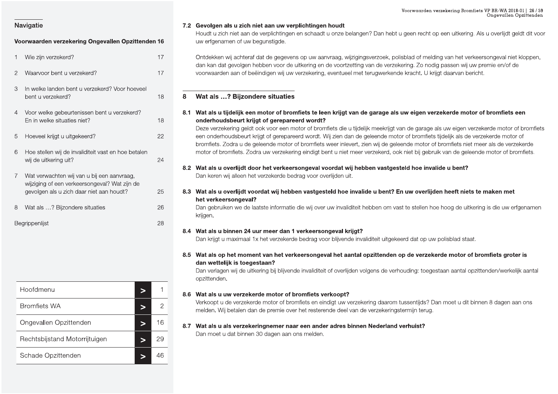### Voorwaarden verzekering Ongevallen Opzittenden 16

| 1              | Wie zijn verzekerd?                                                                                                                     | 17 |
|----------------|-----------------------------------------------------------------------------------------------------------------------------------------|----|
| $\overline{2}$ | Waarvoor bent u verzekerd?                                                                                                              | 17 |
| 3              | In welke landen bent u verzekerd? Voor hoeveel<br>bent u verzekerd?                                                                     | 18 |
| 4              | Voor welke gebeurtenissen bent u verzekerd?<br>En in welke situaties niet?                                                              | 18 |
| 5              | Hoeveel krijgt u uitgekeerd?                                                                                                            | 22 |
| 6              | Hoe stellen wij de invaliditeit vast en hoe betalen<br>wij de uitkering uit?                                                            | 24 |
| $\overline{7}$ | Wat verwachten wij van u bij een aanvraag,<br>wijziging of een verkeersongeval? Wat zijn de<br>gevolgen als u zich daar niet aan houdt? | 25 |
| 8              | Wat als ? Bijzondere situaties                                                                                                          | 26 |
|                | Bearippenliist                                                                                                                          | 28 |

| Hoofdmenu                     |   |    |
|-------------------------------|---|----|
| <b>Bromfiets WA</b>           | ∍ | 2  |
| Ongevallen Opzittenden        |   | 16 |
| Rechtsbijstand Motorrijtuigen | ∍ | 29 |
| Schade Opzittenden            |   | 46 |

### 7.2 Gevolgen als u zich niet aan uw verplichtingen houdt

Houdt u zich niet aan de verplichtingen en schaadt u onze belangen? Dan hebt u geen recht op een uitkering. Als u overlijdt geldt dit voor uw erfgenamen of uw begunstigde.

Ontdekken wij achteraf dat de gegevens op uw aanvraag, wijzigingsverzoek, polisblad of melding van het verkeersongeval niet kloppen, dan kan dat gevolgen hebben voor de uitkering en de voortzetting van de verzekering. Zo nodig passen wij uw premie en/of de voorwaarden aan of beëindigen wij uw verzekering, eventueel met terugwerkende kracht. U kriigt daarvan bericht.

### Wat als ...? Bijzondere situaties 8

8.1 Wat als u tijdelijk een motor of bromfiets te leen krijgt van de garage als uw eigen verzekerde motor of bromfiets een onderhoudsbeurt krijgt of gerepareerd wordt?

Deze verzekering geldt ook voor een motor of bromfiets die u tijdelijk meekrijgt van de garage als uw eigen verzekerde motor of bromfiets een onderhoudsbeurt krijgt of gerepareerd wordt. Wij zien dan de geleende motor of bromfiets tijdelijk als de verzekerde motor of bromfiets. Zodra u de geleende motor of bromfiets weer inlevert, zien wij de geleende motor of bromfiets niet meer als de verzekerde motor of bromfiets. Zodra uw verzekering eindigt bent u niet meer verzekerd, ook niet bij gebruik van de geleende motor of bromfiets.

### 8.2 Wat als u overlijdt door het verkeersongeval voordat wij hebben vastgesteld hoe invalide u bent? Dan keren wij alleen het verzekerde bedrag voor overlijden uit.

8.3 Wat als u overlijdt voordat wij hebben vastgesteld hoe invalide u bent? En uw overlijden heeft niets te maken met het verkeersongeval?

Dan gebruiken we de laatste informatie die wij over uw invaliditeit hebben om vast te stellen hoe hoog de uitkering is die uw erfgenamen krijgen.

### 8.4 Wat als u binnen 24 uur meer dan 1 verkeersongeval krijgt?

Dan krijgt u maximaal 1x het verzekerde bedrag voor blijvende invaliditeit uitgekeerd dat op uw polisblad staat.

8.5 Wat als op het moment van het verkeersongeval het aantal opzittenden op de verzekerde motor of bromfiets groter is dan wettelijk is toegestaan?

Dan verlagen wij de uitkering bij blijvende invaliditeit of overlijden volgens de verhouding: toegestaan aantal opzittenden/werkelijk aantal opzittenden.

### 8.6 Wat als u uw verzekerde motor of bromfiets verkoopt?

Verkoopt u de verzekerde motor of bromfiets en eindigt uw verzekering daarom tussentijds? Dan moet u dit binnen 8 dagen aan ons melden. Wij betalen dan de premie over het resterende deel van de verzekeringstermijn terug.

### 8.7 Wat als u als verzekeringnemer naar een ander adres binnen Nederland verhuist?

Dan moet u dat binnen 30 dagen aan ons melden.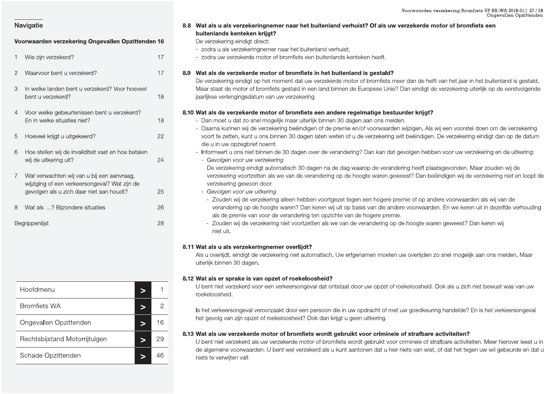### Voorwaarden verzekering Ongevallen Opzittenden 16

| 1              | Wie zijn verzekerd?                                                                                                                     | 17 |
|----------------|-----------------------------------------------------------------------------------------------------------------------------------------|----|
| $\overline{2}$ | Waarvoor bent u verzekerd?                                                                                                              | 17 |
| 3              | In welke landen bent u verzekerd? Voor hoeveel<br>bent u verzekerd?                                                                     | 18 |
| $\overline{4}$ | Voor welke gebeurtenissen bent u verzekerd?<br>En in welke situaties niet?                                                              | 18 |
| 5              | Hoeveel krijgt u uitgekeerd?                                                                                                            | 22 |
| 6              | Hoe stellen wij de invaliditeit vast en hoe betalen<br>wij de uitkering uit?                                                            | 24 |
| $\overline{7}$ | Wat verwachten wij van u bij een aanvraag,<br>wijziging of een verkeersongeval? Wat zijn de<br>gevolgen als u zich daar niet aan houdt? | 25 |
| 8              | Wat als ? Bijzondere situaties                                                                                                          | 26 |
|                | Begrippenlijst                                                                                                                          | 28 |

### 8.8 Wat als u als verzekeringnemer naar het buitenland verhuist? Of als uw verzekerde motor of bromfiets een buitenlands kenteken krijgt?

De verzekering eindigt direct:

- zodra u als verzekeringnemer naar het buitenland verhuist:
- zodra uw verzekerde motor of bromfiets een buitenlands kenteken heeft.

### 8.9 Wat als de verzekerde motor of bromfiets in het buitenland is gestald?

De verzekering eindigt op het moment dat uw verzekerde motor of bromfiets meer dan de helft van het jaar in het buitenland is gestald. Maar staat de motor of bromfiets gestald in een land binnen de Europese Unie? Dan eindigt de verzekering uiterlijk op de eerstvolgende jaarlijkse verlengingsdatum van uw verzekering.

### 8.10 Wat als de verzekerde motor of bromfiets een andere regelmatige bestuurder krijgt?

- Dan moet u dat zo snel mogelijk maar uiterlijk binnen 30 dagen aan ons melden.
- Daarna kunnen wij de verzekering beëindigen of de premie en/of voorwaarden wijzigen. Als wij een voorstel doen om de verzekering voort te zetten, kunt u ons binnen 30 dagen laten weten of u de verzekering wilt beëindigen. De verzekering eindigt dan op de datum die u in uw opzegbrief noemt.
- Informeert u ons niet binnen de 30 dagen over de verandering? Dan kan dat gevolgen hebben voor uw verzekering en de uitkering:
- Gevolgen voor uw verzekering

De verzekering eindigt automatisch 30 dagen na de dag waarop de verandering heeft plaatsgevonden. Maar zouden wij de verzekering voortzetten als we van de verandering op de hoogte waren geweest? Dan beëindigen wij de verzekering niet en loopt de verzekering gewoon door.

- Gevolgen voor uw uitkering
- Zouden wij de verzekering alleen hebben voortgezet tegen een hogere premie of op andere voorwaarden als wij van de verandering op de hoogte waren? Dan keren wij uit op basis van die andere voorwaarden. En we keren uit in dezelfde verhouding als de premie van voor de verandering ten opzichte van de hogere premie.
- Zouden wij de verzekering niet voortzetten als we van de verandering op de hoogte waren geweest? Dan keren wij niet uit.

### 8.11 Wat als u als verzekeringnemer overlijdt?

Als u overlijdt, eindigt de verzekering niet automatisch. Uw erfgenamen moeten uw overlijden zo snel mogelijk aan ons melden. Maar uiterlijk binnen 30 dagen.

### 8.12 Wat als er sprake is van opzet of roekeloosheid?

U bent niet verzekerd voor een verkeersongeval dat ontstaat door uw opzet of roekeloosheid. Ook als u zich niet bewust was van uw roekeloosheid.

Is het verkeersongeval veroorzaakt door een persoon die in uw opdracht of met uw goedkeuring handelde? En is het verkeersongeval het gevolg van zijn opzet of roekeloosheid? Ook dan krijgt u geen uitkering.

### 8.13 Wat als uw verzekerde motor of bromfiets wordt gebruikt voor criminele of strafbare activiteiten?

U bent niet verzekerd als uw verzekerde motor of bromfiets wordt gebruikt voor criminele of strafbare activiteiten. Meer hierover leest u in de algemene voorwaarden. U bent wel verzekerd als u kunt aantonen dat u hier niets van wist, of dat het tegen uw wil gebeurde en dat u niets te verwijten valt.

| Hoofdmenu                     |    |
|-------------------------------|----|
| <b>Bromfiets WA</b>           |    |
| Ongevallen Opzittenden        | 16 |
| Rechtsbijstand Motorrijtuigen | 29 |
| Schade Opzittenden            |    |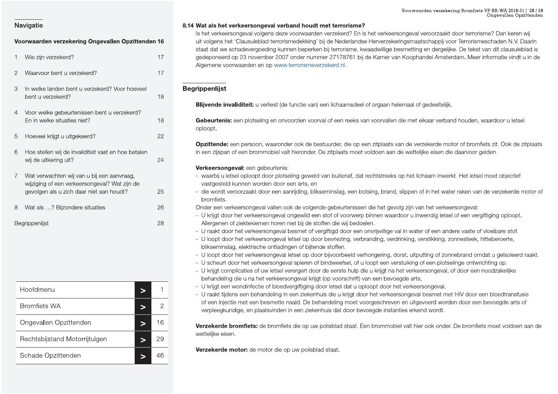|                                                                                              |                | Voorwaarden verzekering Bromfiets VP BR-WA 2018-01   28 / 59<br>Ongevallen Opzittenden                                                                                                                                                                                      |
|----------------------------------------------------------------------------------------------|----------------|-----------------------------------------------------------------------------------------------------------------------------------------------------------------------------------------------------------------------------------------------------------------------------|
| Navigatie                                                                                    |                | 8.14 Wat als het verkeersongeval verband houdt met terrorisme?                                                                                                                                                                                                              |
|                                                                                              |                | Is het verkeersongeval volgens deze voorwaarden verzekerd? En is het verkeersongeval veroorzaakt door terrorisme? Dan keren wij                                                                                                                                             |
| Voorwaarden verzekering Ongevallen Opzittenden 16                                            |                | uit volgens het 'Clausuleblad terrorismedekking' bij de Nederlandse Herverzekeringsmaatschappij voor Terrorismeschaden N.V. Daarin<br>staat dat we schadevergoeding kunnen beperken bij terrorisme, kwaadwillige besmetting en dergelijke. De tekst van dit clausuleblad is |
| Wie zijn verzekerd?                                                                          | 17             | gedeponeerd op 23 november 2007 onder nummer 27178761 bij de Kamer van Koophandel Amsterdam. Meer informatie vindt u in de<br>Algemene voorwaarden en op www.terrorismeverzekerd.nl.                                                                                        |
| $\overline{2}$<br>Waarvoor bent u verzekerd?                                                 | 17             |                                                                                                                                                                                                                                                                             |
| In welke landen bent u verzekerd? Voor hoeveel<br>3                                          |                | <b>Begrippenlijst</b>                                                                                                                                                                                                                                                       |
| bent u verzekerd?                                                                            | 18             |                                                                                                                                                                                                                                                                             |
|                                                                                              |                | Blijvende invaliditeit: u verliest (de functie van) een lichaamsdeel of orgaan helemaal of gedeeltelijk.                                                                                                                                                                    |
| Voor welke gebeurtenissen bent u verzekerd?<br>$\overline{4}$<br>En in welke situaties niet? | 18             | Gebeurtenis: een plotseling en onvoorzien voorval of een reeks van voorvallen die met elkaar verband houden, waardoor u letsel                                                                                                                                              |
|                                                                                              |                | oploopt.                                                                                                                                                                                                                                                                    |
| Hoeveel krijgt u uitgekeerd?<br>5                                                            | 22             |                                                                                                                                                                                                                                                                             |
|                                                                                              |                | Opzittende: een persoon, waaronder ook de bestuurder, die op een zitplaats van de verzekerde motor of bromfiets zit. Ook de zitplaats                                                                                                                                       |
| 6<br>Hoe stellen wij de invaliditeit vast en hoe betalen                                     |                | in een zijspan of een brommobiel valt hieronder. De zitplaats moet voldoen aan de wettelijke eisen die daarvoor gelden.                                                                                                                                                     |
| wij de uitkering uit?                                                                        | 24             | Verkeersongeval: een gebeurtenis:                                                                                                                                                                                                                                           |
| Wat verwachten wij van u bij een aanvraag,                                                   |                | - waarbij u letsel oploopt door plotseling geweld van buitenaf, dat rechtstreeks op het lichaam inwerkt. Het letsel moet objectief                                                                                                                                          |
| wijziging of een verkeersongeval? Wat zijn de                                                |                | vastgesteld kunnen worden door een arts, en                                                                                                                                                                                                                                 |
| gevolgen als u zich daar niet aan houdt?                                                     | 25             | - die wordt veroorzaakt door een aanrijding, blikseminslag, een botsing, brand, slippen of in het water raken van de verzekerde motor of                                                                                                                                    |
|                                                                                              |                | bromfiets.                                                                                                                                                                                                                                                                  |
| Wat als ? Bijzondere situaties<br>8                                                          | 26             | Onder een verkeersongeval vallen ook de volgende gebeurtenissen die het gevolg zijn van het verkeersongeval:                                                                                                                                                                |
| Begrippenlijst                                                                               | 28             | - U krijgt door het verkeersongeval ongewild een stof of voorwerp binnen waardoor u inwendig letsel of een vergiftiging oploopt.<br>Allergenen of ziektekiemen horen niet bij de stoffen die wij bedoelen.                                                                  |
|                                                                                              |                | - U raakt door het verkeersongeval besmet of vergiftigd door een onvrijwillige val in water of een andere vaste of vloeibare stof.                                                                                                                                          |
|                                                                                              |                | - U loopt door het verkeersongeval letsel op door bevriezing, verbranding, verdrinking, verstikking, zonnesteek, hitteberoerte,                                                                                                                                             |
|                                                                                              |                | blikseminslag, elektrische ontladingen of bijtende stoffen.                                                                                                                                                                                                                 |
|                                                                                              |                | - U loopt door het verkeersongeval letsel op door bijvoorbeeld verhongering, dorst, uitputting of zonnebrand omdat u geïsoleerd raakt.                                                                                                                                      |
|                                                                                              |                | - U scheurt door het verkeersongeval spieren of bindweefsel, of u loopt een verstuiking of een plotselinge ontwrichting op.<br>- U krijgt complicaties of uw letsel verergert door de eerste hulp die u krijgt na het verkeersongeval, of door een noodzakelijke            |
|                                                                                              |                | behandeling die u na het verkeersongeval krijgt (op voorschrift) van een bevoegde arts.                                                                                                                                                                                     |
| Hoofdmenu                                                                                    |                | - U krijgt een wondinfectie of bloedvergiftiging door letsel dat u oploopt door het verkeersongeval.                                                                                                                                                                        |
| $\geq$                                                                                       |                | - U raakt tijdens een behandeling in een ziekenhuis die u krijgt door het verkeersongeval besmet met HIV door een bloedtransfusie                                                                                                                                           |
| <b>Bromfiets WA</b><br>$\geq$                                                                | $\overline{2}$ | of een injectie met een besmette naald. De behandeling moet voorgeschreven en uitgevoerd worden door een bevoegde arts of                                                                                                                                                   |
|                                                                                              |                | verpleegkundige, en plaatsvinden in een ziekenhuis dat door bevoegde instanties erkend wordt.                                                                                                                                                                               |
| Ongevallen Opzittenden<br>$\geq$                                                             | 16             | Verzekerde bromfiets: de bromfiets die op uw polisblad staat. Een brommobiel valt hier ook onder. De bromfiets moet voldoen aan de                                                                                                                                          |
| Rechtsbijstand Motorrijtuigen<br>$\geq$                                                      | 29             | wettelijke eisen.                                                                                                                                                                                                                                                           |
|                                                                                              |                | Verzekerde motor: de motor die op uw polisblad staat.                                                                                                                                                                                                                       |
| Schade Opzittenden<br>$\geq$                                                                 | 46             |                                                                                                                                                                                                                                                                             |

| 8 | Wat als ? Bijzondere situaties          | 26           | Onder een ver                                                                                                                                            |
|---|-----------------------------------------|--------------|----------------------------------------------------------------------------------------------------------------------------------------------------------|
|   | Begrippenlijst                          | 28           | - U krijgt door<br>Allergenen o<br>- U raakt door<br>- U loopt door<br>blikseminsla<br>- U loopt door<br>- U scheurt do<br>- U krijgt com<br>behandeling |
|   | Hoofdmenu<br>$\geq$                     | 1            | - U krijgt een v<br>- U raakt tijder                                                                                                                     |
|   | <b>Bromfiets WA</b><br>$\, > \,$        | $\mathbf{2}$ | of een inject<br>verpleegkun                                                                                                                             |
|   | Ongevallen Opzittenden<br>$\geq$        | 16           | Verzekerde b                                                                                                                                             |
|   | Rechtsbijstand Motorrijtuigen<br>$\geq$ | 29           | wettelijke eiser                                                                                                                                         |
|   | Schade Opzittenden<br>$\geq$            | 46           | Verzekerde n                                                                                                                                             |

Voorwaarden verzekering Ongevallen Opzittenden 16<br>
1 Wie zijn verzekering Ongevallen Opzittenden 16<br>
1 Wie zijn verzekering Ongevallen Opzittenden 16<br>
1 Wie zijn verzekering Congevallen Opzittenden 16<br>
17 cedenomeerd op 23 Voorwaarden verzeker:<br>
2<br>
is het verkeersongeval veroorzaakt<br>
se Herverzekeringsmaatschappij voor<br>
se Herverzekeringsmaatschappij voor<br>
ij de Kamer van Koophandel Amster Voorwaarden verzekering Bromfie<br>
Shet verkeersongeval veroorzaakt door terror<br>
e Herverzekeringsmaatschappij voor Terrorisn<br>
waadwillige besmetting en dergelijke. De teks<br>
de Kamer van Koophandel Amsterdam, Mee Voorwaarden verzekering Bromfiets VP BR-WA 20<br>Ongevaller<br>Sersongeval veroorzaakt door terrorisme? Dan ke<br>Seringsmaatschappij voor Terrorismeschaden Ne<br>Sesmetting en dergelijke. De tekst van dit claus<br>Van Koophandel Amsterd rden verzekering Bromfiets VP BR-WA 2018-01 | 28 / 59<br>Ongevallen Opzittenden<br>Production Chappij voor Terrorismeschaden N.V. Daarin<br>En dergelijke. De tekst van dit clausuleblad is<br>Indel Amsterdam. Meer informatie vindt u in ng Bromfiets VP BR-WA 2018-01 | 28 / 59<br>Ongevallen Opzittenden<br>Oor terrorisme? Dan keren wij<br>Terrorismeschaden N.V. Daarin<br>. De tekst van dit clausuleblad is<br>lam. Meer informatie vindt u in de

- 
- 
- 
- 
- 
- 
- 
- 
- 
- 
- U scheurt door het verkeersongeval spieren of bindweetsel, of u loopt een verstuiking of een polostings ontwichting op.<br>
 U krijgt en wondinfictie of boedswrgtliging door rless with the verse conservative of states are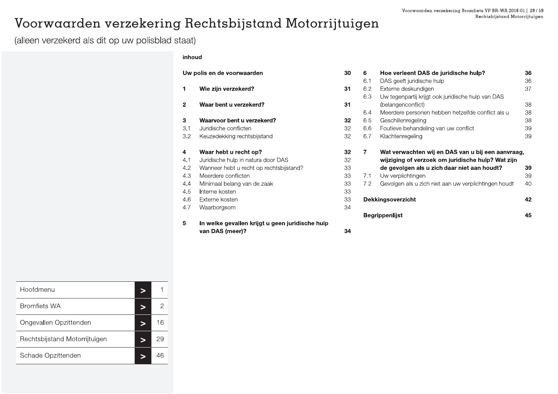36 36 37

38 38

38

39 39

39 39

40

42

45

### Voorwaarden verzekering Rechtsbijstand Motorrijtuigen

(alleen verzekerd als dit op uw polisblad staat)

### inhoud

|              | Uw polis en de voorwaarden                      | 30 | 6   | Hoe verleent DAS de juridische hulp?                 |
|--------------|-------------------------------------------------|----|-----|------------------------------------------------------|
|              |                                                 |    | 6.1 | DAS geeft juridische hulp                            |
| 1            | Wie zijn verzekerd?                             | 31 | 6.2 | Externe deskundigen                                  |
|              |                                                 |    | 6.3 | Uw tegenpartij krijgt ook juridische hulp van DAS    |
| $\mathbf{2}$ | Waar bent u verzekerd?                          | 31 |     | (belangenconflict)                                   |
|              |                                                 |    | 6.4 | Meerdere personen hebben hetzelfde conflict als u    |
| 3            | Waarvoor bent u verzekerd?                      | 32 | 6.5 | Geschillenregeling                                   |
| 3.1          | Juridische conflicten                           | 32 | 6.6 | Foutieve behandeling van uw conflict                 |
| 3.2          | Keuzedekking rechtsbijstand                     | 32 | 6.7 | Klachtenregeling                                     |
| 4            | Waar hebt u recht op?                           | 32 | 7   | Wat verwachten wij en DAS van u bij een aanvraag,    |
| 4.1          | Juridische hulp in natura door DAS              | 32 |     | wijziging of verzoek om juridische hulp? Wat zijn    |
| 4.2          | Wanneer hebt u recht op rechtsbijstand?         | 33 |     | de gevolgen als u zich daar niet aan houdt?          |
| 4.3          | Meerdere conflicten                             | 33 | 7.1 | Uw verplichtingen                                    |
| 4.4          | Minimaal belang van de zaak                     | 33 | 7.2 | Gevolgen als u zich niet aan uw verplichtingen houdt |
| 4.5          | Interne kosten                                  | 33 |     |                                                      |
| 4.6          | Externe kosten                                  | 33 |     | <b>Dekkingsoverzicht</b>                             |
| 4.7          | Waarborgsom                                     | 34 |     |                                                      |
|              |                                                 |    |     | <b>Begrippenlijst</b>                                |
| 5            | In welke gevallen krijgt u geen juridische hulp |    |     |                                                      |
|              | van DAS (meer)?                                 | 34 |     |                                                      |
|              |                                                 |    |     |                                                      |

| Hoofdmenu                     |    |
|-------------------------------|----|
| <b>Bromfiets WA</b>           | 2  |
| Ongevallen Opzittenden        | 16 |
| Rechtsbijstand Motorrijtuigen | 29 |
| Schade Opzittenden            |    |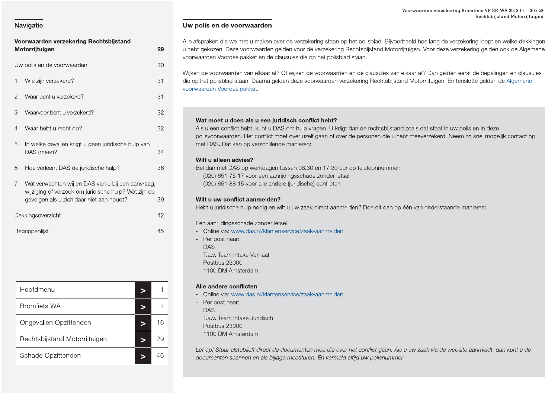| Voorwaarden verzekering Rechtsbijstand |                                                                                                                                                       |    |  |  |  |  |
|----------------------------------------|-------------------------------------------------------------------------------------------------------------------------------------------------------|----|--|--|--|--|
|                                        | Motorrijtuigen                                                                                                                                        | 29 |  |  |  |  |
|                                        | Uw polis en de voorwaarden                                                                                                                            | 30 |  |  |  |  |
| 1                                      | Wie zijn verzekerd?                                                                                                                                   | 31 |  |  |  |  |
| $\mathbf{2}$                           | Waar bent u verzekerd?                                                                                                                                | 31 |  |  |  |  |
| 3                                      | Waarvoor bent u verzekerd?                                                                                                                            | 32 |  |  |  |  |
| 4                                      | Waar hebt u recht op?                                                                                                                                 | 32 |  |  |  |  |
| 5                                      | In welke gevallen krijgt u geen juridische hulp van<br>DAS (meer)?                                                                                    | 34 |  |  |  |  |
| 6                                      | Hoe verleent DAS de juridische hulp?                                                                                                                  | 36 |  |  |  |  |
| $\overline{7}$                         | Wat verwachten wij en DAS van u bij een aanvraag,<br>wijziging of verzoek om juridische hulp? Wat zijn de<br>gevolgen als u zich daar niet aan houdt? | 39 |  |  |  |  |
|                                        | Dekkingsoverzicht                                                                                                                                     | 42 |  |  |  |  |
|                                        | Begrippenlijst                                                                                                                                        | 45 |  |  |  |  |

| Hoofdmenu                     |    |
|-------------------------------|----|
| <b>Bromfiets WA</b>           |    |
| Ongevallen Opzittenden        | 16 |
| Rechtsbijstand Motorrijtuigen | 29 |
| Schade Opzittenden            |    |

### Uw polis en de voorwaarden

Alle afspraken die we met u maken over de verzekering staan op het polisblad. Bijvoorbeeld hoe lang de verzekering loopt en welke dekkingen u hebt gekozen. Deze voorwaarden gelden voor de verzekering Rechtsbijstand Motorrijtuigen. Voor deze verzekering gelden ook de Algemene voorwaarden Voordeelpakket en de clausules die op het polisblad staan.

Wijken de voorwaarden van elkaar af? Of wijken de voorwaarden en de clausules van elkaar af? Dan gelden eerst de bepalingen en clausules die op het polisblad staan. Daarna gelden deze voorwaarden verzekering Rechtsbijstand Motorrijtuigen. En tenslotte gelden de Algemene voorwaarden Voordeelpakket.

### Wat moet u doen als u een juridisch conflict hebt?

Als u een conflict hebt, kunt u DAS om hulp vragen. U krijgt dan de rechtsbijstand zoals dat staat in uw polis en in deze polisvoorwaarden. Het conflict moet over uzelf gaan of over de personen die u hebt meeverzekerd. Neem zo snel mogelijk contact op met DAS. Dat kan op verschillende manieren:

### Wilt u alleen advies?

Bel dan met DAS op werkdagen tussen 08.30 en 17.30 uur op telefoonnummer:

- (020) 651 75 17 voor een aanrijdingsschade zonder letsel
- (020) 651 88 15 voor alle andere (juridische) conflicten

### Wilt u uw conflict aanmelden?

Hebt u juridische hulp nodig en wilt u uw zaak direct aanmelden? Doe dit dan op één van onderstaande manieren:

Een aanrijdingsschade zonder letsel

- Online via: www.das.nl/klantenservice/zaak-aanmelden
- Per post naar: **DAS** T.a.v. Team Intake Verhaal Postbus 23000 1100 DM Amsterdam

### Alle andere conflicten

- Online via: www.das.nl/klantenservice/zaak-aanmelden
- Per post naar: **DAS** T.a.v. Team Intake Juridisch Postbus 23000 1100 DM Amsterdam

Let op! Stuur alstublieft direct de documenten mee die over het conflict gaan. Als u uw zaak via de website aanmeldt, dan kunt u de documenten scannen en als bijlage meesturen. En vermeld altijd uw polisnummer.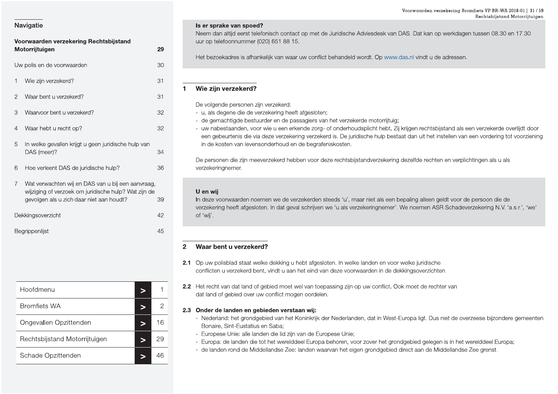Begrippenlijst

|                | Voorwaarden verzekering Rechtsbijstand<br>Motorrijtuigen                                                                                              | 29 |
|----------------|-------------------------------------------------------------------------------------------------------------------------------------------------------|----|
|                | Uw polis en de voorwaarden                                                                                                                            | 30 |
| 1              | Wie zijn verzekerd?                                                                                                                                   | 31 |
| 2              | Waar bent u verzekerd?                                                                                                                                | 31 |
| 3              | Waarvoor bent u verzekerd?                                                                                                                            | 32 |
| 4              | Waar hebt u recht op?                                                                                                                                 | 32 |
| 5              | In welke gevallen krijgt u geen juridische hulp van<br>DAS (meer)?                                                                                    | 34 |
| 6              | Hoe verleent DAS de juridische hulp?                                                                                                                  | 36 |
| $\overline{7}$ | Wat verwachten wij en DAS van u bij een aanvraag,<br>wijziging of verzoek om juridische hulp? Wat zijn de<br>gevolgen als u zich daar niet aan houdt? | 39 |
|                | Dekkingsoverzicht                                                                                                                                     | 42 |

| Hoofdmenu                     |    |
|-------------------------------|----|
| <b>Bromfiets WA</b>           |    |
| Ongevallen Opzittenden        | 16 |
| Rechtsbijstand Motorrijtuigen | ソン |
| Schade Opzittenden            |    |

### Is er sprake van spoed?

Neem dan altijd eerst telefonisch contact op met de Juridische Adviesdesk van DAS. Dat kan op werkdagen tussen 08.30 en 17.30 uur op telefoonnummer (020) 651 88 15.

Het bezoekadres is afhankelijk van waar uw conflict behandeld wordt. Op www.das.nl vindt u de adressen.

### Wie zijn verzekerd?  $\blacktriangleleft$

- De volgende personen zijn verzekerd:
- u, als degene die de verzekering heeft afgesloten;
- de gemachtigde bestuurder en de passagiers van het verzekerde motorrijtuig;
- uw nabestaanden, voor wie u een erkende zorg- of onderhoudsplicht hebt. Zij krijgen rechtsbijstand als een verzekerde overlijdt door een gebeurtenis die via deze verzekering verzekerd is. De juridische hulp bestaat dan uit het instellen van een vordering tot voorziening in de kosten van levensonderhoud en de begrafeniskosten.

De personen die zijn meeverzekerd hebben voor deze rechtsbijstandverzekering dezelfde rechten en verplichtingen als u als verzekeringnemer.

### U en wij

45

In deze voorwaarden noemen we de verzekerden steeds 'u', maar niet als een bepaling alleen geldt voor de persoon die de verzekering heeft afgesloten. In dat geval schrijven we 'u als verzekeringnemer'. We noemen ASR Schadeverzekering N.V. 'a.s.r.', 'we' of 'wij'.

### Waar bent u verzekerd?  $\overline{2}$

- 2.1 Op uw polisblad staat welke dekking u hebt afgesloten. In welke landen en voor welke juridische conflicten u verzekerd bent, vindt u aan het eind van deze voorwaarden in de dekkingsoverzichten.
- 2.2 Het recht van dat land of gebied moet wel van toepassing zijn op uw conflict. Ook moet de rechter van dat land of gebied over uw conflict mogen oordelen.

### 2.3 Onder de landen en gebieden verstaan wij:

- Nederland: het grondgebied van het Koninkrijk der Nederlanden, dat in West-Europa ligt. Dus niet de overzeese bijzondere gemeenten Bonaire. Sint-Eustatius en Saba:
- Europese Unie: alle landen die lid zijn van de Europese Unie;
- Europa: de landen die tot het werelddeel Europa behoren, voor zover het grondgebied gelegen is in het werelddeel Europa;
- de landen rond de Middellandse Zee: landen waarvan het eigen grondgebied direct aan de Middellandse Zee grenst.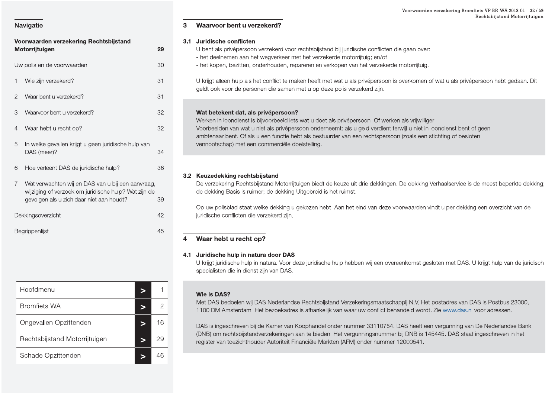### Voorwaarden verzekering Bromfiets VP BR-WA 2018-01 | 32 / 59 Rechtsbijstand Motorrijtuigen

### Waarvoor bent u verzekerd? 3

### 3.1 Juridische conflicten

- U bent als privépersoon verzekerd voor rechtsbijstand bij juridische conflicten die gaan over: - het deelnemen aan het wegverkeer met het verzekerde motorrijtuig; en/of
- het kopen, bezitten, onderhouden, repareren en verkopen van het verzekerde motorrijtuig.

U krijgt alleen hulp als het conflict te maken heeft met wat u als privépersoon is overkomen of wat u als privépersoon hebt gedaan. Dit geldt ook voor de personen die samen met u op deze polis verzekerd zijn.

### Wat betekent dat, als privépersoon?

Werken in loondienst is bijvoorbeeld iets wat u doet als privépersoon. Of werken als vrijwilliger. Voorbeelden van wat u niet als privépersoon onderneemt: als u geld verdient terwijl u niet in loondienst bent of geen ambtenaar bent. Of als u een functie hebt als bestuurder van een rechtspersoon (zoals een stichting of besloten vennootschap) met een commerciële doelstelling.

### 3.2 Keuzedekking rechtsbijstand

De verzekering Rechtsbijstand Motorrijtuigen biedt de keuze uit drie dekkingen. De dekking Verhaalservice is de meest beperkte dekking; de dekking Basis is ruimer; de dekking Uitgebreid is het ruimst.

Op uw polisblad staat welke dekking u gekozen hebt. Aan het eind van deze voorwaarden vindt u per dekking een overzicht van de juridische conflicten die verzekerd zijn.

### Waar hebt u recht op?  $\overline{\mathbf{4}}$

### 4.1 Juridische hulp in natura door DAS

U krijgt juridische hulp in natura. Voor deze juridische hulp hebben wij een overeenkomst gesloten met DAS. U krijgt hulp van de juridisch specialisten die in dienst zijn van DAS.

### Wie is DAS?

Met DAS bedoelen wij DAS Nederlandse Rechtsbijstand Verzekeringsmaatschappij N.V. Het postadres van DAS is Postbus 23000, 1100 DM Amsterdam. Het bezoekadres is afhankelijk van waar uw conflict behandeld wordt. Zie www.das.nl voor adressen.

DAS is ingeschreven bij de Kamer van Koophandel onder nummer 33110754. DAS heeft een vergunning van De Nederlandse Bank (DNB) om rechtsbijstandverzekeringen aan te bieden. Het vergunningsnummer bij DNB is 145445. DAS staat ingeschreven in het register van toezichthouder Autoriteit Financiële Markten (AFM) onder nummer 12000541.

### **Navigatie**

| Voorwaarden verzekering Rechtsbijstand |                                                                                                                                                       |    |  |  |  |
|----------------------------------------|-------------------------------------------------------------------------------------------------------------------------------------------------------|----|--|--|--|
|                                        | Motorrijtuigen                                                                                                                                        | 29 |  |  |  |
|                                        | Uw polis en de voorwaarden                                                                                                                            | 30 |  |  |  |
| 1                                      | Wie zijn verzekerd?                                                                                                                                   | 31 |  |  |  |
| 2                                      | Waar bent u verzekerd?                                                                                                                                | 31 |  |  |  |
| 3                                      | Waarvoor bent u verzekerd?                                                                                                                            | 32 |  |  |  |
| 4                                      | Waar hebt u recht op?                                                                                                                                 | 32 |  |  |  |
| 5                                      | In welke gevallen krijgt u geen juridische hulp van<br>DAS (meer)?                                                                                    | 34 |  |  |  |
| 6                                      | Hoe verleent DAS de juridische hulp?                                                                                                                  | 36 |  |  |  |
| $\overline{7}$                         | Wat verwachten wij en DAS van u bij een aanvraag,<br>wijziging of verzoek om juridische hulp? Wat zijn de<br>gevolgen als u zich daar niet aan houdt? | 39 |  |  |  |
|                                        | Dekkingsoverzicht                                                                                                                                     | 42 |  |  |  |
|                                        | Begrippenlijst                                                                                                                                        | 45 |  |  |  |

| Hoofdmenu                     |    |
|-------------------------------|----|
| <b>Bromfiets WA</b>           | 2  |
| Ongevallen Opzittenden        | 16 |
| Rechtsbijstand Motorrijtuigen | 29 |
| Schade Opzittenden            |    |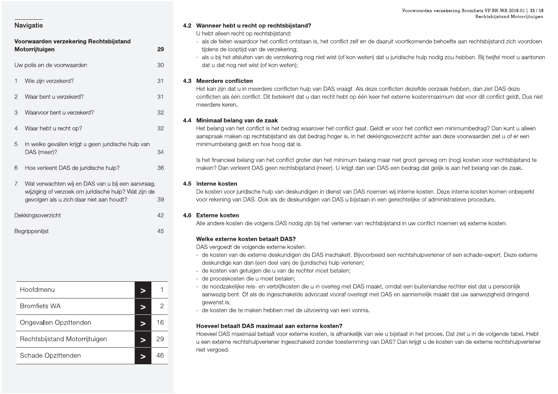Begrippenlijst

### Voorwaarden verzekering Rechtsbijstand Motorrijtuigen 29 Uw polis en de voorwaarden 30 1 Wie zijn verzekerd? 31 Waar bent u verzekerd? 31  $\mathcal{P}$ Waarvoor bent u verzekerd?  $32$  $\mathcal{S}$  $\overline{4}$ Waar hebt u recht op? 32 In welke gevallen krijgt u geen juridische hulp van 5 DAS (meer)? 34 Hoe verleent DAS de juridische hulp? 6 36  $\overline{7}$ Wat verwachten wij en DAS van u bij een aanvraag. wijziging of verzoek om juridische hulp? Wat zijn de gevolgen als u zich daar niet aan houdt? 39 Dekkingsoverzicht 42 45

| Hoofdmenu                     |    |
|-------------------------------|----|
| <b>Bromfiets WA</b>           |    |
| Ongevallen Opzittenden        | 16 |
| Rechtsbijstand Motorrijtuigen | 2ċ |
| Schade Opzittenden            |    |

### 4.2 Wanneer hebt u recht op rechtsbijstand?

U hebt alleen recht op rechtsbijstand:

- als de feiten waardoor het conflict ontstaan is, het conflict zelf en de daaruit voortkomende behoefte aan rechtsbijstand zich voordoen tijdens de looptijd van de verzekering:
- als u bij het afsluiten van de verzekering nog niet wist (of kon weten) dat u juridische hulp nodig zou hebben. Bij twijfel moet u aantonen dat u dat nog niet wist (of kon weten);

### 4.3 Meerdere conflicten

Het kan zijn dat u in meerdere conflicten hulp van DAS vraagt. Als deze conflicten dezelfde oorzaak hebben, dan ziet DAS deze conflicten als één conflict. Dit betekent dat u dan recht hebt op één keer het externe kostenmaximum dat voor dit conflict geldt. Dus niet meerdere keren.

### 4.4 Minimaal belang van de zaak

Het belang van het conflict is het bedrag waarover het conflict gaat. Geldt er voor het conflict een minimumbedrag? Dan kunt u alleen aanspraak maken op rechtsbijstand als dat bedrag hoger is. In het dekkingsoverzicht achter aan deze voorwaarden ziet u of er een minimumbelang geldt en hoe hoog dat is.

Is het financieel belang van het conflict groter dan het minimum belang maar niet groot genoeg om (nog) kosten voor rechtsbijstand te maken? Dan verleent DAS geen rechtsbijstand (meer). U krijgt dan van DAS een bedrag dat gelijk is aan het belang van de zaak.

### 4.5 Interne kosten

De kosten voor juridische hulp van deskundigen in dienst van DAS noemen wij interne kosten. Deze interne kosten komen onbeperkt voor rekening van DAS. Ook als de deskundigen van DAS u bijstaan in een gerechtelijke of administratieve procedure.

### 4.6 Externe kosten

Alle andere kosten die volgens DAS nodig zijn bij het verlenen van rechtsbijstand in uw conflict noemen wij externe kosten.

### Welke externe kosten betaalt DAS?

DAS vergoedt de volgende externe kosten:

- de kosten van de externe deskundigen die DAS inschakelt. Bijvoorbeeld een rechtshulpverlener of een schade-expert. Deze externe deskundige kan dan (een deel van) de (juridische) hulp verlenen;
- de kosten van getuigen die u van de rechter moet betalen;
- de proceskosten die u moet betalen;
- de noodzakelijke reis- en verblijfkosten die u in overleg met DAS maakt, omdat een buitenlandse rechter eist dat u persoonlijk aanwezig bent. Of als de ingeschakelde advocaat vooraf overlegt met DAS en aannemelijk maakt dat uw aanwezigheid dringend gewenst is:
- de kosten die te maken hebben met de uitvoering van een vonnis.

### Hoeveel betaalt DAS maximaal aan externe kosten?

Hoeveel DAS maximaal betaalt voor externe kosten, is afhankelijk van wie u bijstaat in het proces. Dat ziet u in de volgende tabel. Hebt u een externe rechtshulpverlener ingeschakeld zonder toestemming van DAS? Dan krijgt u de kosten van de externe rechtshulpverlener niet vergoed.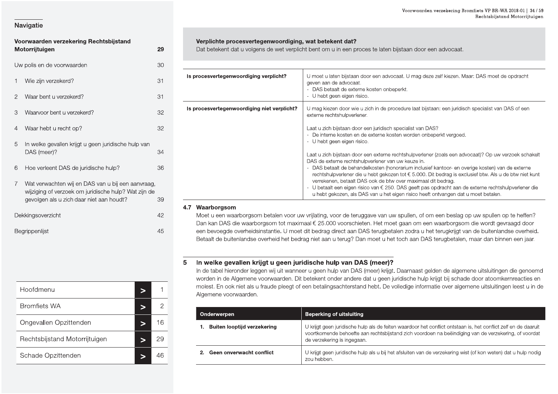|                                                          |    |                                                        | Voorwaarden verzeke                                                                                                                                                                             |
|----------------------------------------------------------|----|--------------------------------------------------------|-------------------------------------------------------------------------------------------------------------------------------------------------------------------------------------------------|
| Navigatie                                                |    |                                                        |                                                                                                                                                                                                 |
| Voorwaarden verzekering Rechtsbijstand<br>Motorrijtuigen | 29 | Verplichte procesvertegenwoordiging, wat betekent dat? | Dat betekent dat u volgens de wet verplicht bent om u in een proces te laten bijstaan door een advo                                                                                             |
| Uw polis en de voorwaarden                               | 30 |                                                        |                                                                                                                                                                                                 |
| Wie zijn verzekerd?                                      | 31 | Is procesvertegenwoordiging verplicht?                 | U moet u laten bijstaan door een advocaat. U mag deze zelf kie<br>geven aan de advocaat.<br>- DAS betaalt de externe kosten onbeperkt.                                                          |
| Waar bent u verzekerd?<br>$\overline{2}$                 | 31 |                                                        | - U hebt geen eigen risico.                                                                                                                                                                     |
| Waarvoor bent u verzekerd?<br>3                          | 32 | Is procesvertegenwoordiging niet verplicht?            | U mag kiezen door wie u zich in de procedure laat bijstaan: een<br>externe rechtshulpverlener.                                                                                                  |
| Waar hebt u recht op?<br>4                               | 32 |                                                        | Laat u zich bijstaan door een juridisch specialist van DAS?<br>- De interne kosten en de externe kosten worden onbeperkt ve                                                                     |
| In welke gevallen krijgt u geen juridische hulp van<br>5 |    |                                                        | - U hebt geen eigen risico.                                                                                                                                                                     |
| DAS (meer)?                                              | 34 |                                                        | Laat u zich bijstaan door een externe rechtshulpverlener (zoals e<br>DAS de externe rechtshulpverlener van uw keuze in.                                                                         |
| Hoe verleent DAS de juridische hulp?<br>6                | 36 |                                                        | - DAS betaalt de behandelkosten (honorarium inclusief kantoor<br>rechtshulpverlener die u hebt gekozen tot € 5.000. Dit bedrag                                                                  |
| Wat verwachten wij en DAS van u bij een aanvraag,        |    |                                                        | verrekenen, betaalt DAS ook de btw over maximaal dit bedra<br>- U betaalt een eigen risico van € 250. DAS geeft pas opdracht                                                                    |
| wijziging of verzoek om juridische hulp? Wat zijn de     |    |                                                        | u hebt gekozen, als DAS van u het eigen risico heeft ontvang                                                                                                                                    |
| gevolgen als u zich daar niet aan houdt?                 | 39 |                                                        |                                                                                                                                                                                                 |
| Dekkingsoverzicht                                        | 42 | 4.7 Waarborgsom                                        | Moet u een waarborgsom betalen voor uw vrijlating, voor de teruggave van uw spullen, of om een be<br>Dan kan DAS die waarborgsom tot maximaal € 25.000 voorschieten. Het moet gaan om een waarb |
| Begrippenlijst                                           | 45 |                                                        | een bevoegde overheidsinstantie. U moet dit bedrag direct aan DAS terugbetalen zodra u het terugk                                                                                               |

| Dekkingsoverzicht<br>Begrippenlijst     | 42<br>45       |   | Moet u een wa<br>Dan kan DAS<br>een bevoegde<br>Betaalt de buit |
|-----------------------------------------|----------------|---|-----------------------------------------------------------------|
|                                         |                | 5 | In welke get<br>In de tabel hier<br>worden in de /              |
| Hoofdmenu<br>$\geq$                     | 1              |   | molest. En ool<br>Algemene voo                                  |
| <b>Bromfiets WA</b><br>$\geq$           | $\overline{c}$ |   | Onderwerper                                                     |
| Ongevallen Opzittenden<br>$\geq$        | 16             |   | <b>Buiten loo</b><br>1.                                         |
| Rechtsbijstand Motorrijtuigen<br>$\geq$ | 29             |   |                                                                 |
| Schade Opzittenden<br>$\geq$            | 46             |   | 2. Geen onv                                                     |

|                                                                                                  |                |                                                        | Rechtsbijstand Motorrijtuigen                                                                                                                                                                                                                                                                                                                                                                                                                                                                   |
|--------------------------------------------------------------------------------------------------|----------------|--------------------------------------------------------|-------------------------------------------------------------------------------------------------------------------------------------------------------------------------------------------------------------------------------------------------------------------------------------------------------------------------------------------------------------------------------------------------------------------------------------------------------------------------------------------------|
| Voorwaarden verzekering Rechtsbijstand<br>Motorrijtuigen                                         | 29             | Verplichte procesvertegenwoordiging, wat betekent dat? | Dat betekent dat u volgens de wet verplicht bent om u in een proces te laten bijstaan door een advocaat.                                                                                                                                                                                                                                                                                                                                                                                        |
| Uw polis en de voorwaarden                                                                       | 30             |                                                        |                                                                                                                                                                                                                                                                                                                                                                                                                                                                                                 |
| Wie zijn verzekerd?                                                                              | 31             | Is procesvertegenwoordiging verplicht?                 | U moet u laten bijstaan door een advocaat. U mag deze zelf kiezen. Maar: DAS moet de opdracht<br>geven aan de advocaat.<br>- DAS betaalt de externe kosten onbeperkt.                                                                                                                                                                                                                                                                                                                           |
| Waar bent u verzekerd?<br>2                                                                      | 31             |                                                        | - U hebt geen eigen risico.                                                                                                                                                                                                                                                                                                                                                                                                                                                                     |
| 3<br>Waarvoor bent u verzekerd?                                                                  | 32             | Is procesvertegenwoordiging niet verplicht?            | U mag kiezen door wie u zich in de procedure laat bijstaan: een juridisch specialist van DAS of een<br>externe rechtshulpverlener.                                                                                                                                                                                                                                                                                                                                                              |
| Waar hebt u recht op?<br>4                                                                       | 32             |                                                        | Laat u zich bijstaan door een juridisch specialist van DAS?<br>- De interne kosten en de externe kosten worden onbeperkt vergoed.                                                                                                                                                                                                                                                                                                                                                               |
| 5<br>In welke gevallen krijgt u geen juridische hulp van<br>DAS (meer)?                          | 34             |                                                        | - U hebt geen eigen risico.                                                                                                                                                                                                                                                                                                                                                                                                                                                                     |
| 6<br>Hoe verleent DAS de juridische hulp?                                                        | 36             |                                                        | Laat u zich bijstaan door een externe rechtshulpverlener (zoals een advocaat)? Op uw verzoek schakelt<br>DAS de externe rechtshulpverlener van uw keuze in.<br>DAS betaalt de behandelkosten (honorarium inclusief kantoor- en overige kosten) van de externe<br>rechtshulpverlener die u hebt gekozen tot € 5.000. Dit bedrag is exclusief btw. Als u de btw niet kunt                                                                                                                         |
| Wat verwachten wij en DAS van u bij een aanvraag,                                                |                |                                                        | verrekenen, betaalt DAS ook de btw over maximaal dit bedrag.<br>U betaalt een eigen risico van € 250. DAS geeft pas opdracht aan de externe rechtshulpverlener die                                                                                                                                                                                                                                                                                                                              |
| wijziging of verzoek om juridische hulp? Wat zijn de<br>gevolgen als u zich daar niet aan houdt? | 39             |                                                        | u hebt gekozen, als DAS van u het eigen risico heeft ontvangen dat u moet betalen.                                                                                                                                                                                                                                                                                                                                                                                                              |
|                                                                                                  |                | 4.7 Waarborgsom                                        |                                                                                                                                                                                                                                                                                                                                                                                                                                                                                                 |
| Dekkingsoverzicht                                                                                | 42             |                                                        | Moet u een waarborgsom betalen voor uw vrijlating, voor de teruggave van uw spullen, of om een beslag op uw spullen op te heffen?<br>Dan kan DAS die waarborgsom tot maximaal € 25.000 voorschieten. Het moet gaan om een waarborgsom die wordt gevraagd door                                                                                                                                                                                                                                   |
| Begrippenlijst                                                                                   | 45             |                                                        | een bevoegde overheidsinstantie. U moet dit bedrag direct aan DAS terugbetalen zodra u het terugkrijgt van de buitenlandse overheid.<br>Betaalt de buitenlandse overheid het bedrag niet aan u terug? Dan moet u het toch aan DAS terugbetalen, maar dan binnen een jaar.                                                                                                                                                                                                                       |
|                                                                                                  | 5              |                                                        | In welke gevallen krijgt u geen juridische hulp van DAS (meer)?<br>In de tabel hieronder leggen wij uit wanneer u geen hulp van DAS (meer) krijgt. Daarnaast gelden de algemene uitsluitingen die genoemd<br>worden in de Algemene voorwaarden. Dit betekent onder andere dat u geen juridische hulp krijgt bij schade door atoomkernreacties en<br>molest. En ook niet als u fraude pleegt of een betalingsachterstand hebt. De volledige informatie over algemene uitsluitingen leest u in de |
| Hoofdmenu<br>⋗                                                                                   |                | Algemene voorwaarden.                                  |                                                                                                                                                                                                                                                                                                                                                                                                                                                                                                 |
| <b>Bromfiets WA</b><br>⋗                                                                         | $\overline{2}$ | Onderwerpen                                            | <b>Beperking of uitsluiting</b>                                                                                                                                                                                                                                                                                                                                                                                                                                                                 |
| Ongevallen Opzittenden<br>>                                                                      | 16             | 1. Buiten looptijd verzekering                         | U krijgt geen juridische hulp als de feiten waardoor het conflict ontstaan is, het conflict zelf en de daaruit                                                                                                                                                                                                                                                                                                                                                                                  |
| Rechtsbijstand Motorrijtuigen<br>>                                                               | 29             |                                                        | voortkomende behoefte aan rechtsbijstand zich voordoen na beëindiging van de verzekering, of voordat<br>de verzekering is ingegaan.                                                                                                                                                                                                                                                                                                                                                             |

| <b>Onderwerpen</b> |                                | <b>Beperking of uitsluiting</b>                                                                                                                                                                                                                       |
|--------------------|--------------------------------|-------------------------------------------------------------------------------------------------------------------------------------------------------------------------------------------------------------------------------------------------------|
|                    | 1. Buiten looptijd verzekering | U krijgt geen juridische hulp als de feiten waardoor het conflict ontstaan is, het conflict zelf en de daaruit<br>voortkomende behoefte aan rechtsbijstand zich voordoen na beëindiging van de verzekering, of voordat<br>de verzekering is ingegaan. |
|                    | 2. Geen onverwacht conflict    | U krijgt geen juridische hulp als u bij het afsluiten van de verzekering wist (of kon weten) dat u hulp nodig<br>zou hebben.                                                                                                                          |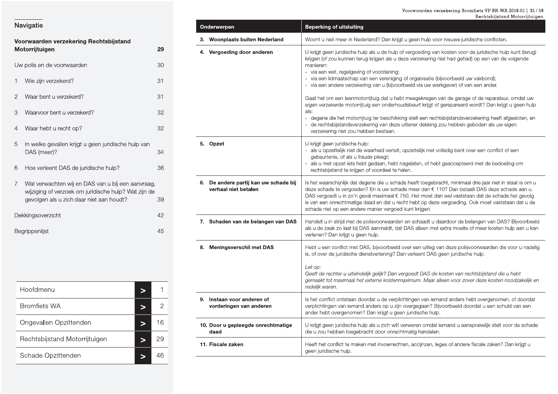### Voorwaarden verzekering Bromfiets VP BR-WA 2018-01 | 35 / 59<br>Rechtsbijstand Motorrijtuigen

### Navigatie

|                | Voorwaarden verzekering Rechtsbijstand                                                                                                                |    |
|----------------|-------------------------------------------------------------------------------------------------------------------------------------------------------|----|
|                | Motorrijtuigen                                                                                                                                        | 29 |
|                | Uw polis en de voorwaarden                                                                                                                            | 30 |
| 1              | Wie zijn verzekerd?                                                                                                                                   | 31 |
| $\overline{2}$ | Waar bent u verzekerd?                                                                                                                                | 31 |
| 3              | Waarvoor bent u verzekerd?                                                                                                                            | 32 |
| 4              | Waar hebt u recht op?                                                                                                                                 | 32 |
| 5              | In welke gevallen krijgt u geen juridische hulp van<br>DAS (meer)?                                                                                    | 34 |
| 6              | Hoe verleent DAS de juridische hulp?                                                                                                                  | 36 |
| $\overline{7}$ | Wat verwachten wij en DAS van u bij een aanvraag,<br>wijziging of verzoek om juridische hulp? Wat zijn de<br>gevolgen als u zich daar niet aan houdt? | 39 |
|                | Dekkingsoverzicht                                                                                                                                     | 42 |
|                | Begrippenlijst                                                                                                                                        | 45 |

| Hoofdmenu                     |    |
|-------------------------------|----|
| <b>Bromfiets WA</b>           |    |
| Ongevallen Opzittenden        | 16 |
| Rechtsbijstand Motorrijtuigen | 29 |
| Schade Opzittenden            |    |

| Onderwerpen |                                                               | <b>Beperking of uitsluiting</b>                                                                                                                                                                                                                                                                                                                                                                                                                                                                                                                                                                                                                                                                                                                                                                                                                                                                                                |
|-------------|---------------------------------------------------------------|--------------------------------------------------------------------------------------------------------------------------------------------------------------------------------------------------------------------------------------------------------------------------------------------------------------------------------------------------------------------------------------------------------------------------------------------------------------------------------------------------------------------------------------------------------------------------------------------------------------------------------------------------------------------------------------------------------------------------------------------------------------------------------------------------------------------------------------------------------------------------------------------------------------------------------|
|             | 3. Woonplaats buiten Nederland                                | Woont u niet meer in Nederland? Dan krijgt u geen hulp voor nieuwe juridische conflicten.                                                                                                                                                                                                                                                                                                                                                                                                                                                                                                                                                                                                                                                                                                                                                                                                                                      |
|             | 4. Vergoeding door anderen                                    | U krijgt geen juridische hulp als u de hulp of vergoeding van kosten voor de juridische hulp kunt (terug)<br>krijgen (of zou kunnen terug krijgen als u deze verzekering niet had gehad) op een van de volgende<br>manieren:<br>- via een wet, regelgeving of voorziening;<br>- via een lidmaatschap van een vereniging of organisatie (bijvoorbeeld uw vakbond);<br>- via een andere verzekering van u (bijvoorbeeld via uw werkgever) of van een ander.<br>Gaat het om een leenmotorrijtuig dat u hebt meegekregen van de garage of de reparateur, omdat uw<br>eigen verzekerde motorrijtuig een onderhoudsbeurt krijgt of gerepareerd wordt? Dan krijgt u geen hulp<br>als:<br>- degene die het motorrijtuig ter beschikking stelt een rechtsbijstandsverzekering heeft afgesloten, en<br>- de rechtsbijstandsverzekering van deze uitlener dekking zou hebben geboden als uw eigen<br>verzekering niet zou hebben bestaan. |
|             | 5. Opzet                                                      | U krijgt geen juridische hulp:<br>als u opzettelijk niet de waarheid vertelt, opzettelijk niet volledig bent over een conflict of een<br>gebeurtenis, of als u fraude pleegt;<br>als u met opzet iets hebt gedaan, hebt nagelaten, of hebt geaccepteerd met de bedoeling om<br>rechtsbijstand te krijgen of voordeel te halen.                                                                                                                                                                                                                                                                                                                                                                                                                                                                                                                                                                                                 |
|             | 6. De andere partij kan uw schade bij<br>verhaal niet betalen | Is het waarschijnlijk dat degene die u schade heeft toegebracht, minimaal drie jaar niet in staat is om u<br>deze schade te vergoeden? En is uw schade meer dan € 110? Dan betaalt DAS deze schade aan u.<br>DAS vergoedt u in zo'n geval maximaal € 750. Het moet dan wel vaststaan dat de schade het gevolg<br>is van een onrechtmatige daad en dat u recht hebt op deze vergoeding. Ook moet vaststaan dat u de<br>schade niet op een andere manier vergoed kunt krijgen.                                                                                                                                                                                                                                                                                                                                                                                                                                                   |
|             | 7. Schaden van de belangen van DAS                            | Handelt u in strijd met de polisvoorwaarden en schaadt u daardoor de belangen van DAS? Bijvoorbeeld<br>als u de zaak zo laat bij DAS aanmeldt, dat DAS alleen met extra moeite of meer kosten hulp aan u kan<br>verlenen? Dan krijgt u geen hulp.                                                                                                                                                                                                                                                                                                                                                                                                                                                                                                                                                                                                                                                                              |
|             | 8. Meningsverschil met DAS                                    | Hebt u een conflict met DAS, bijvoorbeeld over een uitleg van deze polisvoorwaarden die voor u nadelig<br>is, of over de juridische dienstverlening? Dan verleent DAS geen juridische hulp.<br>Let op:<br>Geeft de rechter u uiteindelijk gelijk? Dan vergoedt DAS de kosten van rechtsbijstand die u hebt<br>gemaakt tot maximaal het externe kostenmaximum. Maar alleen voor zover deze kosten noodzakelijk en<br>redelijk waren.                                                                                                                                                                                                                                                                                                                                                                                                                                                                                            |
|             | 9. Instaan voor anderen of<br>vorderingen van anderen         | Is het conflict ontstaan doordat u de verplichtingen van iemand anders hebt overgenomen, of doordat<br>verplichtingen van iemand anders op u zijn overgegaan? Bijvoorbeeld doordat u een schuld van een<br>ander hebt overgenomen? Dan krijgt u geen juridische hulp.                                                                                                                                                                                                                                                                                                                                                                                                                                                                                                                                                                                                                                                          |
|             | 10. Door u gepleegde onrechtmatige<br>daad                    | U krijgt geen juridische hulp als u zich wilt verweren omdat iemand u aansprakelijk stelt voor de schade<br>die u zou hebben toegebracht door onrechtmatig handelen.                                                                                                                                                                                                                                                                                                                                                                                                                                                                                                                                                                                                                                                                                                                                                           |
|             | 11. Fiscale zaken                                             | Heeft het conflict te maken met invoerrechten, accijnzen, leges of andere fiscale zaken? Dan krijgt u<br>geen juridische hulp.                                                                                                                                                                                                                                                                                                                                                                                                                                                                                                                                                                                                                                                                                                                                                                                                 |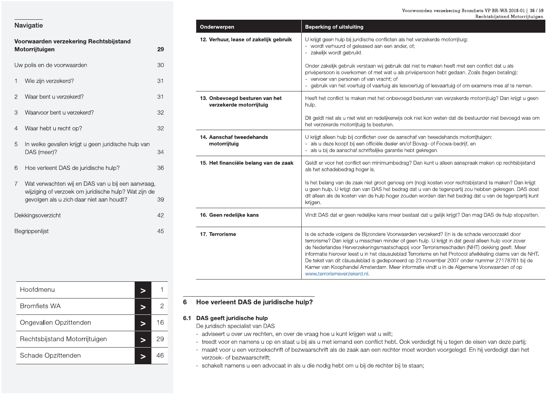|                | Voorwaarden verzekering Rechtsbijstand<br>Motorrijtuigen                                                                                              | 29 |
|----------------|-------------------------------------------------------------------------------------------------------------------------------------------------------|----|
|                | Uw polis en de voorwaarden                                                                                                                            | 30 |
| 1              | Wie zijn verzekerd?                                                                                                                                   | 31 |
| $\overline{2}$ | Waar bent u verzekerd?                                                                                                                                | 31 |
| 3              | Waarvoor bent u verzekerd?                                                                                                                            | 32 |
| 4              | Waar hebt u recht op?                                                                                                                                 | 32 |
| 5              | In welke gevallen krijgt u geen juridische hulp van<br>DAS (meer)?                                                                                    | 34 |
| 6              | Hoe verleent DAS de juridische hulp?                                                                                                                  | 36 |
| $\overline{7}$ | Wat verwachten wij en DAS van u bij een aanvraag,<br>wijziging of verzoek om juridische hulp? Wat zijn de<br>gevolgen als u zich daar niet aan houdt? | 39 |
|                | Dekkingsoverzicht                                                                                                                                     | 42 |
|                | Begrippenlijst                                                                                                                                        | 45 |
|                |                                                                                                                                                       |    |

| Onderwerpen                                               | <b>Beperking of uitsluiting</b>                                                                                                                                                                                                                                                                                                                                                                                                                                                                                                                                                                                                            |
|-----------------------------------------------------------|--------------------------------------------------------------------------------------------------------------------------------------------------------------------------------------------------------------------------------------------------------------------------------------------------------------------------------------------------------------------------------------------------------------------------------------------------------------------------------------------------------------------------------------------------------------------------------------------------------------------------------------------|
| 12. Verhuur, lease of zakelijk gebruik                    | U krijgt geen hulp bij juridische conflicten als het verzekerde motorrijtuig:<br>wordt verhuurd of geleased aan een ander, of;<br>zakelijk wordt gebruikt.                                                                                                                                                                                                                                                                                                                                                                                                                                                                                 |
|                                                           | Onder zakelijk gebruik verstaan wij gebruik dat niet te maken heeft met een conflict dat u als<br>privépersoon is overkomen of met wat u als privépersoon hebt gedaan. Zoals (tegen betaling):<br>- vervoer van personen of van vracht; of<br>gebruik van het voertuig of vaartuig als lesvoertuig of lesvaartuig of om examens mee af te nemen.                                                                                                                                                                                                                                                                                           |
| 13. Onbevoegd besturen van het<br>verzekerde motorrijtuig | Heeft het conflict te maken met het onbevoegd besturen van verzekerde motorrijtuig? Dan krijgt u geen<br>hulp.                                                                                                                                                                                                                                                                                                                                                                                                                                                                                                                             |
|                                                           | Dit geldt niet als u niet wist en redelijkerwijs ook niet kon weten dat de bestuurder niet bevoegd was om<br>het verzekerde motorrijtuig te besturen.                                                                                                                                                                                                                                                                                                                                                                                                                                                                                      |
| 14. Aanschaf tweedehands<br>motorrijtuig                  | U krijgt alleen hulp bij conflicten over de aanschaf van tweedehands motorrijtuigen:<br>als u deze koopt bij een officiële dealer en/of Bovag- of Focwa-bedrijf, en<br>als u bij de aanschaf schriftelijke garantie hebt gekregen.                                                                                                                                                                                                                                                                                                                                                                                                         |
| 15. Het financiële belang van de zaak                     | Geldt er voor het conflict een minimumbedrag? Dan kunt u alleen aanspraak maken op rechtsbijstand<br>als het schadebedrag hoger is.                                                                                                                                                                                                                                                                                                                                                                                                                                                                                                        |
|                                                           | Is het belang van de zaak niet groot genoeg om (nog) kosten voor rechtsbijstand te maken? Dan krijgt<br>u geen hulp. U krijgt dan van DAS het bedrag dat u van de tegenpartij zou hebben gekregen. DAS doet<br>dit alleen als de kosten van de hulp hoger zouden worden dan het bedrag dat u van de tegenpartij kunt<br>krijgen.                                                                                                                                                                                                                                                                                                           |
| 16. Geen redelijke kans                                   | Vindt DAS dat er geen redelijke kans meer bestaat dat u gelijk krijgt? Dan mag DAS de hulp stopzetten.                                                                                                                                                                                                                                                                                                                                                                                                                                                                                                                                     |
| 17. Terrorisme                                            | Is de schade volgens de Bijzondere Voorwaarden verzekerd? En is de schade veroorzaakt door<br>terrorisme? Dan krijgt u misschien minder of geen hulp. U krijgt in dat geval alleen hulp voor zover<br>de Nederlandse Herverzekeringsmaatschappij voor Terrorismeschaden (NHT) dekking geeft. Meer<br>informatie hierover leest u in het clausuleblad Terrorisme en het Protocol afwikkeling claims van de NHT.<br>De tekst van dit clausuleblad is gedeponeerd op 23 november 2007 onder nummer 27178761 bij de<br>Kamer van Koophandel Amsterdam. Meer informatie vindt u in de Algemene Voorwaarden of op<br>www.terrorismeverzekerd.nl. |

| Hoofdmenu                     |  |    |
|-------------------------------|--|----|
| <b>Bromfiets WA</b>           |  |    |
| Ongevallen Opzittenden        |  | 16 |
| Rechtsbijstand Motorrijtuigen |  | 29 |
| Schade Opzittenden            |  |    |

### Hoe verleent DAS de juridische hulp?  $6\phantom{1}6$

### 6.1 DAS geeft juridische hulp

De juridisch specialist van DAS

- adviseert u over uw rechten, en over de vraag hoe u kunt krijgen wat u wilt;
- treedt voor en namens u op en staat u bij als u met iemand een conflict hebt. Ook verdedigt hij u tegen de eisen van deze partij;
- maakt voor u een verzoekschrift of bezwaarschrift als de zaak aan een rechter moet worden voorgelegd. En hij verdedigt dan het verzoek- of bezwaarschrift:

- schakelt namens u een advocaat in als u die nodig hebt om u bij de rechter bij te staan;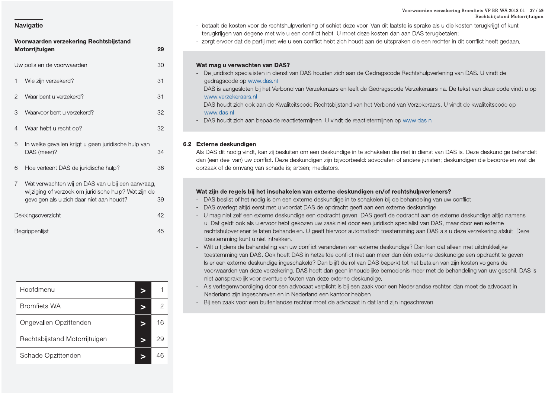# Notice the interaction of the state of the state of the state of the state of the state of the state of the state of the state of the state of the state of the state of the state of the state of the state of the state of

| 90,019011 alo a Lion addition dan modelli |              | $\sim$ $\sim$ $\sim$ $\sim$ $\sim$                                                                                                                                           |
|-------------------------------------------|--------------|------------------------------------------------------------------------------------------------------------------------------------------------------------------------------|
| Dekkingsoverzicht                         | 42           | DAS overle<br>$\overline{\phantom{0}}$<br>U mag niet<br>$\overline{\phantom{0}}$                                                                                             |
| Begrippenlijst                            | 45           | u. Dat geld<br>rechtshulpv<br>toestemmir<br>Wilt u tijder<br>$\overline{\phantom{a}}$<br>toestemmir<br>Is er een ex<br>$\overline{\phantom{0}}$<br>voorwaarde<br>niet aanspr |
| Hoofdmenu<br>$\geq$                       | 1            | Als verteger<br>$\overline{\phantom{a}}$<br>Nederland:                                                                                                                       |
| <b>Bromfiets WA</b><br>$\geq$             | $\mathbf{2}$ | Bij een zaal                                                                                                                                                                 |
| Ongevallen Opzittenden<br>$\geq$          | 16           |                                                                                                                                                                              |
| Rechtsbijstand Motorrijtuigen<br>$\geq$   | 29           |                                                                                                                                                                              |
|                                           | 46           |                                                                                                                                                                              |

### nfiets VP BR-WA 2018-01 | 37 / 59<br>Rechtsbijstand Motorrijtuigen<br>1 terugkrijgt of kunt<br>Inflict heeft gedaan. iets VP BR-WA 2018-01 | 37 / 59<br>Rechtsbijstand Motorrijtuigen<br>erugkrijgt of kunt<br>flict heeft gedaan.

- Voorwaarden verzekering Rechtsbijstand<br>
Voorwaarden verzekering Rechtsbijstand<br>
Voorwaarden verzekering Rechtsbijstand<br>
Motorrijtuigen van degene met wie u een conflict hebt. U moet deze kosten dan aan DAS terugbetal<br>
Moto Voorwaarden verzekeri<br>Joor. Van dit laatste is sprake als u die<br>Joor kosten dan aan DAS terugbetale<br>Let aan de uitspraken die een rechter in Voorwaarden verzekering Bromfie<br>Browner Re<br>Dr. Van dit laatste is sprake als u die kosten ter<br>Ze kosten dan aan DAS terugbetalen;<br>aan de uitspraken die een rechter in dit conflic Voorwaarden verzekering Bromfiets VP BR-WA 20<br>Rechtsbijstand M<br>Jaatste is sprake als u die kosten terugkrijgt of ku<br>dan aan DAS terugbetalen;<br>spraken die een rechter in dit conflict heeft geda rden verzekering Bromfiets VP BR-WA 2018-01 | 37 / 59<br>Rechtsbijstand Motorrijtuigen<br>Ake als u die kosten terugkrijgt of kunt<br>Sterugbetalen;<br>Ben rechter in dit conflict heeft gedaan.
	-

- 
- 
- 
- 

- 
- 
- 
- 
- 
- 
-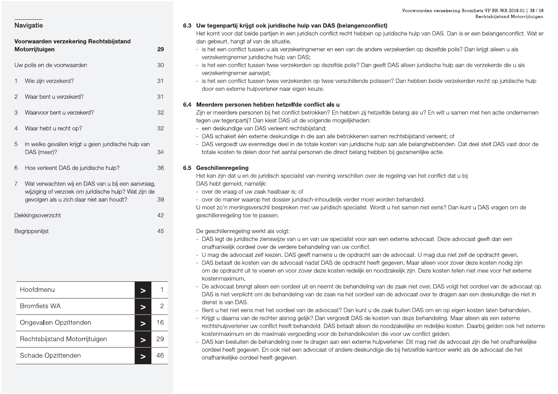| Voorwaarden verzekering Rechtsbijstand |                                                                                                                                                       |    |
|----------------------------------------|-------------------------------------------------------------------------------------------------------------------------------------------------------|----|
|                                        | Motorrijtuigen                                                                                                                                        | 29 |
|                                        | Uw polis en de voorwaarden                                                                                                                            | 30 |
| 1                                      | Wie zijn verzekerd?                                                                                                                                   | 31 |
| $\overline{2}$                         | Waar bent u verzekerd?                                                                                                                                | 31 |
| 3                                      | Waarvoor bent u verzekerd?                                                                                                                            | 32 |
| 4                                      | Waar hebt u recht op?                                                                                                                                 | 32 |
| 5                                      | In welke gevallen krijgt u geen juridische hulp van<br>DAS (meer)?                                                                                    | 34 |
| 6                                      | Hoe verleent DAS de juridische hulp?                                                                                                                  | 36 |
| $\overline{7}$                         | Wat verwachten wij en DAS van u bij een aanvraag,<br>wijziging of verzoek om juridische hulp? Wat zijn de<br>gevolgen als u zich daar niet aan houdt? | 39 |
|                                        | Dekkingsoverzicht                                                                                                                                     | 42 |
|                                        | Begrippenlijst                                                                                                                                        | 45 |

| Hoofdmenu                     |    |
|-------------------------------|----|
| <b>Bromfiets WA</b>           | 2  |
| Ongevallen Opzittenden        | 16 |
| Rechtsbijstand Motorrijtuigen | 29 |
| Schade Opzittenden            |    |

### 6.3 Uw tegenpartii kriigt ook juridische hulp van DAS (belangenconflict)

Het komt voor dat beide partijen in een juridisch conflict recht hebben op juridische hulp van DAS. Dan is er een belangenconflict. Wat er dan gebeurt, hangt af van de situatie.

- is het een conflict tussen u als verzekeringnemer en een van de andere verzekerden op dezelfde polis? Dan krijgt alleen u als verzekeringnemer juridische hulp van DAS;
- is het een conflict tussen twee verzekerden op dezelfde polis? Dan geeft DAS alleen juridische hulp aan de verzekerde die u als verzekeringnemer aanwijst;
- is het een conflict tussen twee verzekerden op twee verschillende polissen? Dan hebben beide verzekerden recht op juridische hulp door een externe hulpverlener naar eigen keuze.

### 6.4 Meerdere personen hebben hetzelfde conflict als u

- Zijn er meerdere personen bij het conflict betrokken? En hebben zij hetzelfde belang als u? En wilt u samen met hen actie ondernemen tegen uw tegenpartij? Dan kiest DAS uit de volgende mogelijkheden:
- een deskundige van DAS verleent rechtsbijstand;
- DAS schakelt één externe deskundige in die aan alle betrokkenen samen rechtsbijstand verleent; of
- DAS vergoedt uw evenredige deel in de totale kosten van juridische hulp aan alle belanghebbenden. Dat deel stelt DAS vast door de totale kosten te delen door het aantal personen die direct belang hebben bij gezamenlijke actie.

### 6.5 Geschillenregeling

Het kan zijn dat u en de juridisch specialist van mening verschillen over de regeling van het conflict dat u bij DAS hebt gemeld, namelijk:

- over de vraag of uw zaak haalbaar is; of
- over de manier waarop het dossier juridisch-inhoudelijk verder moet worden behandeld.

U moet zo'n meningsverschil bespreken met uw juridisch specialist. Wordt u het samen niet eens? Dan kunt u DAS vragen om de geschillenregeling toe te passen.

De geschillenregeling werkt als volgt:

- DAS legt de juridische zienswijze van u en van uw specialist voor aan een externe advocaat. Deze advocaat geeft dan een onafhankelijk oordeel over de verdere behandeling van uw conflict.
- U mag die advocaat zelf kiezen. DAS geeft namens u de opdracht aan de advocaat. U mag dus niet zelf de opdracht geven.
- DAS betaalt de kosten van de advocaat nadat DAS de opdracht heeft gegeven. Maar alleen voor zover deze kosten nodig zijn om de opdracht uit te voeren en voor zover deze kosten redelijk en noodzakelijk zijn. Deze kosten tellen niet mee voor het externe kostenmaximum.
- De advocaat brengt alleen een oordeel uit en neemt de behandeling van de zaak niet over. DAS volgt het oordeel van de advocaat op. DAS is niet verplicht om de behandeling van de zaak na het oordeel van de advocaat over te dragen aan een deskundige die niet in dienst is van DAS.
- Bent u het niet eens met het oordeel van de advocaat? Dan kunt u de zaak buiten DAS om en op eigen kosten laten behandelen.
- Krijgt u daarna van de rechter alsnog gelijk? Dan vergoedt DAS de kosten van deze behandeling. Maar alleen als een externe rechtshulpverlener uw conflict heeft behandeld. DAS betaalt alleen de noodzakelijke en redelijke kosten. Daarbij gelden ook het externe kostenmaximum en de maximale vergoeding voor de behandelkosten die voor uw conflict gelden.
- DAS kan besluiten de behandeling over te dragen aan een externe hulpverlener. Dit mag niet de advocaat zijn die het onafhankelijke oordeel heeft gegeven. En ook niet een advocaat of andere deskundige die bij hetzelfde kantoor werkt als de advocaat die het onafhankelijke oordeel heeft gegeven.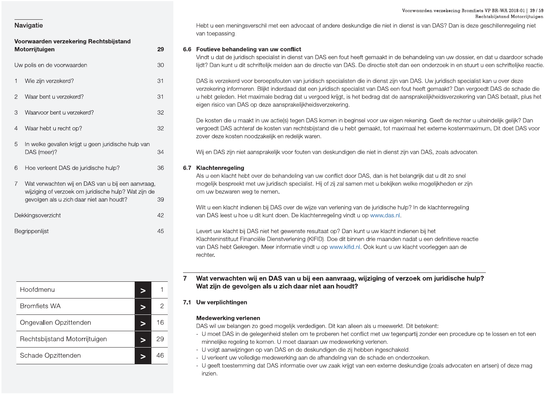### Voorwaarden verzekering Bromfiets VP BR-WA 2018-01 | 39 / 59 Rechtsbijstand Motorrijtuigen

### **Navigatie**

| Voorwaarden verzekering Rechtsbijstand |                |                                                                                                                                                       |    |
|----------------------------------------|----------------|-------------------------------------------------------------------------------------------------------------------------------------------------------|----|
|                                        |                | Motorrijtuigen                                                                                                                                        | 29 |
|                                        |                | Uw polis en de voorwaarden                                                                                                                            | 30 |
|                                        | 1              | Wie zijn verzekerd?                                                                                                                                   | 31 |
|                                        | $\overline{2}$ | Waar bent u verzekerd?                                                                                                                                | 31 |
|                                        | 3              | Waarvoor bent u verzekerd?                                                                                                                            | 32 |
|                                        | 4              | Waar hebt u recht op?                                                                                                                                 | 32 |
|                                        | 5              | In welke gevallen krijgt u geen juridische hulp van<br>DAS (meer)?                                                                                    | 34 |
|                                        | 6              | Hoe verleent DAS de juridische hulp?                                                                                                                  | 36 |
|                                        | $\overline{7}$ | Wat verwachten wij en DAS van u bij een aanvraag,<br>wijziging of verzoek om juridische hulp? Wat zijn de<br>gevolgen als u zich daar niet aan houdt? | 39 |
|                                        |                | Dekkingsoverzicht                                                                                                                                     | 42 |
|                                        |                | Begrippenlijst                                                                                                                                        | 45 |

| Hoofdmenu                     |    |
|-------------------------------|----|
| <b>Bromfiets WA</b>           |    |
| Ongevallen Opzittenden        | 16 |
| Rechtsbijstand Motorrijtuigen | 29 |
| Schade Opzittenden            |    |

Hebt u een meningsverschil met een advocaat of andere deskundige die niet in dienst is van DAS? Dan is deze geschillenregeling niet van toepassing.

### 6.6 Foutieve behandeling van uw conflict

Vindt u dat de juridisch specialist in dienst van DAS een fout heeft gemaakt in de behandeling van uw dossier, en dat u daardoor schade lijdt? Dan kunt u dit schriftelijk melden aan de directie van DAS. De directie stelt dan een onderzoek in en stuurt u een schriftelijke reactie.

DAS is verzekerd voor beroepsfouten van juridisch specialisten die in dienst zijn van DAS. Uw juridisch specialist kan u over deze verzekering informeren. Blijkt inderdaad dat een juridisch specialist van DAS een fout heeft gemaakt? Dan vergoedt DAS de schade die u hebt geleden. Het maximale bedrag dat u vergoed krijgt, is het bedrag dat de aansprakelijkheidsverzekering van DAS betaalt, plus het eigen risico van DAS op deze aansprakelijkheidsverzekering.

De kosten die u maakt in uw actie(s) tegen DAS komen in beginsel voor uw eigen rekening. Geeft de rechter u uiteindelijk gelijk? Dan vergoedt DAS achteraf de kosten van rechtsbijstand die u hebt gemaakt, tot maximaal het externe kostenmaximum. Dit doet DAS voor zover deze kosten noodzakelijk en redelijk waren.

Wij en DAS zijn niet aansprakelijk voor fouten van deskundigen die niet in dienst zijn van DAS, zoals advocaten.

### 6.7 Klachtenregeling

Als u een klacht hebt over de behandeling van uw conflict door DAS, dan is het belangrijk dat u dit zo snel mogelijk bespreekt met uw juridisch specialist. Hij of zij zal samen met u bekijken welke mogelijkheden er zijn om uw bezwaren weg te nemen.

Wilt u een klacht indienen bij DAS over de wijze van verlening van de juridische hulp? In de klachtenregeling van DAS leest u hoe u dit kunt doen. De klachtenregeling vindt u op www.das.nl.

Levert uw klacht bij DAS niet het gewenste resultaat op? Dan kunt u uw klacht indienen bij het Klachteninstituut Financiële Dienstverlening (KIFID). Doe dit binnen drie maanden nadat u een definitieve reactie van DAS hebt Gekregen. Meer informatie vindt u op www.kifid.nl. Ook kunt u uw klacht voorleggen aan de rechter.

Wat verwachten wij en DAS van u bij een aanvraag, wijziging of verzoek om juridische hulp?  $\mathbf{7}$ Wat zijn de gevolgen als u zich daar niet aan houdt?

### 7.1 Uw verplichtingen

### **Medewerking verlenen**

DAS wil uw belangen zo goed mogelijk verdedigen. Dit kan alleen als u meewerkt. Dit betekent:

- U moet DAS in de gelegenheid stellen om te proberen het conflict met uw tegenpartij zonder een procedure op te lossen en tot een minnelijke regeling te komen. U moet daaraan uw medewerking verlenen.
- U volgt aanwijzingen op van DAS en de deskundigen die zij hebben ingeschakeld.
- U verleent uw volledige medewerking aan de afhandeling van de schade en onderzoeken.
- U geeft toestemming dat DAS informatie over uw zaak krijgt van een externe deskundige (zoals advocaten en artsen) of deze mag inzien.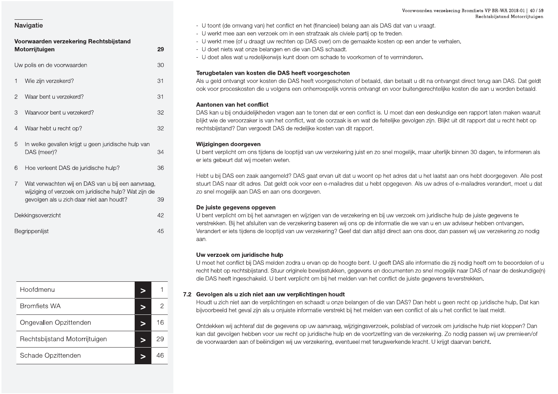Begrippenlijst

### Voorwaarden verzekering Rechtsbijstand Motorrijtuigen 29 Uw polis en de voorwaarden 30 1 Wie zijn verzekerd? 31 Waar bent u verzekerd? 31  $\mathcal{P}$ Waarvoor bent u verzekerd?  $32$  $\mathcal{S}$ 32  $\overline{4}$ Waar hebt u recht op? In welke gevallen krijgt u geen juridische hulp van 5 DAS (meer)? 34 Hoe verleent DAS de juridische hulp? 36 6  $7^{\circ}$ Wat verwachten wij en DAS van u bij een aanvraag. wijziging of verzoek om juridische hulp? Wat zijn de gevolgen als u zich daar niet aan houdt? 39 Dekkingsoverzicht 42

| Hoofdmenu                     |   |    |
|-------------------------------|---|----|
| <b>Bromfiets WA</b>           |   | 2  |
| Ongevallen Opzittenden        |   | 16 |
| Rechtsbijstand Motorrijtuigen | ∍ | 29 |
| Schade Opzittenden            |   | 46 |

- U toont (de omvang van) het conflict en het (financieel) belang aan als DAS dat van u vraagt.
- U werkt mee aan een verzoek om in een strafzaak als civiele partij op te treden.
- U werkt mee (of u draagt uw rechten op DAS over) om de gemaakte kosten op een ander te verhalen.
- U doet niets wat onze belangen en die van DAS schaadt.
- U doet alles wat u redelijkerwijs kunt doen om schade te voorkomen of te verminderen.

### Terugbetalen van kosten die DAS heeft voorgeschoten

Als u geld ontvangt voor kosten die DAS heeft voorgeschoten of betaald, dan betaalt u dit na ontvangst direct terug aan DAS. Dat geldt ook voor proceskosten die u volgens een onherroepelijk vonnis ontvangt en voor buitengerechtelijke kosten die aan u worden betaald.

### Aantonen van het conflict

DAS kan u bij onduidelijkheden vragen aan te tonen dat er een conflict is. U moet dan een deskundige een rapport laten maken waaruit blijkt wie de veroorzaker is van het conflict, wat de oorzaak is en wat de feitelijke gevolgen zijn. Blijkt uit dit rapport dat u recht hebt op rechtsbijstand? Dan vergoedt DAS de redelijke kosten van dit rapport.

### Wijzigingen doorgeven

U bent verplicht om ons tijdens de looptijd van uw verzekering juist en zo snel mogelijk, maar uiterlijk binnen 30 dagen, te informeren als er iets gebeurt dat wij moeten weten.

Hebt u bij DAS een zaak aangemeld? DAS gaat ervan uit dat u woont op het adres dat u het laatst aan ons hebt doorgegeven. Alle post stuurt DAS naar dit adres. Dat geldt ook voor een e-mailadres dat u hebt opgegeven. Als uw adres of e-mailadres verandert, moet u dat zo snel mogelijk aan DAS en aan ons doorgeven.

### De juiste gegevens opgeven

45

U bent verplicht om bij het aanvragen en wijzigen van de verzekering en bij uw verzoek om juridische hulp de juiste gegevens te verstrekken. Bij het afsluiten van de verzekering baseren wij ons op de informatie die we van u en uw adviseur hebben ontvangen. Verandert er iets tijdens de looptijd van uw verzekering? Geef dat dan altijd direct aan ons door, dan passen wij uw verzekering zo nodig aan.

### Uw verzoek om juridische hulp

U moet het conflict bij DAS melden zodra u ervan op de hoogte bent. U geeft DAS alle informatie die zij nodig heeft om te beoordelen of u recht hebt op rechtsbijstand. Stuur originele bewijsstukken, gegevens en documenten zo snel mogelijk naar DAS of naar de deskundige(n) die DAS heeft ingeschakeld. U bent verplicht om bij het melden van het conflict de juiste gegevens teverstrekken.

### 7.2 Gevolgen als u zich niet aan uw verplichtingen houdt

Houdt u zich niet aan de verplichtingen en schaadt u onze belangen of die van DAS? Dan hebt u geen recht op juridische hulp. Dat kan bijvoorbeeld het geval zijn als u onjuiste informatie verstrekt bij het melden van een conflict of als u het conflict te laat meldt.

Ontdekken wij achteraf dat de gegevens op uw aanvraag, wijzigingsverzoek, polisblad of verzoek om juridische hulp niet kloppen? Dan kan dat gevolgen hebben voor uw recht op juridische hulp en de voortzetting van de verzekering. Zo nodig passen wij uw premieen/of de voorwaarden aan of beëindigen wij uw verzekering, eventueel met terugwerkende kracht. U krijgt daarvan bericht.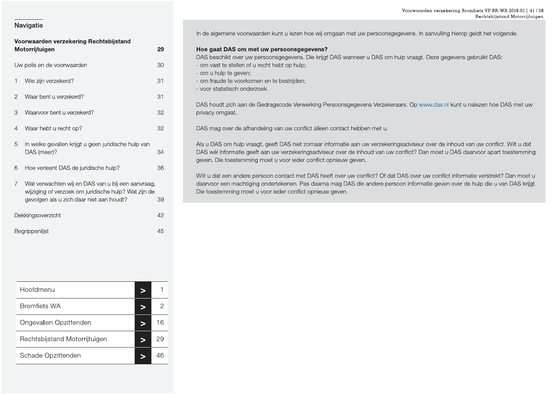| Voorwaarden verzekering Rechtsbijstand |                                                                                                                                                       |    |
|----------------------------------------|-------------------------------------------------------------------------------------------------------------------------------------------------------|----|
|                                        | Motorrijtuigen                                                                                                                                        | 29 |
|                                        | Uw polis en de voorwaarden                                                                                                                            | 30 |
| 1                                      | Wie zijn verzekerd?                                                                                                                                   | 31 |
| 2                                      | Waar bent u verzekerd?                                                                                                                                | 31 |
| 3                                      | Waarvoor bent u verzekerd?                                                                                                                            | 32 |
| 4                                      | Waar hebt u recht op?                                                                                                                                 | 32 |
| 5                                      | In welke gevallen krijgt u geen juridische hulp van<br>DAS (meer)?                                                                                    | 34 |
| 6                                      | Hoe verleent DAS de juridische hulp?                                                                                                                  | 36 |
| $\overline{7}$                         | Wat verwachten wij en DAS van u bij een aanvraag,<br>wijziging of verzoek om juridische hulp? Wat zijn de<br>gevolgen als u zich daar niet aan houdt? | 39 |
|                                        | Dekkingsoverzicht                                                                                                                                     | 42 |
| 45<br>Begrippenlijst                   |                                                                                                                                                       |    |

| Hoofdmenu                     |    |
|-------------------------------|----|
| <b>Bromfiets WA</b>           | 2  |
| Ongevallen Opzittenden        | 16 |
| Rechtsbijstand Motorrijtuigen | 29 |
| Schade Opzittenden            | 46 |

In de algemene voorwaarden kunt u lezen hoe wij omgaan met uw persoonsgegevens. In aanvulling hierop geldt het volgende.

### Hoe gaat DAS om met uw persoonsgegevens?

DAS beschikt over uw persoonsgegevens. Die krijgt DAS wanneer u DAS om hulp vraagt. Deze gegevens gebruikt DAS: - om vast te stellen of u recht hebt op hulp;

- om u hulp te geven;
- om fraude te voorkomen en te bestrijden;
- voor statistisch onderzoek.

DAS houdt zich aan de Gedragscode Verwerking Persoonsgegevens Verzekeraars. Op www.das.nl kunt u nalezen hoe DAS met uw privacy omgaat.

DAS mag over de afhandeling van uw conflict alleen contact hebben met u.

Als u DAS om hulp vraagt, geeft DAS niet zomaar informatie aan uw verzekeringsadviseur over de inhoud van uw conflict. Wilt u dat DAS wél informatie geeft aan uw verzekeringsadviseur over de inhoud van uw conflict? Dan moet u DAS daarvoor apart toestemming geven. Die toestemming moet u voor ieder conflict opnieuw geven.

Wilt u dat een andere persoon contact met DAS heeft over uw conflict? Of dat DAS over uw conflict informatie verstrekt? Dan moet u daarvoor een machtiging ondertekenen. Pas daarna mag DAS die andere persoon informatie geven over de hulp die u van DAS krijgt. Die toestemming moet u voor ieder conflict opnieuw geven.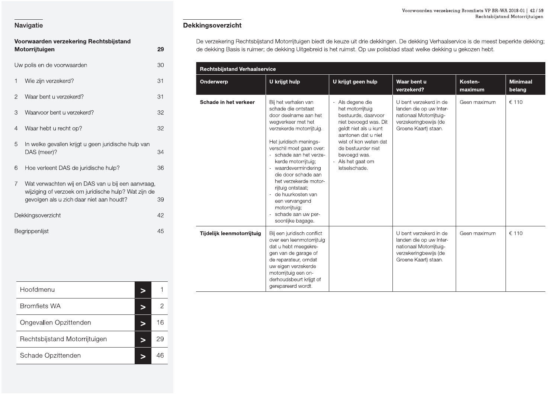|                | Voorwaarden verzekering Rechtsbijstand<br>Motorrijtuigen                                                                                              | 29 |
|----------------|-------------------------------------------------------------------------------------------------------------------------------------------------------|----|
|                | Uw polis en de voorwaarden                                                                                                                            | 30 |
| 1              | Wie zijn verzekerd?                                                                                                                                   | 31 |
| $\overline{2}$ | Waar bent u verzekerd?                                                                                                                                | 31 |
| 3              | Waarvoor bent u verzekerd?                                                                                                                            | 32 |
| 4              | Waar hebt u recht op?                                                                                                                                 | 32 |
| 5              | In welke gevallen krijgt u geen juridische hulp van<br>DAS (meer)?                                                                                    | 34 |
| 6              | Hoe verleent DAS de juridische hulp?                                                                                                                  | 36 |
| $\overline{7}$ | Wat verwachten wij en DAS van u bij een aanvraag,<br>wijziging of verzoek om juridische hulp? Wat zijn de<br>gevolgen als u zich daar niet aan houdt? | 39 |
|                | Dekkingsoverzicht                                                                                                                                     | 42 |
|                | Begrippenlijst                                                                                                                                        | 45 |

| Hoofdmenu                     |    |
|-------------------------------|----|
| <b>Bromfiets WA</b>           | 2  |
| Ongevallen Opzittenden        | 16 |
| Rechtsbijstand Motorrijtuigen | 29 |
| Schade Opzittenden            |    |

### Dekkingsoverzicht

De verzekering Rechtsbijstand Motorrijtuigen biedt de keuze uit drie dekkingen. De dekking Verhaalservice is de meest beperkte dekking; de dekking Basis is ruimer; de dekking Uitgebreid is het ruimst. Op uw polisblad staat welke dekking u gekozen hebt.

| <b>Rechtsbijstand Verhaalservice</b> |                                                                                                                                                                                                                                                                                                                                                                                                                                                               |                                                                                                                                                                                                                                         |                                                                                                                               |                    |                           |
|--------------------------------------|---------------------------------------------------------------------------------------------------------------------------------------------------------------------------------------------------------------------------------------------------------------------------------------------------------------------------------------------------------------------------------------------------------------------------------------------------------------|-----------------------------------------------------------------------------------------------------------------------------------------------------------------------------------------------------------------------------------------|-------------------------------------------------------------------------------------------------------------------------------|--------------------|---------------------------|
| <b>U</b> krijgt hulp<br>Onderwerp    |                                                                                                                                                                                                                                                                                                                                                                                                                                                               | U krijgt geen hulp                                                                                                                                                                                                                      | Waar bent u<br>verzekerd?                                                                                                     | Kosten-<br>maximum | <b>Minimaal</b><br>belang |
| Schade in het verkeer                | Bij het verhalen van<br>schade die ontstaat<br>door deelname aan het<br>wegverkeer met het<br>verzekerde motorrijtuig.<br>Het juridisch menings-<br>verschil moet gaan over:<br>- schade aan het verze-<br>kerde motorrijtuig;<br>- waardevermindering<br>die door schade aan<br>het verzekerde motor-<br>rijtuig ontstaat;<br>de huurkosten van<br>$\mathcal{L}_{\mathcal{A}}$<br>een vervangend<br>motorrijtuig;<br>schade aan uw per-<br>soonlijke bagage. | Als degene die<br>het motorrijtuig<br>bestuurde, daarvoor<br>niet bevoegd was. Dit<br>geldt niet als u kunt<br>aantonen dat u niet<br>wist of kon weten dat<br>de bestuurder niet<br>bevoegd was.<br>- Als het gaat om<br>letselschade. | U bent verzekerd in de<br>landen die op uw Inter-<br>nationaal Motorrijtuig-<br>verzekeringbewijs (de<br>Groene Kaart) staan. | Geen maximum       | € 110                     |
| Tijdelijk leenmotorrijtuig           | Bij een juridisch conflict<br>over een leenmotorrijtuig<br>dat u hebt meegekre-<br>gen van de garage of<br>de reparateur, omdat<br>uw eigen verzekerde<br>motorrijtuig een on-<br>derhoudsbeurt krijgt of<br>gerepareerd wordt.                                                                                                                                                                                                                               |                                                                                                                                                                                                                                         | U bent verzekerd in de<br>landen die op uw Inter-<br>nationaal Motorrijtuig-<br>verzekeringbewijs (de<br>Groene Kaart) staan. | Geen maximum       | € 110                     |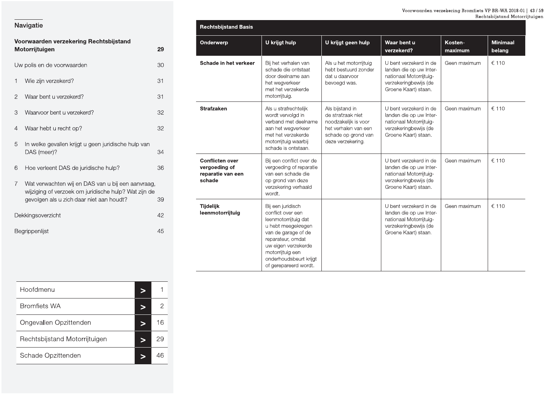|                | Voorwaarden verzekering Rechtsbijstand                                                                                                                |                |
|----------------|-------------------------------------------------------------------------------------------------------------------------------------------------------|----------------|
|                | Motorrijtuigen                                                                                                                                        | 29             |
|                | Uw polis en de voorwaarden                                                                                                                            | 30             |
| 1              | Wie zijn verzekerd?                                                                                                                                   | З.             |
| $\overline{2}$ | Waar bent u verzekerd?                                                                                                                                | 3.             |
| 3              | Waarvoor bent u verzekerd?                                                                                                                            | 3,             |
| 4              | Waar hebt u recht op?                                                                                                                                 | 3,             |
| 5              | In welke gevallen krijgt u geen juridische hulp van<br>DAS (meer)?                                                                                    | 34             |
| 6              | Hoe verleent DAS de juridische hulp?                                                                                                                  | 36             |
| $\overline{7}$ | Wat verwachten wij en DAS van u bij een aanvraag,<br>wijziging of verzoek om juridische hulp? Wat zijn de<br>gevolgen als u zich daar niet aan houdt? | 39             |
|                | Dekkingsoverzicht                                                                                                                                     | $\mathcal{A}'$ |
|                | Begrippenlijst                                                                                                                                        | 45             |

| Navigatie                                                                                                                                             |          | <b>Rechtsbijstand Basis</b>                                  |                                                                                                                                                              |                                                                                          |                                                                                                                               |                    |                           |
|-------------------------------------------------------------------------------------------------------------------------------------------------------|----------|--------------------------------------------------------------|--------------------------------------------------------------------------------------------------------------------------------------------------------------|------------------------------------------------------------------------------------------|-------------------------------------------------------------------------------------------------------------------------------|--------------------|---------------------------|
| Voorwaarden verzekering Rechtsbijstand<br>Motorrijtuigen                                                                                              | 29       | Onderwerp                                                    | U krijgt hulp                                                                                                                                                | U krijgt geen hulp                                                                       | Waar bent u<br>verzekerd?                                                                                                     | Kosten-<br>maximum | <b>Minimaal</b><br>belang |
| Uw polis en de voorwaarden<br>Wie zijn verzekerd?                                                                                                     | 30<br>31 | Schade in het verkeer                                        | Bij het verhalen van<br>schade die ontstaat<br>door deelname aan<br>het wegverkeer<br>met het verzekerde                                                     | Als u het motorrijtuig<br>hebt bestuurd zonder<br>dat u daarvoor<br>bevoegd was.         | U bent verzekerd in de<br>landen die op uw Inter-<br>nationaal Motorrijtuig-<br>verzekeringbewijs (de<br>Groene Kaart) staan. | Geen maximum       | € 110                     |
| Waar bent u verzekerd?<br>2<br>Waarvoor bent u verzekerd?<br>3                                                                                        | 31<br>32 | <b>Strafzaken</b>                                            | motorrijtuig.<br>Als u strafrechtelijk<br>wordt vervolgd in                                                                                                  | Als bijstand in<br>de strafzaak niet                                                     | U bent verzekerd in de<br>landen die op uw Inter-                                                                             | Geen maximum       | € 110                     |
| Waar hebt u recht op?<br>4<br>In welke gevallen krijgt u geen juridische hulp van<br>5                                                                | 32       |                                                              | verband met deelname<br>aan het wegverkeer<br>met het verzekerde<br>motorrijtuig waarbij<br>schade is ontstaan.                                              | noodzakelijk is voor<br>het verhalen van een<br>schade op grond van<br>deze verzekering. | nationaal Motorrijtuig-<br>verzekeringbewijs (de<br>Groene Kaart) staan.                                                      |                    |                           |
| DAS (meer)?<br>Hoe verleent DAS de juridische hulp?<br>6                                                                                              | 34<br>36 | <b>Conflicten over</b><br>vergoeding of<br>reparatie van een | Bij een conflict over de<br>vergoeding of reparatie<br>van een schade die                                                                                    |                                                                                          | U bent verzekerd in de<br>landen die op uw Inter-<br>nationaal Motorrijtuig-                                                  | Geen maximum       | € 110                     |
| Wat verwachten wij en DAS van u bij een aanvraag,<br>wijziging of verzoek om juridische hulp? Wat zijn de<br>gevolgen als u zich daar niet aan houdt? | 39       | schade                                                       | op grond van deze<br>verzekering verhaald<br>wordt.                                                                                                          |                                                                                          | verzekeringbewijs (de<br>Groene Kaart) staan.                                                                                 |                    |                           |
| Dekkingsoverzicht                                                                                                                                     | 42       | Tijdelijk<br>leenmotorrijtuig                                | Bij een juridisch<br>conflict over een<br>leenmotorrijtuig dat                                                                                               |                                                                                          | U bent verzekerd in de<br>landen die op uw Inter-<br>nationaal Motorrijtuig-                                                  | Geen maximum       | € 110                     |
| Begrippenlijst                                                                                                                                        | 45       |                                                              | u hebt meegekregen<br>van de garage of de<br>reparateur, omdat<br>uw eigen verzekerde<br>motorrijtuig een<br>onderhoudsbeurt krijgt<br>of gerepareerd wordt. |                                                                                          | verzekeringbewijs (de<br>Groene Kaart) staan.                                                                                 |                    |                           |

| $90.0901$ also a $201.000$ motion. However, | $\check{\phantom{a}}$    | Tijdelijk     |
|---------------------------------------------|--------------------------|---------------|
| Dekkingsoverzicht                           | 42                       | leenmotorrijt |
| Begrippenlijst                              | 45                       |               |
|                                             |                          |               |
|                                             |                          |               |
|                                             |                          |               |
| Hoofdmenu                                   | $\mathbf 1$<br>$\geq$    |               |
| <b>Bromfiets WA</b>                         | $\overline{2}$<br>$\geq$ |               |
| Ongevallen Opzittenden                      | 16<br>$\qquad \qquad$    |               |
| Rechtsbijstand Motorrijtuigen               | 29<br>$\qquad \qquad$    |               |
| Schade Opzittenden                          | 46<br>$\geq$             |               |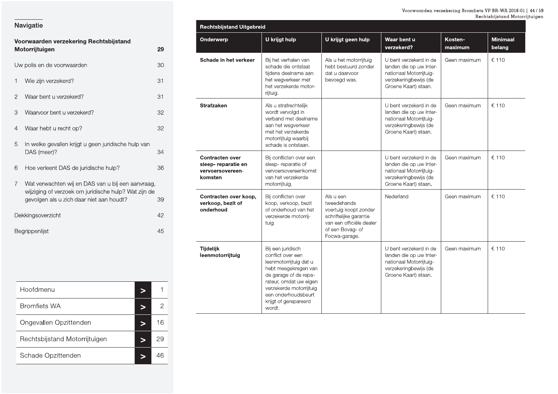Minimaal

Kosten-

### Navigatie

| Voorwaarden verzekering Rechtsbijstand |                                                                                                                                                       |    |  |  |  |
|----------------------------------------|-------------------------------------------------------------------------------------------------------------------------------------------------------|----|--|--|--|
|                                        | Motorrijtuigen                                                                                                                                        | 29 |  |  |  |
|                                        | Uw polis en de voorwaarden                                                                                                                            | 30 |  |  |  |
| 1                                      | Wie zijn verzekerd?                                                                                                                                   | 31 |  |  |  |
| 2                                      | Waar bent u verzekerd?                                                                                                                                | 31 |  |  |  |
| 3                                      | Waarvoor bent u verzekerd?                                                                                                                            | 32 |  |  |  |
| 4                                      | Waar hebt u recht op?                                                                                                                                 | 32 |  |  |  |
| 5                                      | In welke gevallen krijgt u geen juridische hulp van<br>DAS (meer)?                                                                                    | 34 |  |  |  |
| 6                                      | Hoe verleent DAS de juridische hulp?                                                                                                                  | 36 |  |  |  |
| 7                                      | Wat verwachten wij en DAS van u bij een aanvraag,<br>wijziging of verzoek om juridische hulp? Wat zijn de<br>gevolgen als u zich daar niet aan houdt? | 39 |  |  |  |
|                                        | Dekkingsoverzicht                                                                                                                                     | 42 |  |  |  |
|                                        | Begrippenlijst                                                                                                                                        | 45 |  |  |  |

|                                                                              |                                                                                                                                                                                                                                  |                                                                                                                                              | verzekerd?                                                                                                                    | maximum      | belang |
|------------------------------------------------------------------------------|----------------------------------------------------------------------------------------------------------------------------------------------------------------------------------------------------------------------------------|----------------------------------------------------------------------------------------------------------------------------------------------|-------------------------------------------------------------------------------------------------------------------------------|--------------|--------|
| Schade in het verkeer                                                        | Bij het verhalen van<br>schade die ontstaat<br>tijdens deelname aan<br>het wegverkeer met<br>het verzekerde motor-<br>rijtuig.                                                                                                   | Als u het motorrijtuig<br>hebt bestuurd zonder<br>dat u daarvoor<br>bevoegd was.                                                             | U bent verzekerd in de<br>landen die op uw Inter-<br>nationaal Motorrijtuig-<br>verzekeringbewijs (de<br>Groene Kaart) staan. | Geen maximum | € 110  |
| <b>Strafzaken</b>                                                            | Als u strafrechtelijk<br>wordt vervolgd in<br>verband met deelname<br>aan het wegverkeer<br>met het verzekerde<br>motorrijtuig waarbij<br>schade is ontstaan.                                                                    |                                                                                                                                              | U bent verzekerd in de<br>landen die op uw Inter-<br>nationaal Motorrijtuig-<br>verzekeringbewijs (de<br>Groene Kaart) staan. | Geen maximum | € 110  |
| <b>Contracten over</b><br>sleep- reparatie en<br>vervoersovereen-<br>komsten | Bij conflicten over een<br>sleep-reparatie of<br>vervoersovereenkomst<br>van het verzekerde<br>motorrijtuig.                                                                                                                     |                                                                                                                                              | U bent verzekerd in de<br>landen die op uw Inter-<br>nationaal Motorrijtuig-<br>verzekeringbewijs (de<br>Groene Kaart) staan. | Geen maximum | € 110  |
| Contracten over koop,<br>verkoop, bezit of<br>onderhoud                      | Bij conflicten over<br>koop, verkoop, bezit<br>of onderhoud van het<br>verzekerde motorrij-<br>tuig.                                                                                                                             | Als u een<br>tweedehands<br>voertuig koopt zonder<br>schriftelijke garantie<br>van een officiële dealer<br>of een Bovag- of<br>Focwa-garage. | Nederland                                                                                                                     | Geen maximum | € 110  |
| <b>Tijdelijk</b><br>leenmotorrijtuig                                         | Bij een juridisch<br>conflict over een<br>leenmotorrijtuig dat u<br>hebt meegekregen van<br>de garage of de repa-<br>rateur, omdat uw eigen<br>verzekerde motorrijtuig<br>een onderhoudsbeurt<br>krijgt of gerepareerd<br>wordt. |                                                                                                                                              | U bent verzekerd in de<br>landen die op uw Inter-<br>nationaal Motorrijtuig-<br>verzekeringbewijs (de<br>Groene Kaart) staan. | Geen maximum | € 110  |

U krijgt geen hulp

Waar bent u

Rechtsbijstand Uitgebreid

Onderwerp

U krijgt hulp

| Hoofdmenu                     |    |
|-------------------------------|----|
| <b>Bromfiets WA</b>           |    |
| Ongevallen Opzittenden        | 16 |
| Rechtsbijstand Motorrijtuigen |    |
| Schade Opzittenden            |    |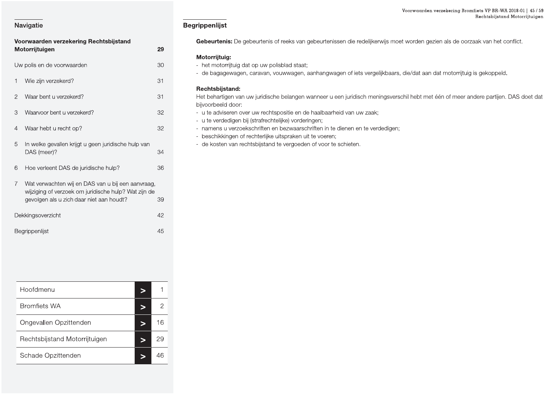| Voorwaarden verzekering Rechtsbijstand |                                                                                                                                                       |    |  |  |  |
|----------------------------------------|-------------------------------------------------------------------------------------------------------------------------------------------------------|----|--|--|--|
|                                        | Motorrijtuigen                                                                                                                                        | 29 |  |  |  |
|                                        | Uw polis en de voorwaarden                                                                                                                            | 30 |  |  |  |
| 1                                      | Wie zijn verzekerd?                                                                                                                                   | 31 |  |  |  |
| 2                                      | Waar bent u verzekerd?                                                                                                                                | 31 |  |  |  |
| 3                                      | Waarvoor bent u verzekerd?                                                                                                                            | 32 |  |  |  |
| 4                                      | Waar hebt u recht op?                                                                                                                                 | 32 |  |  |  |
| 5                                      | In welke gevallen krijgt u geen juridische hulp van<br>DAS (meer)?                                                                                    | 34 |  |  |  |
| 6                                      | Hoe verleent DAS de juridische hulp?                                                                                                                  | 36 |  |  |  |
| $\overline{7}$                         | Wat verwachten wij en DAS van u bij een aanvraag,<br>wijziging of verzoek om juridische hulp? Wat zijn de<br>gevolgen als u zich daar niet aan houdt? | 39 |  |  |  |
|                                        | Dekkingsoverzicht                                                                                                                                     | 42 |  |  |  |
|                                        | Begrippenlijst                                                                                                                                        | 45 |  |  |  |

| Hoofdmenu                     |    |
|-------------------------------|----|
| <b>Bromfiets WA</b>           | 2  |
| Ongevallen Opzittenden        | 16 |
| Rechtsbijstand Motorrijtuigen | 29 |
| Schade Opzittenden            | 46 |

### **Begrippenlijst**

Gebeurtenis: De gebeurtenis of reeks van gebeurtenissen die redelijkerwijs moet worden gezien als de oorzaak van het conflict.

### Motorrijtuig:

- het motorrijtuig dat op uw polisblad staat;
- de bagagewagen, caravan, vouwwagen, aanhangwagen of iets vergelijkbaars, die/dat aan dat motorrijtuig is gekoppeld.

### Rechtsbijstand:

Het behartigen van uw juridische belangen wanneer u een juridisch meningsverschil hebt met één of meer andere partijen. DAS doet dat bijvoorbeeld door:

- u te adviseren over uw rechtspositie en de haalbaarheid van uw zaak;
- u te verdedigen bij (strafrechtelijke) vorderingen;
- namens u verzoekschriften en bezwaarschriften in te dienen en te verdedigen;
- beschikkingen of rechterlijke uitspraken uit te voeren;
- de kosten van rechtsbijstand te vergoeden of voor te schieten.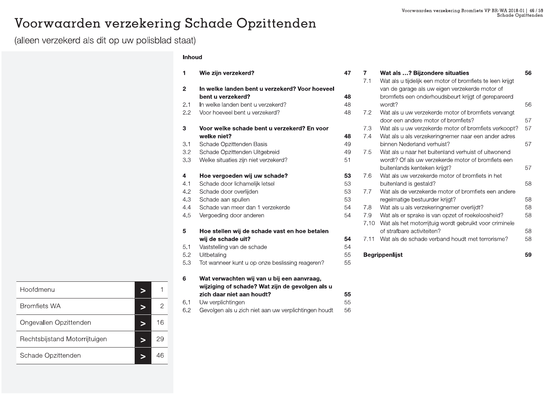### Voorwaarden verzekering Schade Opzittenden

(alleen verzekerd als dit op uw polisblad staat)

### Inhoud

| 1              | Wie zijn verzekerd?                             | 47 |
|----------------|-------------------------------------------------|----|
| $\overline{2}$ | In welke landen bent u verzekerd? Voor hoeveel  |    |
|                | bent u verzekerd?                               | 48 |
| 2.1            | In welke landen bent u verzekerd?               | 48 |
| 2.2            | Voor hoeveel bent u verzekerd?                  | 48 |
| 3              | Voor welke schade bent u verzekerd? En voor     |    |
|                | welke niet?                                     | 48 |
| 3.1            | Schade Opzittenden Basis                        | 49 |
| 3.2            | Schade Opzittenden Uitgebreid                   | 49 |
| 3.3            | Welke situaties zijn niet verzekerd?            | 51 |
| 4              | Hoe vergoeden wij uw schade?                    | 53 |
| 4.1            | Schade door lichamelijk letsel                  | 53 |
| 4.2            | Schade door overlijden                          | 53 |
| 4.3            | Schade aan spullen                              | 53 |
| 4.4            | Schade van meer dan 1 verzekerde                | 54 |
| 4.5            | Vergoeding door anderen                         | 54 |
| 5              | Hoe stellen wij de schade vast en hoe betalen   |    |
|                | wij de schade uit?                              | 54 |
| 5.1            | Vaststelling van de schade                      | 54 |
| 5.2            | Uitbetaling                                     | 55 |
| 5.3            | Tot wanneer kunt u op onze beslissing reageren? | 55 |
| 6              | Wat verwachten wij van u bij een aanvraag,      |    |
|                | wijziging of schade? Wat zijn de gevolgen als u |    |
|                | zich daar niet aan houdt?                       | 55 |

Uw verplichtingen  $6.1$ 55 6.2 Gevolgen als u zich niet aan uw verplichtingen houdt 56

| Wat als u tijdelijk een motor of bromfiets te leen krijgt<br>van de garage als uw eigen verzekerde motor of<br>bromfiets een onderhoudsbeurt krijgt of gerepareerd<br>wordt?<br>Wat als u uw verzekerde motor of bromfiets vervangt | 56 |
|-------------------------------------------------------------------------------------------------------------------------------------------------------------------------------------------------------------------------------------|----|
|                                                                                                                                                                                                                                     |    |
|                                                                                                                                                                                                                                     |    |
|                                                                                                                                                                                                                                     |    |
|                                                                                                                                                                                                                                     |    |
|                                                                                                                                                                                                                                     |    |
| door een andere motor of bromfiets?                                                                                                                                                                                                 | 57 |
| Wat als u uw verzekerde motor of bromfiets verkoopt?                                                                                                                                                                                | 57 |
| Wat als u als verzekeringnemer naar een ander adres                                                                                                                                                                                 |    |
| binnen Nederland verhuist?                                                                                                                                                                                                          | 57 |
| Wat als u naar het buitenland verhuist of uitwonend                                                                                                                                                                                 |    |
| wordt? Of als uw verzekerde motor of bromfiets een                                                                                                                                                                                  |    |
| buitenlands kenteken krijgt?                                                                                                                                                                                                        | 57 |
| Wat als uw verzekerde motor of bromfiets in het                                                                                                                                                                                     |    |
| buitenland is gestald?                                                                                                                                                                                                              | 58 |
| Wat als de verzekerde motor of bromfiets een andere                                                                                                                                                                                 |    |
| regelmatige bestuurder krijgt?                                                                                                                                                                                                      | 58 |
| Wat als u als verzekeringnemer overlijdt?                                                                                                                                                                                           | 58 |
| Wat als er sprake is van opzet of roekeloosheid?                                                                                                                                                                                    | 58 |
| Wat als het motorrijtuig wordt gebruikt voor criminele                                                                                                                                                                              |    |
| of strafbare activiteiten?                                                                                                                                                                                                          | 58 |
| Wat als de schade verband houdt met terrorisme?                                                                                                                                                                                     | 58 |
|                                                                                                                                                                                                                                     |    |

| Hoofdmenu                     |    |
|-------------------------------|----|
| <b>Bromfiets WA</b>           | 2  |
| Ongevallen Opzittenden        | 16 |
| Rechtsbijstand Motorrijtuigen | 29 |
| Schade Opzittenden            | 46 |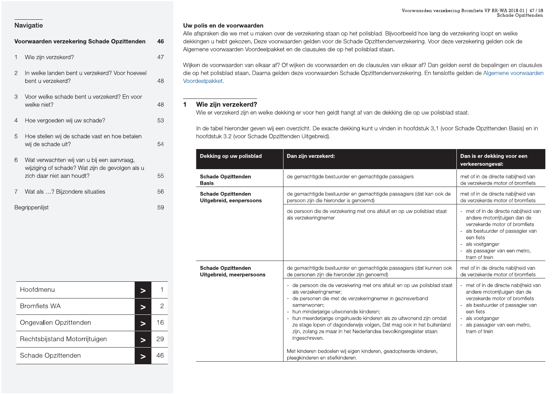|                | Voorwaarden verzekering Schade Opzittenden                                                                                 | 46 |
|----------------|----------------------------------------------------------------------------------------------------------------------------|----|
| 1              | Wie zijn verzekerd?                                                                                                        | 47 |
| $\overline{2}$ | In welke landen bent u verzekerd? Voor hoeveel<br>bent u verzekerd?                                                        | 48 |
| 3              | Voor welke schade bent u verzekerd? En voor<br>welke niet?                                                                 | 48 |
| 4              | Hoe vergoeden wij uw schade?                                                                                               | 53 |
| 5              | Hoe stellen wij de schade vast en hoe betalen<br>wij de schade uit?                                                        | 54 |
| 6              | Wat verwachten wij van u bij een aanvraag,<br>wijziging of schade? Wat zijn de gevolgen als u<br>zich daar niet aan houdt? | 55 |
| 7              | Wat als ? Bijzondere situaties                                                                                             | 56 |
|                | <b>Bearippenliist</b>                                                                                                      | 59 |

Voorwaarden<br>
27 Mavigatie<br>
27 Mavigatie Music Diversity Schade Opzittenden<br>
27 Mie afspraken die we met u maken over de verzekering staan op het polisblad. Bijvoorbeeld hoe lang de verwaarden<br>
27 Mie zijn verzekerd?<br>
27 Mi Voorwaarden verzekeri<br>Dolisblad. Bijvoorbeeld hoe lang de verspoorbeeld hoe lang de verspoorbeeld hoe lang de verspoording.<br>Disblad staan. Voorwaarden verzekering Bromfie<br>Dlisblad. Bijvoorbeeld hoe lang de verzekering<br>Opzittendenverzekering. Voor deze verzekerin<br>sblad staan. Voorwaarden verzekering Bromfiets VP BR-WA 20<br>Schade<br>jvoorbeeld hoe lang de verzekering loopt en well<br>enverzekering. Voor deze verzekering gelden ook<br>n. rden verzekering Bromfiets VP BR-WA 2018-01 | 47 / 59<br>Schade Opzittenden<br>De lang de verzekering loopt en welke<br>J. Voor deze verzekering gelden ook de

|                                                                                                    |              |                                                       |                                                                                                                                                                                                                                                                                                                                                      | Voorwaarden verzekering Bromfiets VP BR-WA 2018-01   47 / 59<br>Schade Opzittenden                                                                                                                                     |
|----------------------------------------------------------------------------------------------------|--------------|-------------------------------------------------------|------------------------------------------------------------------------------------------------------------------------------------------------------------------------------------------------------------------------------------------------------------------------------------------------------------------------------------------------------|------------------------------------------------------------------------------------------------------------------------------------------------------------------------------------------------------------------------|
| Navigatie                                                                                          |              | Uw polis en de voorwaarden                            |                                                                                                                                                                                                                                                                                                                                                      |                                                                                                                                                                                                                        |
| Voorwaarden verzekering Schade Opzittenden                                                         | 46           |                                                       | Alle afspraken die we met u maken over de verzekering staan op het polisblad. Bijvoorbeeld hoe lang de verzekering loopt en welke<br>dekkingen u hebt gekozen. Deze voorwaarden gelden voor de Schade Opzittendenverzekering. Voor deze verzekering gelden ook de<br>Algemene voorwaarden Voordeelpakket en de clausules die op het polisblad staan. |                                                                                                                                                                                                                        |
| Wie zijn verzekerd?                                                                                | 47           |                                                       |                                                                                                                                                                                                                                                                                                                                                      |                                                                                                                                                                                                                        |
| In welke landen bent u verzekerd? Voor hoeveel<br>$\overline{2}$<br>bent u verzekerd?              | 48           | Voordeelpakket.                                       | Wijken de voorwaarden van elkaar af? Of wijken de voorwaarden en de clausules van elkaar af? Dan gelden eerst de bepalingen en clausules<br>die op het polisblad staan. Daarna gelden deze voorwaarden Schade Opzittendenverzekering. En tenslotte gelden de Algemene voorwaarden                                                                    |                                                                                                                                                                                                                        |
| Voor welke schade bent u verzekerd? En voor<br>3<br>welke niet?                                    | 48           | Wie zijn verzekerd?                                   |                                                                                                                                                                                                                                                                                                                                                      |                                                                                                                                                                                                                        |
| Hoe vergoeden wij uw schade?<br>4                                                                  | 53           |                                                       | Wie er verzekerd zijn en welke dekking er voor hen geldt hangt af van de dekking die op uw polisblad staat.                                                                                                                                                                                                                                          |                                                                                                                                                                                                                        |
| 5<br>Hoe stellen wij de schade vast en hoe betalen<br>wij de schade uit?                           | 54           | hoofdstuk 3.2 (voor Schade Opzittenden Uitgebreid).   | In de tabel hieronder geven wij een overzicht. De exacte dekking kunt u vinden in hoofdstuk 3.1 (voor Schade Opzittenden Basis) en in                                                                                                                                                                                                                |                                                                                                                                                                                                                        |
| 6<br>Wat verwachten wij van u bij een aanvraag,<br>wijziging of schade? Wat zijn de gevolgen als u |              | Dekking op uw polisblad                               | Dan zijn verzekerd:                                                                                                                                                                                                                                                                                                                                  | Dan is er dekking voor een<br>verkeersongeval:                                                                                                                                                                         |
| zich daar niet aan houdt?                                                                          | 55           | <b>Schade Opzittenden</b><br><b>Basis</b>             | de gemachtigde bestuurder en gemachtigde passagiers                                                                                                                                                                                                                                                                                                  | met of in de directe nabijheid van<br>de verzekerde motor of bromfiets                                                                                                                                                 |
| Wat als ? Bijzondere situaties                                                                     | 56           | <b>Schade Opzittenden</b><br>Uitgebreid, eenpersoons  | de gemachtigde bestuurder en gemachtigde passagiers (dat kan ook de<br>persoon zijn die hieronder is genoemd)                                                                                                                                                                                                                                        | met of in de directe nabijheid van<br>de verzekerde motor of bromfiets                                                                                                                                                 |
| Begrippenlijst                                                                                     | 59           |                                                       | de persoon die de verzekering met ons afsluit en op uw polisblad staat<br>als verzekeringnemer                                                                                                                                                                                                                                                       | met of in de directe nabijheid van<br>andere motorrijtuigen dan de<br>verzekerde motor of bromfiets<br>als bestuurder of passagier van<br>een fiets<br>als voetganger<br>als passagier van een metro,<br>tram of trein |
|                                                                                                    |              | <b>Schade Opzittenden</b><br>Uitgebreid, meerpersoons | de gemachtigde bestuurder en gemachtigde passagiers (dat kunnen ook<br>de personen zijn die hieronder zijn genoemd)                                                                                                                                                                                                                                  | met of in de directe nabijheid van<br>de verzekerde motor of bromfiets                                                                                                                                                 |
| Hoofdmenu<br>>                                                                                     |              |                                                       | - de persoon die de verzekering met ons afsluit en op uw polisblad staat<br>als verzekeringnemer;                                                                                                                                                                                                                                                    | met of in de directe nabijheid van<br>andere motorrijtuigen dan de                                                                                                                                                     |
| <b>Bromfiets WA</b><br>>                                                                           | $\mathbf{2}$ |                                                       | de personen die met de verzekeringnemer in gezinsverband<br>samenwonen;<br>- hun minderjarige uitwonende kinderen;                                                                                                                                                                                                                                   | verzekerde motor of bromfiets<br>als bestuurder of passagier van<br>een fiets                                                                                                                                          |
| Ongevallen Opzittenden<br>$\geq$                                                                   | 16           |                                                       | - hun meerderjarige ongehuwde kinderen als ze uitwonend zijn omdat<br>ze stage lopen of dagonderwijs volgen. Dat mag ook in het buitenland<br>zijn, zolang ze maar in het Nederlandse bevolkingsregister staan                                                                                                                                       | als voetganger<br>als passagier van een metro,<br>tram of trein                                                                                                                                                        |
| Rechtsbijstand Motorrijtuigen<br>>                                                                 | 29           |                                                       | ingeschreven.                                                                                                                                                                                                                                                                                                                                        |                                                                                                                                                                                                                        |
| Schade Opzittenden<br>$\geq$                                                                       | 46           |                                                       | Met kinderen bedoelen wij eigen kinderen, geadopteerde kinderen,<br>pleegkinderen en stiefkinderen.                                                                                                                                                                                                                                                  |                                                                                                                                                                                                                        |

| Begrippenlijst                | 59                     | ongebreig, e                         |
|-------------------------------|------------------------|--------------------------------------|
|                               |                        |                                      |
|                               |                        | <b>Schade Opzit</b><br>Uitgebreid, m |
| Hoofdmenu                     | $\mathbf{1}$<br>$\geq$ |                                      |
| <b>Bromfiets WA</b>           | $\sqrt{2}$<br>$\geq$   |                                      |
| Ongevallen Opzittenden        | 16<br>$\qquad \qquad$  |                                      |
| Rechtsbijstand Motorrijtuigen | 29<br>$\qquad \qquad$  |                                      |
| Schade Opzittenden            | 46<br>$\geq$           |                                      |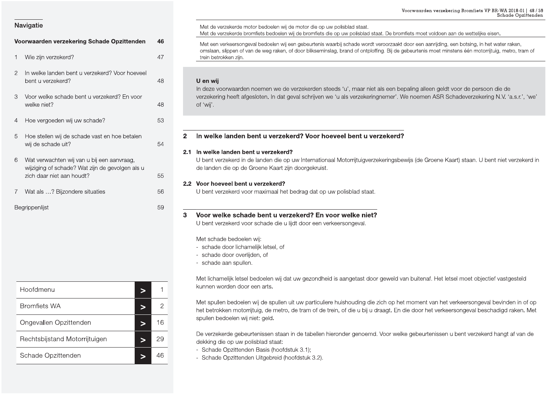|                                                                                                                                                                                                                                                                 | Voorwaarden verzekering Bromfiets VP BR-WA 2018-01   48 / 59<br>Schade Opzittenden                                                                                                                                                                                                                                                                                                                                                                                                                                                                                                                                                                                                                                                   |
|-----------------------------------------------------------------------------------------------------------------------------------------------------------------------------------------------------------------------------------------------------------------|--------------------------------------------------------------------------------------------------------------------------------------------------------------------------------------------------------------------------------------------------------------------------------------------------------------------------------------------------------------------------------------------------------------------------------------------------------------------------------------------------------------------------------------------------------------------------------------------------------------------------------------------------------------------------------------------------------------------------------------|
| Navigatie                                                                                                                                                                                                                                                       | Met de verzekerde motor bedoelen wij de motor die op uw polisblad staat.<br>Met de verzekerde bromfiets bedoelen wij de bromfiets die op uw polisblad staat. De bromfiets moet voldoen aan de wettelijke eisen.                                                                                                                                                                                                                                                                                                                                                                                                                                                                                                                      |
| Voorwaarden verzekering Schade Opzittenden<br>Wie zijn verzekerd?                                                                                                                                                                                               | 46<br>Met een verkeersongeval bedoelen wij een gebeurtenis waarbij schade wordt veroorzaakt door een aanrijding, een botsing, in het water raken,<br>omslaan, slippen of van de weg raken, of door blikseminslag, brand of ontploffing. Bij de gebeurtenis moet minstens één motorrijtuig, metro, tram of<br>47<br>trein betrokken zijn.                                                                                                                                                                                                                                                                                                                                                                                             |
| In welke landen bent u verzekerd? Voor hoeveel<br>$\overline{2}$<br>bent u verzekerd?<br>Voor welke schade bent u verzekerd? En voor<br>3<br>welke niet?                                                                                                        | 48<br>U en wij<br>In deze voorwaarden noemen we de verzekerden steeds 'u', maar niet als een bepaling alleen geldt voor de persoon die de<br>verzekering heeft afgesloten. In dat geval schrijven we 'u als verzekeringnemer'. We noemen ASR Schadeverzekering N.V. 'a.s.r.', 'we'<br>48<br>of 'wij'.                                                                                                                                                                                                                                                                                                                                                                                                                                |
| Hoe vergoeden wij uw schade?<br>$\overline{4}$                                                                                                                                                                                                                  | 53                                                                                                                                                                                                                                                                                                                                                                                                                                                                                                                                                                                                                                                                                                                                   |
| Hoe stellen wij de schade vast en hoe betalen<br>5<br>wij de schade uit?<br>Wat verwachten wij van u bij een aanvraag,<br>6<br>wijziging of schade? Wat zijn de gevolgen als u<br>zich daar niet aan houdt?<br>Wat als ? Bijzondere situaties<br>Begrippenlijst | In welke landen bent u verzekerd? Voor hoeveel bent u verzekerd?<br>$\mathbf{2}$<br>54<br>2.1 In welke landen bent u verzekerd?<br>U bent verzekerd in de landen die op uw Internationaal Motorrijtuigverzekeringsbewijs (de Groene Kaart) staan. U bent niet verzekerd in<br>de landen die op de Groene Kaart zijn doorgekruist.<br>55<br>2.2 Voor hoeveel bent u verzekerd?<br>56<br>U bent verzekerd voor maximaal het bedrag dat op uw polisblad staat.<br>59<br>Voor welke schade bent u verzekerd? En voor welke niet?<br>3<br>U bent verzekerd voor schade die u lijdt door een verkeersongeval.<br>Met schade bedoelen wij:<br>- schade door lichamelijk letsel, of<br>- schade door overlijden, of<br>- schade aan spullen. |
| Hoofdmenu<br>$\, >$                                                                                                                                                                                                                                             | Met lichamelijk letsel bedoelen wij dat uw gezondheid is aangetast door geweld van buitenaf. Het letsel moet objectief vastgesteld<br>kunnen worden door een arts.                                                                                                                                                                                                                                                                                                                                                                                                                                                                                                                                                                   |
| <b>Bromfiets WA</b><br>$\geq$                                                                                                                                                                                                                                   | Met spullen bedoelen wij de spullen uit uw particuliere huishouding die zich op het moment van het verkeersongeval bevinden in of op<br>$\overline{2}$<br>het betrokken motorrijtuig, de metro, de tram of de trein, of die u bij u draagt. En die door het verkeersongeval beschadigd raken. Met                                                                                                                                                                                                                                                                                                                                                                                                                                    |
| Ongevallen Opzittenden<br>$\geq$                                                                                                                                                                                                                                | spullen bedoelen wij niet: geld.<br>16                                                                                                                                                                                                                                                                                                                                                                                                                                                                                                                                                                                                                                                                                               |
| Rechtsbijstand Motorrijtuigen<br>$\,>$                                                                                                                                                                                                                          | De verzekerde gebeurtenissen staan in de tabellen hieronder genoemd. Voor welke gebeurtenissen u bent verzekerd hangt af van de<br>29<br>dekking die op uw polisblad staat:                                                                                                                                                                                                                                                                                                                                                                                                                                                                                                                                                          |
| Schade Opzittenden<br>$\, >$                                                                                                                                                                                                                                    | - Schade Opzittenden Basis (hoofdstuk 3.1);<br>46<br>- Schade Opzittenden Uitgebreid (hoofdstuk 3.2).                                                                                                                                                                                                                                                                                                                                                                                                                                                                                                                                                                                                                                |

Eegrippenlijst<br>
Sa **Voor welke**<br>
U bent verzek<br>
Met schade door<br>
- schade door<br>
- schade door<br>
- schade door<br>
- Schade Dopzittenden<br>
- Met spullen bedoe<br>
- Met spullen bedoe<br>
- Met spullen bedoe<br>
- Met spullen bedoe<br>
- Met

Voorwaarden verzekering Schade Opzittenden<br>
1 Wie zijn verzekerd?<br>
1 Wie zijn verzekerd?<br>
1 Wie zijn verzekerd?<br>
1 Wie zijn verzekerd?<br>
1 Wie zijn verzekerd?<br>
1 Wie zijn verzekerd?<br>
1 Wie zijn verzekerd?<br>
1 Wie zijn verzek Voorwaarden verzekeri<br>2014 Staat. De bromfiets moet voldoen aa<br>2014 Staat. De bromfiets moet voldoen aa<br>2015 wordt veroorzaakt door een aanrijding, eentploffing. Bij de gebeurtenis moet mins Voorwaarden verzekering Bromfie<br>ad staat. De bromfiets moet voldoen aan de wetteli<br>vordt veroorzaakt door een aanrijding, een botsing,<br>ntploffing. Bij de gebeurtenis moet minstens één mo Voorwaarden verzekering Bromfiets VP BR-WA 20<br>Schade<br>B bromfiets moet voldoen aan de wettelijke eisen.<br>Zaakt door een aanrijding, een botsing, in het water ra<br>ij de gebeurtenis moet minstens één motorrijtuig, metr rden verzekering Bromfiets VP BR-WA 2018-01 | 48 / 59<br>Schade Opzittenden<br>et voldoen aan de wettelijke eisen.<br>aanrijding, een botsing, in het water raken,<br>is moet minstens één motorrijtuig, metro, tram of

- 
- 
- 

- 
-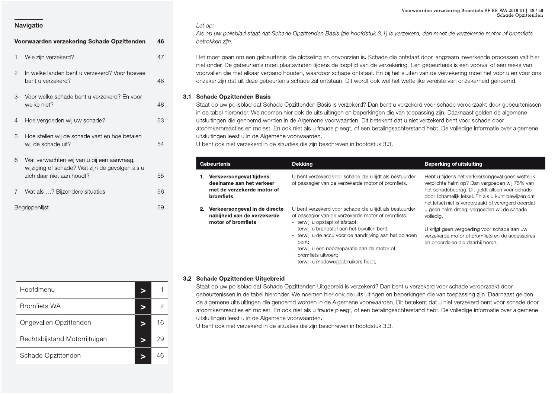|               | Voorwaarden verzekering Schade Opzittenden                                                                                 | 46 |
|---------------|----------------------------------------------------------------------------------------------------------------------------|----|
| 1             | Wie zijn verzekerd?                                                                                                        | 47 |
| $\mathcal{P}$ | In welke landen bent u verzekerd? Voor hoeveel<br>bent u verzekerd?                                                        | 48 |
| 3             | Voor welke schade bent u verzekerd? En voor<br>welke niet?                                                                 | 48 |
| 4             | Hoe vergoeden wij uw schade?                                                                                               | 53 |
| 5             | Hoe stellen wij de schade vast en hoe betalen<br>wij de schade uit?                                                        | 54 |
| 6             | Wat verwachten wij van u bij een aanvraag,<br>wijziging of schade? Wat zijn de gevolgen als u<br>zich daar niet aan houdt? | 55 |
| 7             | Wat als ? Bijzondere situaties                                                                                             | 56 |
|               | Begrippenlijst                                                                                                             | 59 |

### Let op:

Als op uw polisblad staat dat Schade Opzittenden Basis (zie hoofdstuk 3.1) is verzekerd, dan moet de verzekerde motor of bromfiets betrokken zijn.

Het moet gaan om een gebeurtenis die plotseling en onvoorzien is. Schade die ontstaat door langzaam inwerkende processen valt hier niet onder. De gebeurtenis moet plaatsvinden tijdens de looptijd van de verzekering. Een gebeurtenis is een voorval of een reeks van voorvallen die met elkaar verband houden, waardoor schade ontstaat. En bij het sluiten van de verzekering moet het voor u en voor ons onzeker zijn dat uit deze gebeurtenis schade zal ontstaan. Dit wordt ook wel het wettelijke vereiste van onzekerheid genoemd.

### 3.1 Schade Opzittenden Basis

Staat op uw polisblad dat Schade Opzittenden Basis is verzekerd? Dan bent u verzekerd voor schade veroorzaakt door gebeurtenissen in de tabel hieronder. We noemen hier ook de uitsluitingen en beperkingen die van toepassing zijn. Daarnaast gelden de algemene uitsluitingen die genoemd worden in de Algemene voorwaarden. Dit betekent dat u niet verzekerd bent voor schade door atoomkernreacties en molest. En ook niet als u fraude pleegt, of een betalingsachterstand hebt. De volledige informatie over algemene uitsluitingen leest u in de Algemene voorwaarden.

U bent ook niet verzekerd in de situaties die zijn beschreven in hoofdstuk 3.3.

| aebeurtenis                                                                                      | <b>Dekking</b>                                                                                                                                                                                                                                                                                                                                                                        | <b>Beperking of uitsluiting</b>                                                                                                                                                                                                                      |  |
|--------------------------------------------------------------------------------------------------|---------------------------------------------------------------------------------------------------------------------------------------------------------------------------------------------------------------------------------------------------------------------------------------------------------------------------------------------------------------------------------------|------------------------------------------------------------------------------------------------------------------------------------------------------------------------------------------------------------------------------------------------------|--|
| . Verkeersongeval tijdens<br>deelname aan het verkeer<br>met de verzekerde motor of<br>bromfiets | U bent verzekerd voor schade die u lijdt als bestuurder<br>of passagier van de verzekerde motor of bromfiets.                                                                                                                                                                                                                                                                         | Hebt u tijdens het verkeersongeval geen wettelijk<br>verplichte helm op? Dan vergoeden wij 75% van<br>het schadebedrag. Dit geldt alleen voor schade<br>door lichamelijk letsel. En als u kunt bewijzen dat                                          |  |
| Verkeersongeval in de directe<br>nabijheid van de verzekerde<br>motor of bromfiets               | U bent verzekerd voor schade die u lijdt als bestuurder<br>of passagier van de verzekerde motor of bromfiets:<br>- terwijl u opstapt of afstapt;<br>- terwijl u brandstof aan het bijvullen bent;<br>- terwijl u de accu voor de aandrijving aan het opladen<br>bent:<br>- terwijl u een noodreparatie aan de motor of<br>bromfiets uitvoert;<br>- terwijl u medeweggebruikers helpt. | het letsel niet is veroorzaakt of verergerd doordat<br>u geen helm droeg, vergoeden wij de schade<br>volledig.<br>U krijgt geen vergoeding voor schade aan uw<br>verzekerde motor of bromfiets en de accessoires<br>en onderdelen die daarbij horen. |  |

| Hoofdmenu                     |    |
|-------------------------------|----|
| <b>Bromfiets WA</b>           |    |
| Ongevallen Opzittenden        | 16 |
| Rechtsbijstand Motorrijtuigen | 29 |
| Schade Opzittenden            |    |

### 3.2 Schade Opzittenden Uitgebreid

Staat op uw polisblad dat Schade Opzittenden Uitgebreid is verzekerd? Dan bent u verzekerd voor schade veroorzaakt door gebeurtenissen in de tabel hieronder. We noemen hier ook de uitsluitingen en beperkingen die van toepassing zijn. Daarnaast gelden de algemene uitsluitingen die genoemd worden in de Algemene voorwaarden. Dit betekent dat u niet verzekerd bent voor schade door atoomkernreacties en molest. En ook niet als u fraude pleegt, of een betalingsachterstand hebt. De volledige informatie over algemene uitsluitingen leest u in de Algemene voorwaarden.

U bent ook niet verzekerd in de situaties die zijn beschreven in hoofdstuk 3.3.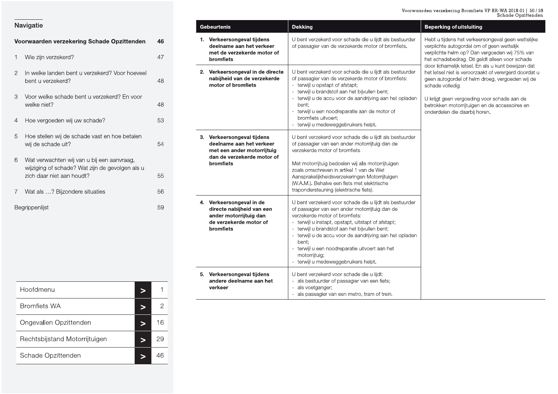Voorwaarden verzekering Bromfiets VP BR-WA 2018-01 | 50 / 59<br>Schade Opzittenden

**Beperking of uitsluiting** 

| Navigatie |  |
|-----------|--|

|                | Voorwaarden verzekering Schade Opzittenden                                                                                 | 46 |
|----------------|----------------------------------------------------------------------------------------------------------------------------|----|
| 1              | Wie zijn verzekerd?                                                                                                        | 47 |
| $\overline{2}$ | In welke landen bent u verzekerd? Voor hoeveel<br>bent u verzekerd?                                                        | 48 |
| 3              | Voor welke schade bent u verzekerd? En voor<br>welke niet?                                                                 | 48 |
| 4              | Hoe vergoeden wij uw schade?                                                                                               | 53 |
| 5              | Hoe stellen wij de schade vast en hoe betalen<br>wij de schade uit?                                                        | 54 |
| 6              | Wat verwachten wij van u bij een aanvraag,<br>wijziging of schade? Wat zijn de gevolgen als u<br>zich daar niet aan houdt? | 55 |
| 7              | Wat als ? Bijzondere situaties                                                                                             | 56 |
|                | Begrippenlijst                                                                                                             | 59 |

Gebeurtenis

**Dekking** 

| 1. Verkeersongeval tijdens<br>deelname aan het verkeer<br>met de verzekerde motor of<br>bromfiets                                      | U bent verzekerd voor schade die u lijdt als bestuurder<br>of passagier van de verzekerde motor of bromfiets.                                                                                                                                                                                                                                                                                                                     | Hebt u tijdens het verkeersongeval geen wettelijke<br>verplichte autogordel om of geen wettelijk<br>verplichte helm op? Dan vergoeden wij 75% van<br>het schadebedrag. Dit geldt alleen voor schade                                                                                                                  |
|----------------------------------------------------------------------------------------------------------------------------------------|-----------------------------------------------------------------------------------------------------------------------------------------------------------------------------------------------------------------------------------------------------------------------------------------------------------------------------------------------------------------------------------------------------------------------------------|----------------------------------------------------------------------------------------------------------------------------------------------------------------------------------------------------------------------------------------------------------------------------------------------------------------------|
| 2. Verkeersongeval in de directe<br>nabijheid van de verzekerde<br>motor of bromfiets                                                  | U bent verzekerd voor schade die u lijdt als bestuurder<br>of passagier van de verzekerde motor of bromfiets:<br>- terwijl u opstapt of afstapt;<br>- terwijl u brandstof aan het bijvullen bent;<br>- terwijl u de accu voor de aandrijving aan het opladen<br>bent:<br>- terwijl u een noodreparatie aan de motor of<br>bromfiets uitvoert;<br>- terwijl u medeweggebruikers helpt.                                             | door lichamelijk letsel. En als u kunt bewijzen dat<br>het letsel niet is veroorzaakt of verergerd doordat u<br>geen autogordel of helm droeg, vergoeden wij de<br>schade volledig.<br>U krijgt geen vergoeding voor schade aan de<br>betrokken motorrijtuigen en de accessoires en<br>onderdelen die daarbij horen. |
| 3. Verkeersongeval tijdens<br>deelname aan het verkeer<br>met een ander motorrijtuig<br>dan de verzekerde motor of<br><b>bromfiets</b> | U bent verzekerd voor schade die u lijdt als bestuurder<br>of passagier van een ander motorrijtuig dan de<br>verzekerde motor of bromfiets.<br>Met motorrijtuig bedoelen wij alle motorrijtuigen<br>zoals omschreven in artikel 1 van de Wet<br>Aansprakelijkheidsverzekeringen Motorrijtuigen<br>(W.A.M.). Behalve een fiets met elektrische<br>trapondersteuning (elektrische fiets).                                           |                                                                                                                                                                                                                                                                                                                      |
| 4. Verkeersongeval in de<br>directe nabijheid van een<br>ander motorrijtuig dan<br>de verzekerde motor of<br>bromfiets                 | U bent verzekerd voor schade die u lijdt als bestuurder<br>of passagier van een ander motorrijtuig dan de<br>verzekerde motor of bromfiets:<br>- terwijl u instapt, opstapt, uitstapt of afstapt;<br>- terwijl u brandstof aan het bijvullen bent;<br>- terwijl u de accu voor de aandrijving aan het opladen<br>bent:<br>- terwijl u een noodreparatie uitvoert aan het<br>motorrijtuig;<br>- terwijl u medeweggebruikers helpt. |                                                                                                                                                                                                                                                                                                                      |
| 5. Verkeersongeval tijdens<br>andere deelname aan het<br>verkeer                                                                       | U bent verzekerd voor schade die u lijdt:<br>- als bestuurder of passagier van een fiets;<br>als voetganger:<br>- als passagier van een metro, tram of trein.                                                                                                                                                                                                                                                                     |                                                                                                                                                                                                                                                                                                                      |

| Hoofdmenu                     |    |
|-------------------------------|----|
| <b>Bromfiets WA</b>           |    |
| Ongevallen Opzittenden        | 16 |
| Rechtsbijstand Motorrijtuigen | 29 |
| Schade Opzittenden            | 46 |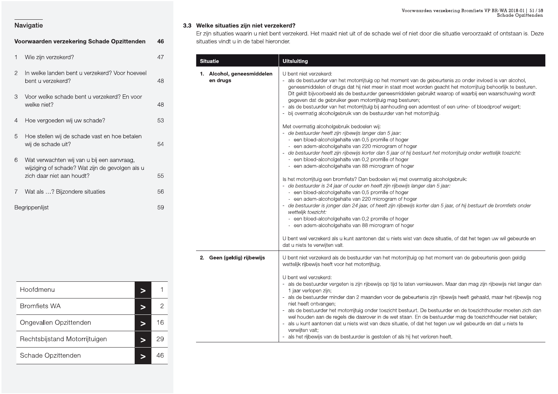### Voorwaarden verzekering Bromfiets VP BR-WA 2018-01 | 51 / 59<br>Schade Opzittenden

### Navigatie

|   | Voorwaarden verzekering Schade Opzittenden                                                                                 | 46 |
|---|----------------------------------------------------------------------------------------------------------------------------|----|
| 1 | Wie zijn verzekerd?                                                                                                        | 47 |
| 2 | In welke landen bent u verzekerd? Voor hoeveel<br>bent u verzekerd?                                                        | 48 |
| З | Voor welke schade bent u verzekerd? En voor<br>welke niet?                                                                 | 48 |
| 4 | Hoe vergoeden wij uw schade?                                                                                               | 53 |
| 5 | Hoe stellen wij de schade vast en hoe betalen<br>wij de schade uit?                                                        | 54 |
| 6 | Wat verwachten wij van u bij een aanvraag,<br>wijziging of schade? Wat zijn de gevolgen als u<br>zich daar niet aan houdt? | 55 |
| 7 | Wat als ? Bijzondere situaties                                                                                             | 56 |
|   | Begrippenlijst                                                                                                             | 59 |

| Hoofdmenu                     |    |
|-------------------------------|----|
| <b>Bromfiets WA</b>           |    |
| Ongevallen Opzittenden        | 16 |
| Rechtsbijstand Motorrijtuigen | 29 |
| Schade Opzittenden            |    |

### 3.3 Welke situaties zijn niet verzekerd?

Er zijn situaties waarin u niet bent verzekerd. Het maakt niet uit of de schade wel of niet door die situatie veroorzaakt of ontstaan is. Deze situaties vindt u in de tabel hieronder.

| Situatie                               | <b>Uitsluiting</b>                                                                                                                                                                                                                                                                                                                                                                                                                                                                                                                                                                                                                                                                                                                                                                                                                                                                                                                                                                                                                                                                                                                                                       |
|----------------------------------------|--------------------------------------------------------------------------------------------------------------------------------------------------------------------------------------------------------------------------------------------------------------------------------------------------------------------------------------------------------------------------------------------------------------------------------------------------------------------------------------------------------------------------------------------------------------------------------------------------------------------------------------------------------------------------------------------------------------------------------------------------------------------------------------------------------------------------------------------------------------------------------------------------------------------------------------------------------------------------------------------------------------------------------------------------------------------------------------------------------------------------------------------------------------------------|
| 1. Alcohol, geneesmiddelen<br>en drugs | U bent niet verzekerd:<br>- als de bestuurder van het motorrijtuig op het moment van de gebeurtenis zo onder invloed is van alcohol,<br>geneesmiddelen of drugs dat hij niet meer in staat moet worden geacht het motorrijtuig behoorlijk te besturen.<br>Dit geldt bijvoorbeeld als de bestuurder geneesmiddelen gebruikt waarop of waarbij een waarschuwing wordt<br>gegeven dat de gebruiker geen motorrijtuig mag besturen;<br>- als de bestuurder van het motorrijtuig bij aanhouding een ademtest of een urine- of bloedproef weigert;<br>- bij overmatig alcoholgebruik van de bestuurder van het motorrijtuig.<br>Met overmatig alcoholgebruik bedoelen wij:<br>- de bestuurder heeft zijn rijbewijs langer dan 5 jaar:<br>- een bloed-alcoholgehalte van 0,5 promille of hoger<br>- een adem-alcoholgehalte van 220 microgram of hoger<br>- de bestuurder heeft zijn rijbewijs korter dan 5 jaar of hij bestuurt het motorrijtuig onder wettelijk toezicht:<br>- een bloed-alcoholgehalte van 0,2 promille of hoger<br>- een adem-alcoholgehalte van 88 microgram of hoger<br>Is het motorrijtuig een bromfiets? Dan bedoelen wij met overmatig alcoholgebruik: |
|                                        | - de bestuurder is 24 jaar of ouder en heeft zijn rijbewijs langer dan 5 jaar:<br>- een bloed-alcoholgehalte van 0,5 promille of hoger<br>- een adem-alcoholgehalte van 220 microgram of hoger<br>- de bestuurder is jonger dan 24 jaar, of heeft zijn rijbewijs korter dan 5 jaar, of hij bestuurt de bromfiets onder<br>wettelijk toezicht:<br>- een bloed-alcoholgehalte van 0,2 promille of hoger<br>- een adem-alcoholgehalte van 88 microgram of hoger                                                                                                                                                                                                                                                                                                                                                                                                                                                                                                                                                                                                                                                                                                             |
|                                        | U bent wel verzekerd als u kunt aantonen dat u niets wist van deze situatie, of dat het tegen uw wil gebeurde en<br>dat u niets te verwijten valt.                                                                                                                                                                                                                                                                                                                                                                                                                                                                                                                                                                                                                                                                                                                                                                                                                                                                                                                                                                                                                       |
| 2. Geen (geldig) rijbewijs             | U bent niet verzekerd als de bestuurder van het motorrijtuig op het moment van de gebeurtenis geen geldig<br>wettelijk rijbewijs heeft voor het motorrijtuig.<br>U bent wel verzekerd:<br>- als de bestuurder vergeten is zijn rijbewijs op tijd te laten vernieuwen. Maar dan mag zijn rijbewijs niet langer dan<br>1 jaar verlopen zijn;<br>- als de bestuurder minder dan 2 maanden voor de gebeurtenis zijn rijbewijs heeft gehaald, maar het rijbewijs nog<br>niet heeft ontvangen;<br>- als de bestuurder het motorrijtuig onder toezicht bestuurt. De bestuurder en de toezichthouder moeten zich dan<br>wel houden aan de regels die daarover in de wet staan. En de bestuurder mag de toezichthouder niet betalen;                                                                                                                                                                                                                                                                                                                                                                                                                                              |
|                                        | - als u kunt aantonen dat u niets wist van deze situatie, of dat het tegen uw wil gebeurde en dat u niets te<br>verwijten valt;<br>- als het rijbewijs van de bestuurder is gestolen of als hij het verloren heeft.                                                                                                                                                                                                                                                                                                                                                                                                                                                                                                                                                                                                                                                                                                                                                                                                                                                                                                                                                      |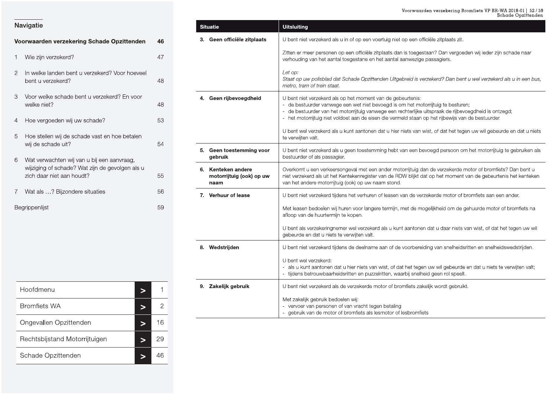### Voorwaarden verzekering Bromfiets VP BR-WA 2018-01 | 52 / 59<br>Schade Onzittenden

### Navigatie

|               | Voorwaarden verzekering Schade Opzittenden                                                                                 | 46 |
|---------------|----------------------------------------------------------------------------------------------------------------------------|----|
| 1             | Wie zijn verzekerd?                                                                                                        | 47 |
| $\mathcal{P}$ | In welke landen bent u verzekerd? Voor hoeveel<br>bent u verzekerd?                                                        | 48 |
| 3             | Voor welke schade bent u verzekerd? En voor<br>welke niet?                                                                 | 48 |
| 4             | Hoe vergoeden wij uw schade?                                                                                               | 53 |
| 5             | Hoe stellen wij de schade vast en hoe betalen<br>wij de schade uit?                                                        | 54 |
| 6             | Wat verwachten wij van u bij een aanvraag,<br>wijziging of schade? Wat zijn de gevolgen als u<br>zich daar niet aan houdt? | 55 |
| 7             | Wat als ? Bijzondere situaties                                                                                             | 56 |
|               | Begrippenlijst                                                                                                             | 59 |

| Hoofdmenu                     |    |
|-------------------------------|----|
| <b>Bromfiets WA</b>           | 2  |
| Ongevallen Opzittenden        | 16 |
| Rechtsbijstand Motorrijtuigen | 29 |
| Schade Opzittenden            |    |

|                                                        | pciidae Opzifienden                                                                                                                                                                                                                                                                                                                                                                                                                                                               |
|--------------------------------------------------------|-----------------------------------------------------------------------------------------------------------------------------------------------------------------------------------------------------------------------------------------------------------------------------------------------------------------------------------------------------------------------------------------------------------------------------------------------------------------------------------|
| <b>Situatie</b>                                        | <b>Uitsluiting</b>                                                                                                                                                                                                                                                                                                                                                                                                                                                                |
| 3. Geen officiële zitplaats                            | U bent niet verzekerd als u in of op een voertuig niet op een officiële zitplaats zit.                                                                                                                                                                                                                                                                                                                                                                                            |
|                                                        | Zitten er meer personen op een officiële zitplaats dan is toegestaan? Dan vergoeden wij ieder zijn schade naar<br>verhouding van het aantal toegestane en het aantal aanwezige passagiers.                                                                                                                                                                                                                                                                                        |
|                                                        | Let op:<br>Staat op uw polisblad dat Schade Opzittenden Uitgebreid is verzekerd? Dan bent u wel verzekerd als u in een bus,<br>metro, tram of trein staat.                                                                                                                                                                                                                                                                                                                        |
| 4. Geen rijbevoegdheid                                 | U bent niet verzekerd als op het moment van de gebeurtenis:<br>de bestuurder vanwege een wet niet bevoegd is om het motorrijtuig te besturen;<br>de bestuurder van het motorrijtuig vanwege een rechterlijke uitspraak de rijbevoegdheid is ontzegd;<br>- het motorrijtuig niet voldoet aan de eisen die vermeld staan op het rijbewijs van de bestuurder.<br>U bent wel verzekerd als u kunt aantonen dat u hier niets van wist, of dat het tegen uw wil gebeurde en dat u niets |
|                                                        | te verwijten valt.                                                                                                                                                                                                                                                                                                                                                                                                                                                                |
| 5. Geen toestemming voor<br>gebruik                    | U bent niet verzekerd als u geen toestemming hebt van een bevoegd persoon om het motorrijtuig te gebruiken als<br>bestuurder of als passagier.                                                                                                                                                                                                                                                                                                                                    |
| 6. Kenteken andere<br>motorrijtuig (ook) op uw<br>naam | Overkomt u een verkeersongeval met een ander motorrijtuig dan de verzekerde motor of bromfiets? Dan bent u<br>niet verzekerd als uit het Kentekenregister van de RDW blijkt dat op het moment van de gebeurtenis het kenteken<br>van het andere motorrijtuig (ook) op uw naam stond.                                                                                                                                                                                              |
| 7. Verhuur of lease                                    | U bent niet verzekerd tijdens het verhuren of leasen van de verzekerde motor of bromfiets aan een ander.                                                                                                                                                                                                                                                                                                                                                                          |
|                                                        | Met leasen bedoelen wij huren voor langere termijn, met de mogelijkheid om de gehuurde motor of bromfiets na<br>afloop van de huurtermijn te kopen.                                                                                                                                                                                                                                                                                                                               |
|                                                        | U bent als verzekeringnemer wel verzekerd als u kunt aantonen dat u daar niets van wist, of dat het tegen uw wil<br>gebeurde en dat u niets te verwijten valt.                                                                                                                                                                                                                                                                                                                    |
| 8. Wedstrijden                                         | U bent niet verzekerd tijdens de deelname aan of de voorbereiding van snelheidsritten en snelheidswedstrijden.                                                                                                                                                                                                                                                                                                                                                                    |
|                                                        | U bent wel verzekerd:<br>als u kunt aantonen dat u hier niets van wist, of dat het tegen uw wil gebeurde en dat u niets te verwijten valt;<br>tijdens betrouwbaarheidsritten en puzzelritten, waarbij snelheid geen rol speelt.                                                                                                                                                                                                                                                   |
| 9. Zakelijk gebruik                                    | U bent niet verzekerd als de verzekerde motor of bromfiets zakelijk wordt gebruikt.                                                                                                                                                                                                                                                                                                                                                                                               |
|                                                        | Met zakelijk gebruik bedoelen wij:<br>- vervoer van personen of van vracht tegen betaling<br>- gebruik van de motor of bromfiets als lesmotor of lesbromfiets                                                                                                                                                                                                                                                                                                                     |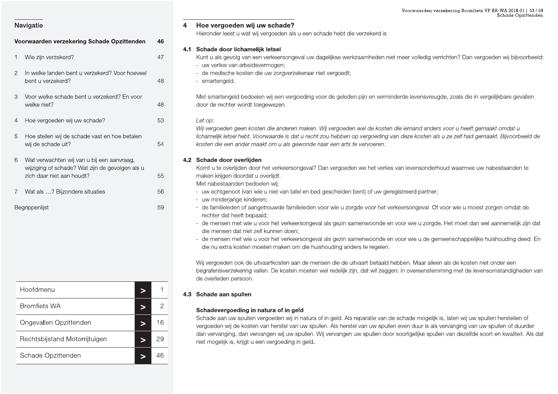|                                                                              |                | Voorwaarden verzekering Bromfiets VP BR-WA 2018-01   53 / 59<br>Schade Opzittenden                                                                                                                                                                                                          |
|------------------------------------------------------------------------------|----------------|---------------------------------------------------------------------------------------------------------------------------------------------------------------------------------------------------------------------------------------------------------------------------------------------|
| Navigatie                                                                    |                | Hoe vergoeden wij uw schade?<br>Hieronder leest u wat wij vergoeden als u een schade hebt die verzekerd is.                                                                                                                                                                                 |
| Voorwaarden verzekering Schade Opzittenden                                   | 46             |                                                                                                                                                                                                                                                                                             |
| Wie zijn verzekerd?                                                          | 47             | 4.1 Schade door lichamelijk letsel<br>Kunt u als gevolg van een verkeersongeval uw dagelijkse werkzaamheden niet meer volledig verrichten? Dan vergoeden wij bijvoorbeeld:                                                                                                                  |
| $\overline{2}$<br>In welke landen bent u verzekerd? Voor hoeveel             |                | - uw verlies van arbeidsvermogen;<br>- de medische kosten die uw zorgverzekeraar niet vergoedt;                                                                                                                                                                                             |
| bent u verzekerd?                                                            | 48             | - smartengeld.                                                                                                                                                                                                                                                                              |
| Voor welke schade bent u verzekerd? En voor<br>3<br>welke niet?              | 48             | Met smartengeld bedoelen wij een vergoeding voor de geleden pijn en verminderde levensvreugde, zoals die in vergelijkbare gevallen<br>door de rechter wordt toegewezen.                                                                                                                     |
| Hoe vergoeden wij uw schade?<br>4                                            | 53             | Let op:<br>Wij vergoeden geen kosten die anderen maken. Wij vergoeden wel de kosten die iemand anders voor u heeft gemaakt omdat u                                                                                                                                                          |
| Hoe stellen wij de schade vast en hoe betalen<br>5<br>wij de schade uit?     | 54             | lichamelijk letsel hebt. Voorwaarde is dat u recht zou hebben op vergoeding van deze kosten als u ze zelf had gemaakt. Bijvoorbeeld de<br>kosten die een ander maakt om u als gewonde naar een arts te vervoeren.                                                                           |
| Wat verwachten wij van u bij een aanvraag,<br>6                              |                | 4.2 Schade door overlijden                                                                                                                                                                                                                                                                  |
| wijziging of schade? Wat zijn de gevolgen als u<br>zich daar niet aan houdt? | 55             | Komt u te overlijden door het verkeersongeval? Dan vergoeden we het verlies van levensonderhoud waarmee uw nabestaanden te<br>maken krijgen doordat u overlijdt.<br>Met nabestaanden bedoelen wij:                                                                                          |
| Wat als ? Bijzondere situaties                                               | 56             | - uw echtgenoot (van wie u niet van tafel en bed gescheiden bent) of uw geregistreerd partner;<br>- uw minderjarige kinderen;                                                                                                                                                               |
| Begrippenlijst                                                               | 59             | - de familieleden of aangetrouwde familieleden voor wie u zorgde voor het verkeersongeval. Of voor wie u moest zorgen omdat de<br>rechter dat heeft bepaald;                                                                                                                                |
|                                                                              |                | - de mensen met wie u voor het verkeersongeval als gezin samenwoonde en voor wie u zorgde. Het moet dan wel aannemelijk zijn dat<br>die mensen dat niet zelf kunnen doen:                                                                                                                   |
|                                                                              |                | - de mensen met wie u voor het verkeersongeval als gezin samenwoonde en voor wie u de gemeenschappelijke huishouding deed. En<br>die nu extra kosten moeten maken om die huishouding anders te regelen.                                                                                     |
|                                                                              |                | Wij vergoeden ook de uitvaartkosten aan de mensen die de uitvaart betaald hebben. Maar alleen als de kosten niet onder een<br>begrafenisverzekering vallen. De kosten moeten wel redelijk zijn, dat wil zeggen: in overeenstemming met de levensomstandigheden van<br>de overleden persoon. |
| Hoofdmenu                                                                    |                | 4.3 Schade aan spullen                                                                                                                                                                                                                                                                      |
| <b>Bromfiets WA</b><br>⋗                                                     | $\overline{2}$ | Schadevergoeding in natura of in geld                                                                                                                                                                                                                                                       |
| Ongevallen Opzittenden<br>$\geq$                                             | 16             | Schade aan uw spullen vergoeden wij in natura of in geld. Als reparatie van de schade mogelijk is, laten wij uw spullen herstellen of<br>vergoeden wij de kosten van herstel van uw spullen. Als herstel van uw spullen even duur is als vervanging van uw spullen of duurder               |
| Rechtsbijstand Motorrijtuigen<br>$\geq$                                      | 29             | dan vervanging, dan vervangen wij uw spullen. Wij vervangen uw spullen door soortgelijke spullen van dezelfde soort en kwaliteit. Als dat<br>niet mogelijk is, krijgt u een vergoeding in geld.                                                                                             |
| Schade Opzittenden<br>$\geq$                                                 | 46             |                                                                                                                                                                                                                                                                                             |

| Begrippenlijst                          | 59           |     | - de familielec<br>rechter dat h<br>- de mensen i<br>die mensen<br>- de mensen i<br>die nu extra<br>Wij vergoeden<br>begrafenisverz<br>de overleden p |
|-----------------------------------------|--------------|-----|-------------------------------------------------------------------------------------------------------------------------------------------------------|
| Hoofdmenu<br>$\geq$                     | 1            | 4.3 | Schade aan s                                                                                                                                          |
| <b>Bromfiets WA</b><br>$\geq$           | $\mathbf{2}$ |     | Schadevergo                                                                                                                                           |
| Ongevallen Opzittenden<br>$\geq$        | 16           |     | Schade aan u<br>vergoeden wij                                                                                                                         |
| Rechtsbijstand Motorrijtuigen<br>$\geq$ | 29           |     | dan vervanging<br>niet mogelijk is                                                                                                                    |
| Schade Opzittenden<br>$\geq$            | 46           |     |                                                                                                                                                       |

- 
- 

- 
- 
- 
- 
-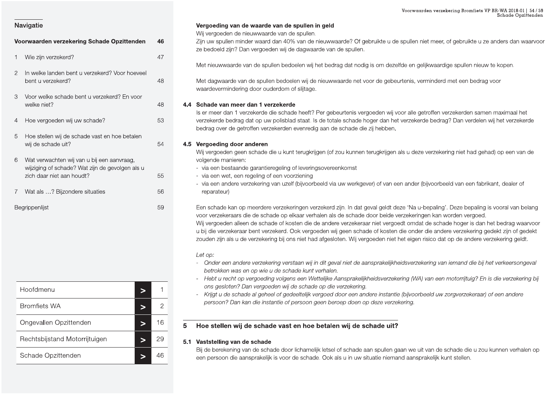|                                                                     |                | Voorwaarden verzekering Bromfiets VP BR-WA 2018-01   54 / 59<br>Schade Opzittenden                                                                                                                                                                                                                                                                                                                                                                                                                                                                                                                                                                                          |
|---------------------------------------------------------------------|----------------|-----------------------------------------------------------------------------------------------------------------------------------------------------------------------------------------------------------------------------------------------------------------------------------------------------------------------------------------------------------------------------------------------------------------------------------------------------------------------------------------------------------------------------------------------------------------------------------------------------------------------------------------------------------------------------|
| Navigatie                                                           |                | Vergoeding van de waarde van de spullen in geld                                                                                                                                                                                                                                                                                                                                                                                                                                                                                                                                                                                                                             |
| Voorwaarden verzekering Schade Opzittenden                          | 46             | Wij vergoeden de nieuwwaarde van de spullen.<br>Zijn uw spullen minder waard dan 40% van de nieuwwaarde? Of gebruikte u de spullen niet meer, of gebruikte u ze anders dan waarvoor<br>ze bedoeld zijn? Dan vergoeden wij de dagwaarde van de spullen.                                                                                                                                                                                                                                                                                                                                                                                                                      |
| Wie zijn verzekerd?                                                 | 47             | Met nieuwwaarde van de spullen bedoelen wij het bedrag dat nodig is om dezelfde en gelijkwaardige spullen nieuw te kopen.                                                                                                                                                                                                                                                                                                                                                                                                                                                                                                                                                   |
| In welke landen bent u verzekerd? Voor hoeveel<br>$\overline{2}$    |                |                                                                                                                                                                                                                                                                                                                                                                                                                                                                                                                                                                                                                                                                             |
| bent u verzekerd?                                                   | 48             | Met dagwaarde van de spullen bedoelen wij de nieuwwaarde net voor de gebeurtenis, verminderd met een bedrag voor<br>waardevermindering door ouderdom of slijtage.                                                                                                                                                                                                                                                                                                                                                                                                                                                                                                           |
| Voor welke schade bent u verzekerd? En voor<br>3<br>welke niet?     | 48             | 4.4 Schade van meer dan 1 verzekerde                                                                                                                                                                                                                                                                                                                                                                                                                                                                                                                                                                                                                                        |
|                                                                     |                | Is er meer dan 1 verzekerde die schade heeft? Per gebeurtenis vergoeden wij voor alle getroffen verzekerden samen maximaal het                                                                                                                                                                                                                                                                                                                                                                                                                                                                                                                                              |
| Hoe vergoeden wij uw schade?<br>4<br>5                              | 53             | verzekerde bedrag dat op uw polisblad staat. Is de totale schade hoger dan het verzekerde bedrag? Dan verdelen wij het verzekerde<br>bedrag over de getroffen verzekerden evenredig aan de schade die zij hebben.                                                                                                                                                                                                                                                                                                                                                                                                                                                           |
| Hoe stellen wij de schade vast en hoe betalen<br>wij de schade uit? | 54             | 4.5 Vergoeding door anderen                                                                                                                                                                                                                                                                                                                                                                                                                                                                                                                                                                                                                                                 |
| 6<br>Wat verwachten wij van u bij een aanvraag,                     |                | Wij vergoeden geen schade die u kunt terugkrijgen (of zou kunnen terugkrijgen als u deze verzekering niet had gehad) op een van de<br>volgende manieren:                                                                                                                                                                                                                                                                                                                                                                                                                                                                                                                    |
| wijziging of schade? Wat zijn de gevolgen als u                     |                | - via een bestaande garantieregeling of leveringsovereenkomst                                                                                                                                                                                                                                                                                                                                                                                                                                                                                                                                                                                                               |
| zich daar niet aan houdt?                                           | 55             | - via een wet, een regeling of een voorziening<br>- via een andere verzekering van uzelf (bijvoorbeeld via uw werkgever) of van een ander (bijvoorbeeld van een fabrikant, dealer of                                                                                                                                                                                                                                                                                                                                                                                                                                                                                        |
| Wat als ? Bijzondere situaties                                      | 56             | reparateur)                                                                                                                                                                                                                                                                                                                                                                                                                                                                                                                                                                                                                                                                 |
| Begrippenlijst                                                      | 59             | Een schade kan op meerdere verzekeringen verzekerd zijn. In dat geval geldt deze 'Na u-bepaling'. Deze bepaling is vooral van belang<br>voor verzekeraars die de schade op elkaar verhalen als de schade door beide verzekeringen kan worden vergoed.<br>Wij vergoeden alleen de schade of kosten die de andere verzekeraar niet vergoedt omdat de schade hoger is dan het bedrag waarvoor<br>u bij die verzekeraar bent verzekerd. Ook vergoeden wij geen schade of kosten die onder die andere verzekering gedekt zijn of gedekt<br>zouden zijn als u de verzekering bij ons niet had afgesloten. Wij vergoeden niet het eigen risico dat op de andere verzekering geldt. |
|                                                                     |                | Let op:<br>- Onder een andere verzekering verstaan wij in dit geval niet de aansprakelijkheidsverzekering van iemand die bij het verkeersongeval<br>betrokken was en op wie u de schade kunt verhalen.                                                                                                                                                                                                                                                                                                                                                                                                                                                                      |
|                                                                     |                | - Hebt u recht op vergoeding volgens een Wettelijke Aansprakelijkheidsverzekering (WA) van een motorrijtuig? En is die verzekering bij<br>ons gesloten? Dan vergoeden wij de schade op die verzekering.                                                                                                                                                                                                                                                                                                                                                                                                                                                                     |
| Hoofdmenu<br>⋗                                                      |                | - Krijgt u de schade al geheel of gedeeltelijk vergoed door een andere instantie (bijvoorbeeld uw zorgverzekeraar) of een andere                                                                                                                                                                                                                                                                                                                                                                                                                                                                                                                                            |
| <b>Bromfiets WA</b><br>⋗                                            | $\overline{2}$ | persoon? Dan kan die instantie of persoon geen beroep doen op deze verzekering.                                                                                                                                                                                                                                                                                                                                                                                                                                                                                                                                                                                             |
| Ongevallen Opzittenden<br>$\geq$                                    | 16             | Hoe stellen wij de schade vast en hoe betalen wij de schade uit?<br>5                                                                                                                                                                                                                                                                                                                                                                                                                                                                                                                                                                                                       |
| Rechtsbijstand Motorrijtuigen<br>$\geq$                             | 29             | 5.1 Vaststelling van de schade                                                                                                                                                                                                                                                                                                                                                                                                                                                                                                                                                                                                                                              |
| Schade Opzittenden<br>$\, >$                                        | 46             | Bij de berekening van de schade door lichamelijk letsel of schade aan spullen gaan we uit van de schade die u zou kunnen verhalen op<br>een persoon die aansprakelijk is voor de schade. Ook als u in uw situatie niemand aansprakelijk kunt stellen.                                                                                                                                                                                                                                                                                                                                                                                                                       |

| Begrippenlijst                          | 59             |     | Een schade ka<br>voor verzekera<br>Wij vergoeden<br>u bij die verzel<br>zouden zijn als<br>Let op: |
|-----------------------------------------|----------------|-----|----------------------------------------------------------------------------------------------------|
|                                         |                |     | Onder een<br>÷,<br>betrokken v<br>Hebt u rech                                                      |
| Hoofdmenu<br>$\geq$                     | 1              |     | ons geslote<br>Krijgt u de :                                                                       |
| <b>Bromfiets WA</b><br>$\geq$           | $\overline{c}$ |     | persoon? L                                                                                         |
| Ongevallen Opzittenden<br>$\geq$        | 16             | 5   | <b>Hoe stellen</b>                                                                                 |
| Rechtsbijstand Motorrijtuigen<br>$\geq$ | 29             | 5.1 | Vaststelling v                                                                                     |
| Schade Opzittenden<br>$\geq$            | 46             |     | Bij de bereken<br>een persoon o                                                                    |

Voorwaarden verzekering Schade Opzittenden<br>
1 Wij vergoeding van de waarde van de spullen in geld<br>
2 Zijn uw spullen minder waard dan 40% van de nieuwwaarde? Of gebruikte u de spullen niet meer, of<br>
2 bedoeld zijn? Dan ver Voorwaarden verzekeri<br>1<br>Gebruikte u de spullen niet meer, of<br>1. Voorwaarden verzekering Bromfie<br>Bebruikte u de spullen niet meer, of gebruikte u Voorwaarden verzekering Bromfiets VP BR-WA 20<br>Schade<br>I de spullen niet meer, of gebruikte u ze anders c rden verzekering Bromfiets VP BR-WA 2018-01 | 54 / 59<br>Schade Opzittenden<br>iet meer, of gebruikte u ze anders dan waarvoor

- 
- 
- 

- 
- 
-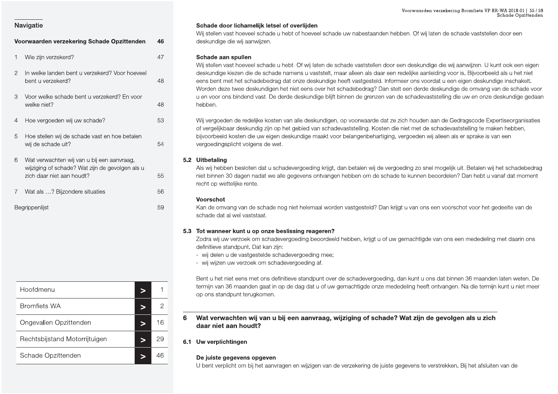|   | Voorwaarden verzekering Schade Opzittenden                                                                                 | 46 |
|---|----------------------------------------------------------------------------------------------------------------------------|----|
| 1 | Wie zijn verzekerd?                                                                                                        | 47 |
| 2 | In welke landen bent u verzekerd? Voor hoeveel<br>bent u verzekerd?                                                        | 48 |
| 3 | Voor welke schade bent u verzekerd? En voor<br>welke niet?                                                                 | 48 |
| 4 | Hoe vergoeden wij uw schade?                                                                                               | 53 |
| 5 | Hoe stellen wij de schade vast en hoe betalen<br>wij de schade uit?                                                        | 54 |
| 6 | Wat verwachten wij van u bij een aanvraag,<br>wijziging of schade? Wat zijn de gevolgen als u<br>zich daar niet aan houdt? | 55 |
| 7 | Wat als ? Bijzondere situaties                                                                                             | 56 |
|   | Begrippenlijst                                                                                                             | 59 |

Hoofdmenu  $\mathbf{1}$  $\geq$  $\overline{2}$ **Bromfiets WA**  $\geq$ Ongevallen Opzittenden 16  $\geq$ 29 Rechtsbijstand Motorrijtuigen  $\geq$ Schade Opzittenden 46  $\geq$ 

### Voorwaarden verzekering Bromfiets VP BR-WA 2018-01 | 55 / 59 Schade Opzittenden

### Schade door lichamelijk letsel of overlijden

Wij stellen vast hoeveel schade u hebt of hoeveel schade uw nabestaanden hebben. Of wij laten de schade vaststellen door een deskundige die wij aanwijzen.

### Schade aan spullen

Wij stellen vast hoeveel schade u hebt. Of wij laten de schade vaststellen door een deskundige die wij aanwijzen. U kunt ook een eigen deskundige kiezen die de schade namens u vaststelt, maar alleen als daar een redelijke aanleiding voor is. Bijvoorbeeld als u het niet eens bent met het schadebedrag dat onze deskundige heeft vastgesteld. Informeer ons voordat u een eigen deskundige inschakelt. Worden deze twee deskundigen het niet eens over het schadebedrag? Dan stelt een derde deskundige de omvang van de schade voor u en voor ons bindend vast. De derde deskundige blijft binnen de grenzen van de schadevaststelling die uw en onze deskundige gedaan hebben.

Wij vergoeden de redelijke kosten van alle deskundigen, op voorwaarde dat ze zich houden aan de Gedragscode Expertiseorganisaties of vergelijkbaar deskundig zijn op het gebied van schadevaststelling. Kosten die niet met de schadevaststelling te maken hebben, bijvoorbeeld kosten die uw eigen deskundige maakt voor belangenbehartiging, vergoeden wij alleen als er sprake is van een vergoedingsplicht volgens de wet.

### 5.2 Uitbetaling

Als wij hebben besloten dat u schadevergoeding krijgt, dan betalen wij de vergoeding zo snel mogelijk uit. Betalen wij het schadebedrag niet binnen 30 dagen nadat we alle gegevens ontvangen hebben om de schade te kunnen beoordelen? Dan hebt u vanaf dat moment recht op wettelijke rente.

### Voorschot

Kan de omvang van de schade nog niet helemaal worden vastgesteld? Dan krijgt u van ons een voorschot voor het gedeelte van de schade dat al wel vaststaat.

### 5.3 Tot wanneer kunt u op onze beslissing reageren?

Zodra wij uw verzoek om schadevergoeding beoordeeld hebben, krijgt u of uw gemachtigde van ons een mededeling met daarin ons definitieve standpunt. Dat kan zijn:

- wij delen u de vastgestelde schadevergoeding mee;

- wij wijzen uw verzoek om schadevergoeding af.

Bent u het niet eens met ons definitieve standpunt over de schadevergoeding, dan kunt u ons dat binnen 36 maanden laten weten. De termijn van 36 maanden gaat in op de dag dat u of uw gemachtigde onze mededeling heeft ontvangen. Na die termijn kunt u niet meer op ons standpunt terugkomen.

- Wat verwachten wij van u bij een aanvraag, wijziging of schade? Wat zijn de gevolgen als u zich 6 daar niet aan houdt?
- 6.1 Uw verplichtingen

### De juiste gegevens opgeven

U bent verplicht om bij het aanvragen en wijzigen van de verzekering de juiste gegevens te verstrekken. Bij het afsluiten van de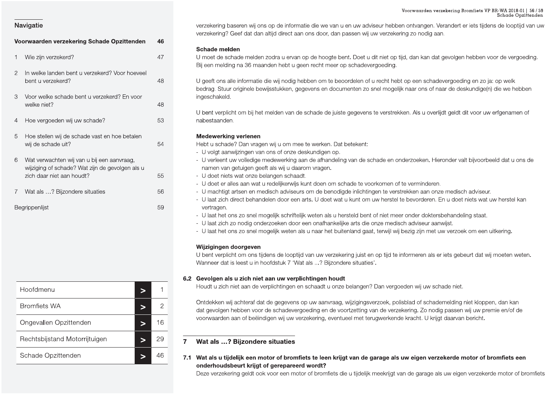|                | Voorwaarden verzekering Bromfiets VP BR-WA 2018-01   56 / 59<br>Schade Opzittenden                                                                                                                                                                                                                                                                                                                                                                                                                                |
|----------------|-------------------------------------------------------------------------------------------------------------------------------------------------------------------------------------------------------------------------------------------------------------------------------------------------------------------------------------------------------------------------------------------------------------------------------------------------------------------------------------------------------------------|
|                | verzekering baseren wij ons op de informatie die we van u en uw adviseur hebben ontvangen. Verandert er iets tijdens de looptijd van uw<br>verzekering? Geef dat dan altijd direct aan ons door, dan passen wij uw verzekering zo nodig aan.                                                                                                                                                                                                                                                                      |
| 46             |                                                                                                                                                                                                                                                                                                                                                                                                                                                                                                                   |
| 47             | Schade melden<br>U moet de schade melden zodra u ervan op de hoogte bent. Doet u dit niet op tijd, dan kan dat gevolgen hebben voor de vergoeding.<br>Bij een melding na 36 maanden hebt u geen recht meer op schadevergoeding.                                                                                                                                                                                                                                                                                   |
| 48             | U geeft ons alle informatie die wij nodig hebben om te beoordelen of u recht hebt op een schadevergoeding en zo ja: op welk                                                                                                                                                                                                                                                                                                                                                                                       |
| 48             | bedrag. Stuur originele bewijsstukken, gegevens en documenten zo snel mogelijk naar ons of naar de deskundige(n) die we hebben<br>ingeschakeld.                                                                                                                                                                                                                                                                                                                                                                   |
| 53             | U bent verplicht om bij het melden van de schade de juiste gegevens te verstrekken. Als u overlijdt geldt dit voor uw erfgenamen of<br>nabestaanden.                                                                                                                                                                                                                                                                                                                                                              |
|                | <b>Medewerking verlenen</b>                                                                                                                                                                                                                                                                                                                                                                                                                                                                                       |
|                | Hebt u schade? Dan vragen wij u om mee te werken. Dat betekent:<br>- U volgt aanwijzingen van ons of onze deskundigen op.                                                                                                                                                                                                                                                                                                                                                                                         |
| 55             | - U verleent uw volledige medewerking aan de afhandeling van de schade en onderzoeken. Hieronder valt bijvoorbeeld dat u ons de<br>namen van getuigen geeft als wij u daarom vragen.<br>- U doet niets wat onze belangen schaadt.                                                                                                                                                                                                                                                                                 |
| 56             | - U doet er alles aan wat u redelijkerwijs kunt doen om schade te voorkomen of te verminderen.<br>- U machtigt artsen en medisch adviseurs om de benodigde inlichtingen te verstrekken aan onze medisch adviseur.                                                                                                                                                                                                                                                                                                 |
| 59             | - U laat zich direct behandelen door een arts. U doet wat u kunt om uw herstel te bevorderen. En u doet niets wat uw herstel kan<br>vertragen.<br>- U laat het ons zo snel mogelijk schriftelijk weten als u hersteld bent of niet meer onder doktersbehandeling staat.<br>- U laat zich zo nodig onderzoeken door een onafhankelijke arts die onze medisch adviseur aanwijst.<br>- U laat het ons zo snel mogelijk weten als u naar het buitenland gaat, terwijl wij bezig zijn met uw verzoek om een uitkering. |
|                | Wijzigingen doorgeven<br>U bent verplicht om ons tijdens de looptijd van uw verzekering juist en op tijd te informeren als er iets gebeurt dat wij moeten weten.<br>Wanneer dat is leest u in hoofdstuk 7 'Wat als ? Bijzondere situaties'.                                                                                                                                                                                                                                                                       |
|                | 6.2 Gevolgen als u zich niet aan uw verplichtingen houdt<br>Houdt u zich niet aan de verplichtingen en schaadt u onze belangen? Dan vergoeden wij uw schade niet.                                                                                                                                                                                                                                                                                                                                                 |
|                |                                                                                                                                                                                                                                                                                                                                                                                                                                                                                                                   |
| $\overline{2}$ | Ontdekken wij achteraf dat de gegevens op uw aanvraag, wijzigingsverzoek, polisblad of schademelding niet kloppen, dan kan<br>dat gevolgen hebben voor de schadevergoeding en de voortzetting van de verzekering. Zo nodig passen wij uw premie en/of de<br>voorwaarden aan of beëindigen wij uw verzekering, eventueel met terugwerkende kracht. U krijgt daarvan bericht.                                                                                                                                       |
| 16             |                                                                                                                                                                                                                                                                                                                                                                                                                                                                                                                   |
| 29             | Wat als ? Bijzondere situaties                                                                                                                                                                                                                                                                                                                                                                                                                                                                                    |
| 46<br>$\geq$   | 7.1 Wat als u tijdelijk een motor of bromfiets te leen krijgt van de garage als uw eigen verzekerde motor of bromfiets een<br>onderhoudsbeurt krijgt of gerepareerd wordt?                                                                                                                                                                                                                                                                                                                                        |
|                | In welke landen bent u verzekerd? Voor hoeveel<br>54                                                                                                                                                                                                                                                                                                                                                                                                                                                              |

| Hoofdmenu<br>$\geq$                           |                |                                    |
|-----------------------------------------------|----------------|------------------------------------|
|                                               | 1              | 6.2 Gevolgen als<br>Houdt u zich r |
| <b>Bromfiets WA</b><br>$\geq$                 | $\overline{2}$ | Ontdekken wij<br>dat gevolgen h    |
| Ongevallen Opzittenden<br>16<br>$\geq$        |                | voorwaarden a                      |
| Rechtsbijstand Motorrijtuigen<br>29<br>$\geq$ | $\overline{7}$ | Wat als ?                          |
| Schade Opzittenden<br>46<br>$\geq$            | 7.1            | Wat als u tijd                     |
|                                               |                | onderhoudsb<br>Deze verzeker       |

Voorwaarden verzekering Schade Opzittenden<br>
Voorwaarden verzekering Schade Opzittenden<br>
1 Wie zijn verzekering Schade Opzittenden<br>
1 Wie zijn verzekering Schade Opzittenden<br>
1 Wie zijn verzekering 20 nodig aan.<br>
1 Wie zijn Voorwaarden verzekeri<br>adviseur hebben ontvangen. Veranc<br>wij uw verzekering zo nodig aan.<br>at u dit niet on tiid, dan kan dat gevo Voorwaarden verzekering Bromfie<br>adviseur hebben ontvangen. Verandert er iets<br>vij uw verzekering zo nodig aan.<br>tu dit niet op tijd, dan kan dat gevolgen bebb Voorwaarden verzekering Bromfiets VP BR-WA 20<br>Schade<br>ebben ontvangen. Verandert er iets tijdens de loc<br>ekering zo nodig aan.<br>on tijd, dan kan dat gevolgen bebben voor de ve rden verzekering Bromfiets VP BR-WA 2018-01 | 56 / 59<br>Schade Opzittenden<br>Igen. Verandert er iets tijdens de looptijd van uw<br>Jodig aan.<br>Tan dat gevolgen hebben voor de vergoeding.

- 
- 
- 
- 
- 
- 
- 
- 
- 

- 
-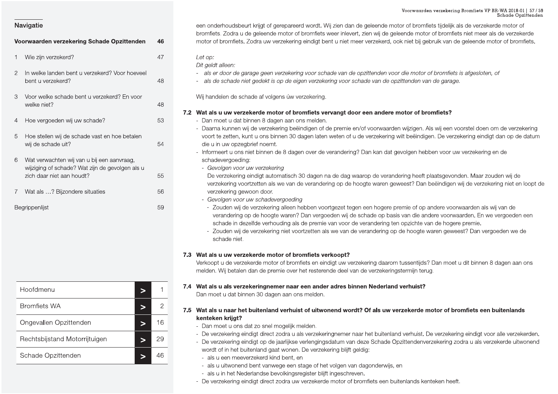|                                                                  |                | ${\tt Voorwaarden~verzekering~Bromfiets~VP~BR\text{-}WA~2018-01~ ~57/59}\\ {\tt Schade~Opzittenden}$                                                                                  |
|------------------------------------------------------------------|----------------|---------------------------------------------------------------------------------------------------------------------------------------------------------------------------------------|
| Navigatie                                                        |                | een onderhoudsbeurt krijgt of gerepareerd wordt. Wij zien dan de geleende motor of bromfiets tijdelijk als de verzekerde motor of                                                     |
|                                                                  |                | bromfiets. Zodra u de geleende motor of bromfiets weer inlevert, zien wij de geleende motor of bromfiets niet meer als de verzekerde                                                  |
| Voorwaarden verzekering Schade Opzittenden                       | 46             | motor of bromfiets. Zodra uw verzekering eindigt bent u niet meer verzekerd, ook niet bij gebruik van de geleende motor of bromfiets.                                                 |
| Wie zijn verzekerd?                                              | 47             | Let op:                                                                                                                                                                               |
|                                                                  |                | Dit geldt alleen:                                                                                                                                                                     |
| In welke landen bent u verzekerd? Voor hoeveel<br>$\overline{2}$ |                | - als er door de garage geen verzekering voor schade van de opzittenden voor die motor of bromfiets is afgesloten, of                                                                 |
| bent u verzekerd?                                                | 48             | - als de schade niet gedekt is op de eigen verzekering voor schade van de opzittenden van de garage.                                                                                  |
| Voor welke schade bent u verzekerd? En voor<br>3                 |                | Wij handelen de schade af volgens úw verzekering.                                                                                                                                     |
| welke niet?                                                      | 48             |                                                                                                                                                                                       |
|                                                                  |                | 7.2 Wat als u uw verzekerde motor of bromfiets vervangt door een andere motor of bromfiets?                                                                                           |
| Hoe vergoeden wij uw schade?<br>4                                | 53             | - Dan moet u dat binnen 8 dagen aan ons melden.<br>- Daarna kunnen wij de verzekering beëindigen of de premie en/of voorwaarden wijzigen. Als wij een voorstel doen om de verzekering |
| Hoe stellen wij de schade vast en hoe betalen<br>5               |                | voort te zetten, kunt u ons binnen 30 dagen laten weten of u de verzekering wilt beëindigen. De verzekering eindigt dan op de datum                                                   |
| wij de schade uit?                                               | 54             | die u in uw opzegbrief noemt.                                                                                                                                                         |
|                                                                  |                | - Informeert u ons niet binnen de 8 dagen over de verandering? Dan kan dat gevolgen hebben voor uw verzekering en de                                                                  |
| 6<br>Wat verwachten wij van u bij een aanvraag,                  |                | schadevergoeding:                                                                                                                                                                     |
| wijziging of schade? Wat zijn de gevolgen als u                  |                | - Gevolgen voor uw verzekering                                                                                                                                                        |
| zich daar niet aan houdt?                                        | 55             | De verzekering eindigt automatisch 30 dagen na de dag waarop de verandering heeft plaatsgevonden. Maar zouden wij de                                                                  |
| Wat als ? Bijzondere situaties                                   | 56             | verzekering voortzetten als we van de verandering op de hoogte waren geweest? Dan beëindigen wij de verzekering niet en loopt de<br>verzekering gewoon door.                          |
|                                                                  |                | - Gevolgen voor uw schadevergoeding                                                                                                                                                   |
| Begrippenlijst                                                   | 59             | - Zouden wij de verzekering alleen hebben voortgezet tegen een hogere premie of op andere voorwaarden als wij van de                                                                  |
|                                                                  |                | verandering op de hoogte waren? Dan vergoeden wij de schade op basis van die andere voorwaarden. En we vergoeden een                                                                  |
|                                                                  |                | schade in dezelfde verhouding als de premie van voor de verandering ten opzichte van de hogere premie.                                                                                |
|                                                                  |                | - Zouden wij de verzekering niet voortzetten als we van de verandering op de hoogte waren geweest? Dan vergoeden we de<br>schade niet.                                                |
|                                                                  |                |                                                                                                                                                                                       |
|                                                                  |                | 7.3 Wat als u uw verzekerde motor of bromfiets verkoopt?                                                                                                                              |
|                                                                  |                | Verkoopt u de verzekerde motor of bromfiets en eindigt uw verzekering daarom tussentijds? Dan moet u dit binnen 8 dagen aan ons                                                       |
|                                                                  |                | melden. Wij betalen dan de premie over het resterende deel van de verzekeringstermijn terug.                                                                                          |
| Hoofdmenu                                                        |                | 7.4 Wat als u als verzekeringnemer naar een ander adres binnen Nederland verhuist?                                                                                                    |
| $\geq$                                                           |                | Dan moet u dat binnen 30 dagen aan ons melden.                                                                                                                                        |
| <b>Bromfiets WA</b><br>⋗                                         | $\overline{c}$ | 7.5 Wat als u naar het buitenland verhuist of uitwonend wordt? Of als uw verzekerde motor of bromfiets een buitenlands                                                                |
|                                                                  |                | kenteken krijgt?                                                                                                                                                                      |
| Ongevallen Opzittenden<br>>                                      | 16             | - Dan moet u ons dat zo snel mogelijk melden.                                                                                                                                         |
| Rechtsbijstand Motorrijtuigen                                    | 29             | - De verzekering eindigt direct zodra u als verzekeringnemer naar het buitenland verhuist. De verzekering eindigt voor alle verzekerden.                                              |
| $\geq$                                                           |                | - De verzekering eindigt op de jaarlijkse verlengingsdatum van deze Schade Opzittendenverzekering zodra u als verzekerde uitwonend                                                    |
| Schade Opzittenden<br>$\geq$                                     | 46             | wordt of in het buitenland gaat wonen. De verzekering blijft geldig:<br>- als u een meeverzekerd kind bent, en                                                                        |
|                                                                  |                | - als u uitwonend bent vanwege een stage of het volgen van dagonderwijs, en                                                                                                           |
|                                                                  |                | - als u in het Nederlandse bevolkingsregister blijft ingeschreven.                                                                                                                    |
|                                                                  |                | - De verzekering eindigt direct zodra uw verzekerde motor of bromfiets een buitenlands kenteken heeft.                                                                                |
|                                                                  |                |                                                                                                                                                                                       |

|                                         | 59 | - Zouden<br>verande<br>schade<br>- Zouden<br>schade |
|-----------------------------------------|----|-----------------------------------------------------|
|                                         |    | 7.3 Wat als u uw<br>Verkoopt u de<br>melden. Wij be |
| Hoofdmenu<br>$\geq$                     | 1  | 7.4 Wat als u als<br>Dan moet u da                  |
| <b>Bromfiets WA</b><br>$\geq$           | 2  | 7.5 Wat als u naa                                   |
| Ongevallen Opzittenden<br>$\geq$        | 16 | kenteken krij<br>- Dan moet u                       |
| Rechtsbijstand Motorrijtuigen<br>$\geq$ | 29 | - De verzekeri<br>- De verzekeri                    |
| Schade Opzittenden<br>$\geq$            | 46 | wordt of in h<br>- als u een i                      |
|                                         |    | - als u uitwo<br>- als u in he<br>- De verzekeri    |

Voorwaarden verzekering Schade Opzittenden<br>
Voorwaarden verzekering Schade Opzittenden<br>
1 Wie zijn verzekering Schade Opzittenden<br>
1 Wie zijn verzekering Schade Opzittenden<br>
1 Mie zijn verzekering Schade Opzittenden<br>
46 mo Voorwaarden verzekeri<br>Figeleende motor of bromfiets tijdelijker<br>Figeleende motor of bromfiets<br>Figeleende motor of bromfiet<br>Figeleende motor of bromfiet<br>Figeleende motor of bromfiet<br>Figeleende motor of bromfiet<br>Figeleende m Voorwaarden verzekering Bromfie<br>geleende motor of bromfiets tijdelijk als de ver<br>ien wij de geleende motor of bromfiets niet m<br>verzekerd, ook niet bij gebruik van de geleend Voorwaarden verzekering Bromfiets VP BR-WA 20<br>Schade<br>motor of bromfiets tijdelijk als de verzekerde mot<br>geleende motor of bromfiets niet meer als de verzekerde motor of bromfiets niet meer als de verzekerde motor of b rden verzekering Bromfiets VP BR-WA 2018-01 | 57 / 59<br>Schade Opzittenden<br>mfiets tijdelijk als de verzekerde motor of<br>tor of bromfiets niet meer als de verzekerde<br>gebruik van de geleende motor of bromfiets.

- 
- 

- 
- 
- 
- 

- -
	-

- -
	-
	-
	-
	-
	-
	-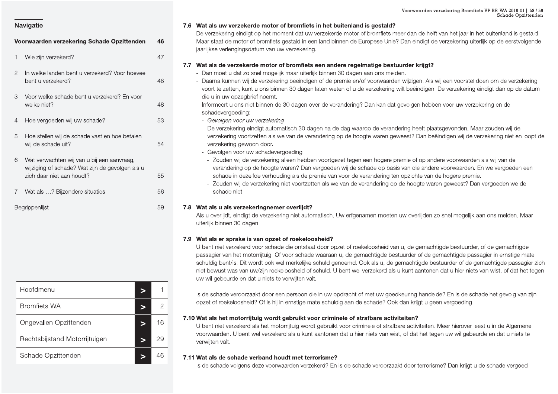### 7.6 Wat als uw verzekerde motor of bromfiets in het buitenland is gestald?

De verzekering eindigt op het moment dat uw verzekerde motor of bromfiets meer dan de helft van het jaar in het buitenland is gestald. Maar staat de motor of bromfiets gestald in een land binnen de Europese Unie? Dan eindigt de verzekering uiterlijk op de eerstvolgende jaarlijkse verlengingsdatum van uw verzekering.

### 7.7 Wat als de verzekerde motor of bromfiets een andere regelmatige bestuurder krijgt?

- Dan moet u dat zo snel mogelijk maar uiterlijk binnen 30 dagen aan ons melden.
- Daarna kunnen wij de verzekering beëindigen of de premie en/of voorwaarden wijzigen. Als wij een voorstel doen om de verzekering voort te zetten, kunt u ons binnen 30 dagen laten weten of u de verzekering wilt beëindigen. De verzekering eindigt dan op de datum die u in uw opzegbrief noemt.
- Informeert u ons niet binnen de 30 dagen over de verandering? Dan kan dat gevolgen hebben voor uw verzekering en de schadevergoeding:
	- Gevolgen voor uw verzekering

De verzekering eindigt automatisch 30 dagen na de dag waarop de verandering heeft plaatsgevonden. Maar zouden wij de verzekering voortzetten als we van de verandering op de hoogte waren geweest? Dan beëindigen wij de verzekering niet en loopt de verzekering gewoon door.

- Gevolgen voor uw schadevergoeding
- Zouden wij de verzekering alleen hebben voortgezet tegen een hogere premie of op andere voorwaarden als wij van de verandering op de hoogte waren? Dan vergoeden wij de schade op basis van die andere voorwaarden. En we vergoeden een schade in dezelfde verhouding als de premie van voor de verandering ten opzichte van de hogere premie.
- Zouden wij de verzekering niet voortzetten als we van de verandering op de hoogte waren geweest? Dan vergoeden we de schade niet.

### 7.8 Wat als u als verzekeringnemer overlijdt?

Als u overlijdt, eindigt de verzekering niet automatisch. Uw erfgenamen moeten uw overlijden zo snel mogelijk aan ons melden. Maar uiterlijk binnen 30 dagen.

### 7.9 Wat als er sprake is van opzet of roekeloosheid?

U bent niet verzekerd voor schade die ontstaat door opzet of roekeloosheid van u, de gemachtigde bestuurder, of de gemachtigde passagier van het motorrijtuig. Of voor schade waaraan u, de gemachtigde bestuurder of de gemachtigde passagier in ernstige mate schuldig bent/is. Dit wordt ook wel merkelijke schuld genoemd. Ook als u, de gemachtigde bestuurder of de gemachtigde passagier zich niet bewust was van uw/zijn roekeloosheid of schuld. U bent wel verzekerd als u kunt aantonen dat u hier niets van wist, of dat het tegen uw wil gebeurde en dat u niets te verwijten valt.

Is de schade veroorzaakt door een persoon die in uw opdracht of met uw goedkeuring handelde? En is de schade het gevolg van zijn opzet of roekeloosheid? Of is hij in ernstige mate schuldig aan de schade? Ook dan krijgt u geen vergoeding.

### 7.10 Wat als het motorrijtuig wordt gebruikt voor criminele of strafbare activiteiten?

U bent niet verzekerd als het motorrijtuig wordt gebruikt voor criminele of strafbare activiteiten. Meer hierover leest u in de Algemene voorwaarden. U bent wel verzekerd als u kunt aantonen dat u hier niets van wist, of dat het tegen uw wil gebeurde en dat u niets te verwijten valt.

### 7.11 Wat als de schade verband houdt met terrorisme?

Is de schade volgens deze voorwaarden verzekerd? En is de schade veroorzaakt door terrorisme? Dan krijgt u de schade vergoed

### **Navigatie**

|              | Voorwaarden verzekering Schade Opzittenden                                                                                 | 46 |
|--------------|----------------------------------------------------------------------------------------------------------------------------|----|
| $\mathbf{1}$ | Wie zijn verzekerd?                                                                                                        | 47 |
| 2            | In welke landen bent u verzekerd? Voor hoeveel<br>bent u verzekerd?                                                        | 48 |
| 3            | Voor welke schade bent u verzekerd? En voor<br>welke niet?                                                                 | 48 |
| 4            | Hoe vergoeden wij uw schade?                                                                                               | 53 |
| 5            | Hoe stellen wij de schade vast en hoe betalen<br>wij de schade uit?                                                        | 54 |
| 6            | Wat verwachten wij van u bij een aanvraag,<br>wijziging of schade? Wat zijn de gevolgen als u<br>zich daar niet aan houdt? | 55 |
| 7            | Wat als ? Bijzondere situaties                                                                                             | 56 |
|              | <b>Bearinnenlijst</b>                                                                                                      | 59 |

| Hoofdmenu                     |    |
|-------------------------------|----|
| <b>Bromfiets WA</b>           |    |
| Ongevallen Opzittenden        | 16 |
| Rechtsbijstand Motorrijtuigen | 29 |
| Schade Opzittenden            |    |